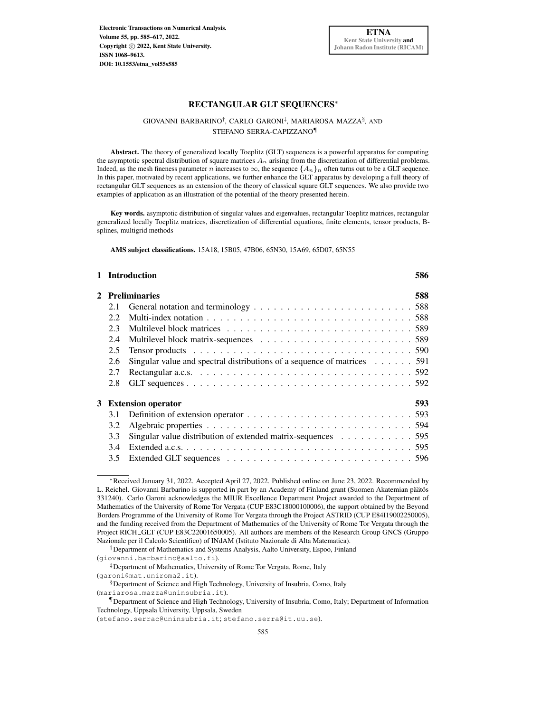Electronic Transactions on Numerical Analysis. Volume 55, pp. 585–617, 2022. Copyright  $\odot$  2022, Kent State University. ISSN 1068–9613. [DOI: 10.1553/etna\\_vol55s585](http://doi.org/10.1553/etna_vol55s585)

## RECTANGULAR GLT SEQUENCES<sup>∗</sup>

## GIOVANNI BARBARINO<sup>†</sup>, CARLO GARONI<sup>‡</sup>, MARIAROSA MAZZA<sup>§</sup>, AND STEFANO SERRA-CAPIZZANO¶

Abstract. The theory of generalized locally Toeplitz (GLT) sequences is a powerful apparatus for computing the asymptotic spectral distribution of square matrices  $A_n$  arising from the discretization of differential problems. Indeed, as the mesh fineness parameter n increases to  $\infty$ , the sequence {A<sub>n</sub>}<sub>n</sub> often turns out to be a GLT sequence. In this paper, motivated by recent applications, we further enhance the GLT apparatus by developing a full theory of rectangular GLT sequences as an extension of the theory of classical square GLT sequences. We also provide two examples of application as an illustration of the potential of the theory presented herein.

Key words. asymptotic distribution of singular values and eigenvalues, rectangular Toeplitz matrices, rectangular generalized locally Toeplitz matrices, discretization of differential equations, finite elements, tensor products, Bsplines, multigrid methods

AMS subject classifications. 15A18, 15B05, 47B06, 65N30, 15A69, 65D07, 65N55

|      |                                                                                            | 586                                                       |  |
|------|--------------------------------------------------------------------------------------------|-----------------------------------------------------------|--|
|      |                                                                                            | 588                                                       |  |
| 2.1  |                                                                                            |                                                           |  |
| 2.2. |                                                                                            |                                                           |  |
| 2.3  |                                                                                            |                                                           |  |
| 2.4  |                                                                                            |                                                           |  |
| 2.5  |                                                                                            |                                                           |  |
| 2.6  | Singular value and spectral distributions of a sequence of matrices 591                    |                                                           |  |
| 2.7  |                                                                                            |                                                           |  |
| 2.8  |                                                                                            |                                                           |  |
|      |                                                                                            | 593                                                       |  |
| 3.1  |                                                                                            |                                                           |  |
| 3.2  |                                                                                            |                                                           |  |
| 3.3  | Singular value distribution of extended matrix-sequences $\ldots \ldots \ldots \ldots$ 595 |                                                           |  |
| 3.4  |                                                                                            |                                                           |  |
| 3.5  |                                                                                            |                                                           |  |
|      |                                                                                            | 1 Introduction<br>2 Preliminaries<br>3 Extension operator |  |

(garoni@mat.uniroma2.it).

(mariarosa.mazza@uninsubria.it).

<sup>∗</sup>Received January 31, 2022. Accepted April 27, 2022. Published online on June 23, 2022. Recommended by L. Reichel. Giovanni Barbarino is supported in part by an Academy of Finland grant (Suomen Akatemian päätös 331240). Carlo Garoni acknowledges the MIUR Excellence Department Project awarded to the Department of Mathematics of the University of Rome Tor Vergata (CUP E83C18000100006), the support obtained by the Beyond Borders Programme of the University of Rome Tor Vergata through the Project ASTRID (CUP E84I19002250005), and the funding received from the Department of Mathematics of the University of Rome Tor Vergata through the Project RICH GLT (CUP E83C22001650005). All authors are members of the Research Group GNCS (Gruppo Nazionale per il Calcolo Scientifico) of INdAM (Istituto Nazionale di Alta Matematica).

<sup>†</sup>Department of Mathematics and Systems Analysis, Aalto University, Espoo, Finland

<sup>(</sup>giovanni.barbarino@aalto.fi).

<sup>‡</sup>Department of Mathematics, University of Rome Tor Vergata, Rome, Italy

<sup>§</sup>Department of Science and High Technology, University of Insubria, Como, Italy

<sup>¶</sup>Department of Science and High Technology, University of Insubria, Como, Italy; Department of Information Technology, Uppsala University, Uppsala, Sweden

<sup>(</sup>stefano.serrac@uninsubria.it; stefano.serra@it.uu.se).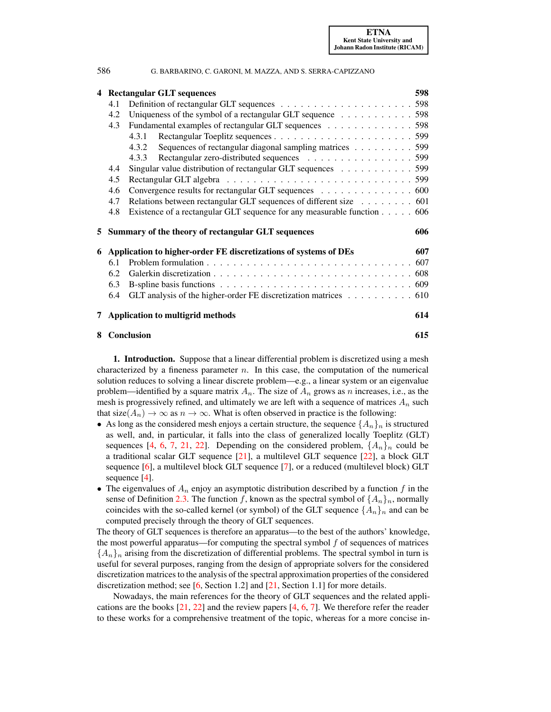| 586 |     | G. BARBARINO, C. GARONI, M. MAZZA, AND S. SERRA-CAPIZZANO               |     |
|-----|-----|-------------------------------------------------------------------------|-----|
|     |     | 4 Rectangular GLT sequences                                             | 598 |
|     | 4.1 |                                                                         |     |
|     | 4.2 | Uniqueness of the symbol of a rectangular GLT sequence 598              |     |
|     | 4.3 | Fundamental examples of rectangular GLT sequences 598                   |     |
|     |     | 4.3.1                                                                   |     |
|     |     | Sequences of rectangular diagonal sampling matrices 599<br>4.3.2        |     |
|     |     | Rectangular zero-distributed sequences 599<br>4.3.3                     |     |
|     | 4.4 | Singular value distribution of rectangular GLT sequences 599            |     |
|     | 4.5 |                                                                         |     |
|     | 4.6 | Convergence results for rectangular GLT sequences 600                   |     |
|     | 4.7 | Relations between rectangular GLT sequences of different size 601       |     |
|     | 4.8 | Existence of a rectangular GLT sequence for any measurable function 606 |     |
|     |     | 5 Summary of the theory of rectangular GLT sequences                    | 606 |
| 6   |     | Application to higher-order FE discretizations of systems of DEs        | 607 |
|     | 6.1 |                                                                         |     |
|     | 6.2 |                                                                         |     |
|     | 6.3 |                                                                         |     |
|     | 6.4 | GLT analysis of the higher-order FE discretization matrices 610         |     |
|     |     | 7 Application to multigrid methods                                      | 614 |
|     |     | 8 Conclusion                                                            | 615 |

<span id="page-1-0"></span>1. Introduction. Suppose that a linear differential problem is discretized using a mesh characterized by a fineness parameter  $n$ . In this case, the computation of the numerical solution reduces to solving a linear discrete problem—e.g., a linear system or an eigenvalue problem—identified by a square matrix  $A_n$ . The size of  $A_n$  grows as n increases, i.e., as the mesh is progressively refined, and ultimately we are left with a sequence of matrices  $A_n$  such that size( $A_n$ )  $\to \infty$  as  $n \to \infty$ . What is often observed in practice is the following:

- As long as the considered mesh enjoys a certain structure, the sequence  $\{A_n\}_n$  is structured as well, and, in particular, it falls into the class of generalized locally Toeplitz (GLT) sequences [\[4,](#page-31-0) [6,](#page-31-1) [7,](#page-31-2) [21,](#page-31-3) [22\]](#page-31-4). Depending on the considered problem,  $\{A_n\}_n$  could be a traditional scalar GLT sequence [\[21\]](#page-31-3), a multilevel GLT sequence [\[22\]](#page-31-4), a block GLT sequence [\[6\]](#page-31-1), a multilevel block GLT sequence [\[7\]](#page-31-2), or a reduced (multilevel block) GLT sequence [\[4\]](#page-31-0).
- The eigenvalues of  $A_n$  enjoy an asymptotic distribution described by a function  $f$  in the sense of Definition [2.3.](#page-6-1) The function f, known as the spectral symbol of  $\{A_n\}_n$ , normally coincides with the so-called kernel (or symbol) of the GLT sequence  $\{A_n\}_n$  and can be computed precisely through the theory of GLT sequences.

The theory of GLT sequences is therefore an apparatus—to the best of the authors' knowledge, the most powerful apparatus—for computing the spectral symbol  $f$  of sequences of matrices  ${A_n}_n$  arising from the discretization of differential problems. The spectral symbol in turn is useful for several purposes, ranging from the design of appropriate solvers for the considered discretization matrices to the analysis of the spectral approximation properties of the considered discretization method; see [\[6,](#page-31-1) Section 1.2] and [\[21,](#page-31-3) Section 1.1] for more details.

Nowadays, the main references for the theory of GLT sequences and the related applications are the books [\[21,](#page-31-3) [22\]](#page-31-4) and the review papers [\[4,](#page-31-0) [6,](#page-31-1) [7\]](#page-31-2). We therefore refer the reader to these works for a comprehensive treatment of the topic, whereas for a more concise in-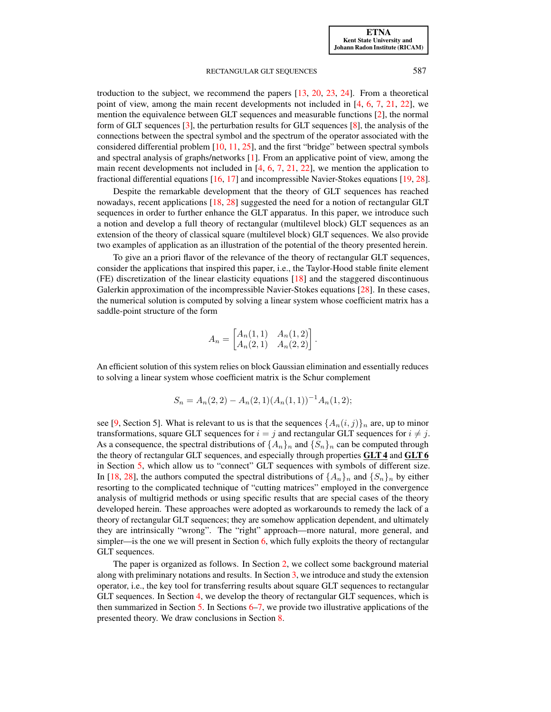troduction to the subject, we recommend the papers [\[13,](#page-31-5) [20,](#page-31-6) [23,](#page-31-7) [24\]](#page-31-8). From a theoretical point of view, among the main recent developments not included in  $[4, 6, 7, 21, 22]$  $[4, 6, 7, 21, 22]$  $[4, 6, 7, 21, 22]$  $[4, 6, 7, 21, 22]$  $[4, 6, 7, 21, 22]$  $[4, 6, 7, 21, 22]$  $[4, 6, 7, 21, 22]$  $[4, 6, 7, 21, 22]$  $[4, 6, 7, 21, 22]$ , we mention the equivalence between GLT sequences and measurable functions [\[2\]](#page-30-1), the normal form of GLT sequences [\[3\]](#page-31-9), the perturbation results for GLT sequences [\[8\]](#page-31-10), the analysis of the connections between the spectral symbol and the spectrum of the operator associated with the considered differential problem  $[10, 11, 25]$  $[10, 11, 25]$  $[10, 11, 25]$  $[10, 11, 25]$  $[10, 11, 25]$ , and the first "bridge" between spectral symbols and spectral analysis of graphs/networks [\[1\]](#page-30-2). From an applicative point of view, among the main recent developments not included in  $[4, 6, 7, 21, 22]$  $[4, 6, 7, 21, 22]$  $[4, 6, 7, 21, 22]$  $[4, 6, 7, 21, 22]$  $[4, 6, 7, 21, 22]$  $[4, 6, 7, 21, 22]$  $[4, 6, 7, 21, 22]$  $[4, 6, 7, 21, 22]$  $[4, 6, 7, 21, 22]$ , we mention the application to fractional differential equations [\[16,](#page-31-14) [17\]](#page-31-15) and incompressible Navier-Stokes equations [\[19,](#page-31-16) [28\]](#page-31-17).

Despite the remarkable development that the theory of GLT sequences has reached nowadays, recent applications [\[18,](#page-31-18) [28\]](#page-31-17) suggested the need for a notion of rectangular GLT sequences in order to further enhance the GLT apparatus. In this paper, we introduce such a notion and develop a full theory of rectangular (multilevel block) GLT sequences as an extension of the theory of classical square (multilevel block) GLT sequences. We also provide two examples of application as an illustration of the potential of the theory presented herein.

To give an a priori flavor of the relevance of the theory of rectangular GLT sequences, consider the applications that inspired this paper, i.e., the Taylor-Hood stable finite element (FE) discretization of the linear elasticity equations [\[18\]](#page-31-18) and the staggered discontinuous Galerkin approximation of the incompressible Navier-Stokes equations [\[28\]](#page-31-17). In these cases, the numerical solution is computed by solving a linear system whose coefficient matrix has a saddle-point structure of the form

$$
A_n = \begin{bmatrix} A_n(1,1) & A_n(1,2) \\ A_n(2,1) & A_n(2,2) \end{bmatrix}.
$$

An efficient solution of this system relies on block Gaussian elimination and essentially reduces to solving a linear system whose coefficient matrix is the Schur complement

$$
S_n = A_n(2,2) - A_n(2,1)(A_n(1,1))^{-1}A_n(1,2);
$$

see [\[9,](#page-31-19) Section 5]. What is relevant to us is that the sequences  $\{A_n(i,j)\}_n$  are, up to minor transformations, square GLT sequences for  $i = j$  and rectangular GLT sequences for  $i \neq j$ . As a consequence, the spectral distributions of  $\{A_n\}_n$  and  $\{S_n\}_n$  can be computed through the theory of rectangular GLT sequences, and especially through properties GLT 4 and GLT 6 in Section [5,](#page-21-1) which allow us to "connect" GLT sequences with symbols of different size. In [\[18,](#page-31-18) [28\]](#page-31-17), the authors computed the spectral distributions of  $\{A_n\}_n$  and  $\{S_n\}_n$  by either resorting to the complicated technique of "cutting matrices" employed in the convergence analysis of multigrid methods or using specific results that are special cases of the theory developed herein. These approaches were adopted as workarounds to remedy the lack of a theory of rectangular GLT sequences; they are somehow application dependent, and ultimately they are intrinsically "wrong". The "right" approach—more natural, more general, and simpler—is the one we will present in Section  $6$ , which fully exploits the theory of rectangular GLT sequences.

The paper is organized as follows. In Section [2,](#page-3-0) we collect some background material along with preliminary notations and results. In Section [3,](#page-8-0) we introduce and study the extension operator, i.e., the key tool for transferring results about square GLT sequences to rectangular GLT sequences. In Section [4,](#page-13-0) we develop the theory of rectangular GLT sequences, which is then summarized in Section [5.](#page-21-1) In Sections [6–](#page-22-0)[7,](#page-29-0) we provide two illustrative applications of the presented theory. We draw conclusions in Section [8.](#page-30-0)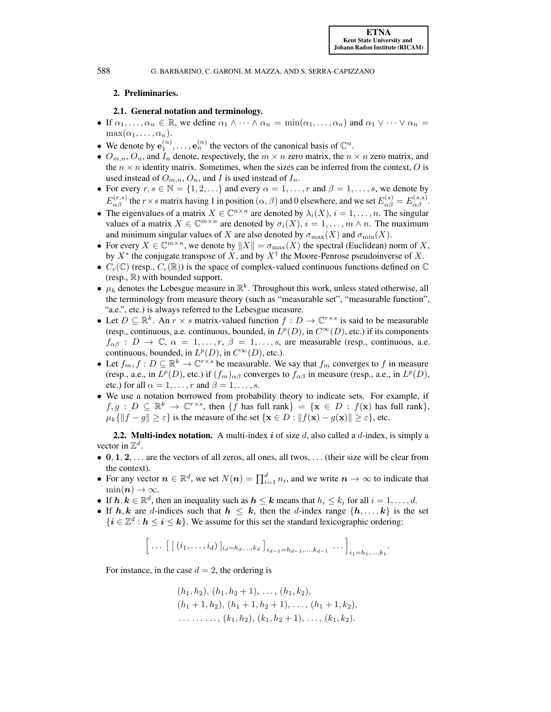## <span id="page-3-0"></span>2. Preliminaries.

#### 2.1. General notation and terminology.

- <span id="page-3-1"></span>• If  $\alpha_1, \ldots, \alpha_n \in \mathbb{R}$ , we define  $\alpha_1 \wedge \cdots \wedge \alpha_n = \min(\alpha_1, \ldots, \alpha_n)$  and  $\alpha_1 \vee \cdots \vee \alpha_n =$  $\max(\alpha_1, \ldots, \alpha_n).$
- We denote by  $e_1^{(n)}, \ldots, e_n^{(n)}$  the vectors of the canonical basis of  $\mathbb{C}^n$ .
- $O_{m,n}$ ,  $O_n$ , and  $I_n$  denote, respectively, the  $m \times n$  zero matrix, the  $n \times n$  zero matrix, and the  $n \times n$  identity matrix. Sometimes, when the sizes can be inferred from the context, O is used instead of  $O_{m,n}$ ,  $O_n$ , and I is used instead of  $I_n$ .
- For every  $r, s \in \mathbb{N} = \{1, 2, \ldots\}$  and every  $\alpha = 1, \ldots, r$  and  $\beta = 1, \ldots, s$ , we denote by  $E_{\alpha\beta}^{(r,s)}$  the  $r \times s$  matrix having 1 in position  $(\alpha, \beta)$  and 0 elsewhere, and we set  $E_{\alpha\beta}^{(s)} = E_{\alpha\beta}^{(s,s)}$ .
- The eigenvalues of a matrix  $X \in \mathbb{C}^{n \times n}$  are denoted by  $\lambda_i(X)$ ,  $i = 1, \dots, n$ . The singular values of a matrix  $X \in \mathbb{C}^{m \times n}$  are denoted by  $\sigma_i(X)$ ,  $i = 1, ..., m \wedge n$ . The maximum and minimum singular values of X are also denoted by  $\sigma_{\text{max}}(X)$  and  $\sigma_{\text{min}}(X)$ .
- For every  $X \in \mathbb{C}^{m \times n}$ , we denote by  $||X|| = \sigma_{\max}(X)$  the spectral (Euclidean) norm of X, by  $X^*$  the conjugate transpose of X, and by  $X^{\dagger}$  the Moore-Penrose pseudoinverse of X.
- $C_c(\mathbb{C})$  (resp.,  $C_c(\mathbb{R})$ ) is the space of complex-valued continuous functions defined on  $\mathbb{C}$ (resp.,  $\mathbb{R}$ ) with bounded support.
- $\mu_k$  denotes the Lebesgue measure in  $\mathbb{R}^k$ . Throughout this work, unless stated otherwise, all the terminology from measure theory (such as "measurable set", "measurable function", "a.e.", etc.) is always referred to the Lebesgue measure.
- Let  $D \subseteq \mathbb{R}^k$ . An  $r \times s$  matrix-valued function  $f : D \to \mathbb{C}^{r \times s}$  is said to be measurable (resp., continuous, a.e. continuous, bounded, in  $L^p(D)$ , in  $C^{\infty}(D)$ , etc.) if its components  $f_{\alpha\beta}$  :  $D \to \mathbb{C}$ ,  $\alpha = 1, \ldots, r$ ,  $\beta = 1, \ldots, s$ , are measurable (resp., continuous, a.e. continuous, bounded, in  $L^p(D)$ , in  $C^{\infty}(D)$ , etc.).
- Let  $f_m, f: D \subseteq \mathbb{R}^k \to \mathbb{C}^{r \times s}$  be measurable. We say that  $f_m$  converges to f in measure (resp., a.e., in  $L^p(D)$ , etc.) if  $(f_m)_{\alpha\beta}$  converges to  $f_{\alpha\beta}$  in measure (resp., a.e., in  $L^p(D)$ , etc.) for all  $\alpha = 1, \ldots, r$  and  $\beta = 1, \ldots, s$ .
- We use a notation borrowed from probability theory to indicate sets. For example, if  $f, g : D \subseteq \mathbb{R}^k \to \mathbb{C}^{r \times s}$ , then  $\{f \text{ has full rank}\} = \{\mathbf{x} \in D : f(\mathbf{x}) \text{ has full rank}\},\$  $\mu_k \{ ||f - g|| \geq \varepsilon \}$  is the measure of the set  $\{ \mathbf{x} \in D : ||f(\mathbf{x}) - g(\mathbf{x})|| \geq \varepsilon \}$ , etc.

<span id="page-3-2"></span>**2.2. Multi-index notation.** A multi-index  $\boldsymbol{i}$  of size  $d$ , also called a  $d$ -index, is simply a vector in  $\mathbb{Z}^d$ .

- $0, 1, 2, \ldots$  are the vectors of all zeros, all ones, all twos,  $\ldots$  (their size will be clear from the context).
- For any vector  $n \in \mathbb{R}^d$ , we set  $N(n) = \prod_{i=1}^d n_i$ , and we write  $n \to \infty$  to indicate that  $\min(n) \to \infty$ .
- If  $h, k \in \mathbb{R}^d$ , then an inequality such as  $h \leq k$  means that  $h_i \leq k_i$  for all  $i = 1, \ldots, d$ .
- If h, k are d-indices such that  $h \leq k$ , then the d-index range  $\{h, \ldots, k\}$  is the set  $\{i \in \mathbb{Z}^d : h \leq i \leq k\}$ . We assume for this set the standard lexicographic ordering:

$$
\[\ldots\ [\ [\ ([i_1,\ldots,i_d)\ ]_{i_d=h_d,\ldots,k_d}\ ]_{i_{d-1}=h_{d-1},\ldots,k_{d-1}}\ \ldots\ ]_{i_1=h_1,\ldots,k_1}.
$$

For instance, in the case  $d = 2$ , the ordering is

$$
(h_1, h_2), (h_1, h_2 + 1), \ldots, (h_1, k_2),
$$
  
\n
$$
(h_1 + 1, h_2), (h_1 + 1, h_2 + 1), \ldots, (h_1 + 1, k_2),
$$
  
\n
$$
\ldots \ldots \ldots, (k_1, h_2), (k_1, h_2 + 1), \ldots, (k_1, k_2).
$$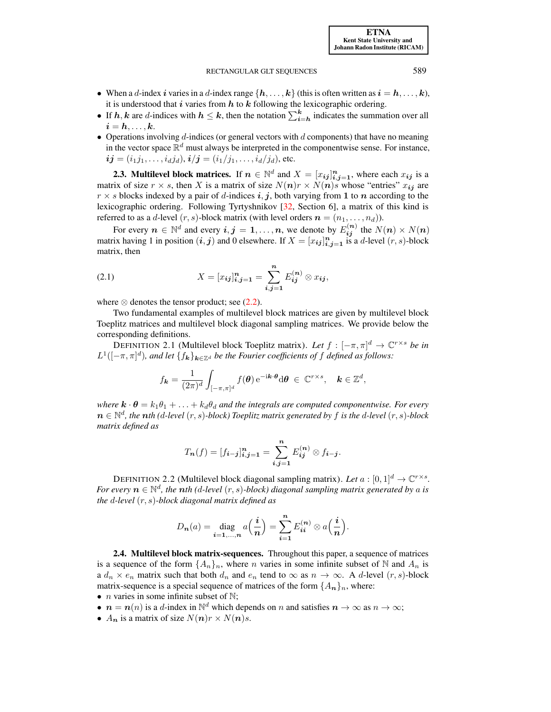[ETNA](http://etna.ricam.oeaw.ac.at) [Kent State University and](http://www.kent.edu) [Johann Radon Institute \(RICAM\)](http://www.ricam.oeaw.ac.at)

#### RECTANGULAR GLT SEQUENCES 589

- When a d-index i varies in a d-index range  $\{h, \ldots, k\}$  (this is often written as  $i = h, \ldots, k$ ), it is understood that i varies from  $h$  to  $k$  following the lexicographic ordering.
- If  $h, k$  are d-indices with  $h \leq k$ , then the notation  $\sum_{i=h}^{k}$  indicates the summation over all  $i = h, \ldots, k.$
- Operations involving  $d$ -indices (or general vectors with  $d$  components) that have no meaning in the vector space  $\mathbb{R}^d$  must always be interpreted in the componentwise sense. For instance,  $\bm{i}\bm{j}=(i_{1}j_{1},\ldots,i_{d}j_{d}),$   $\bm{i}/\bm{j}=(i_{1}/j_{1},\ldots,i_{d}/j_{d}),$  etc.

<span id="page-4-0"></span>**2.3. Multilevel block matrices.** If  $n \in \mathbb{N}^d$  and  $X = [x_{ij}]_{i,j=1}^n$ , where each  $x_{ij}$  is a matrix of size  $r \times s$ , then X is a matrix of size  $N(n)r \times N(n)s$  whose "entries"  $x_{ij}$  are  $r \times s$  blocks indexed by a pair of d-indices i, j, both varying from 1 to n according to the lexicographic ordering. Following Tyrtyshnikov [\[32,](#page-32-0) Section 6], a matrix of this kind is referred to as a d-level  $(r, s)$ -block matrix (with level orders  $\mathbf{n} = (n_1, \dots, n_d)$ ).

<span id="page-4-2"></span>For every  $n \in \mathbb{N}^d$  and every  $i, j = 1, \ldots, n$ , we denote by  $E_{ij}^{(n)}$  the  $N(n) \times N(n)$ matrix having 1 in position  $(i, j)$  and 0 elsewhere. If  $X = [x_{ij}]_{i,j=1}^n$  is a d-level  $(r, s)$ -block matrix, then

(2.1) 
$$
X = [x_{ij}]_{i,j=1}^n = \sum_{i,j=1}^n E_{ij}^{(n)} \otimes x_{ij},
$$

where  $\otimes$  denotes the tensor product; see [\(2.2\)](#page-5-1).

Two fundamental examples of multilevel block matrices are given by multilevel block Toeplitz matrices and multilevel block diagonal sampling matrices. We provide below the corresponding definitions.

<span id="page-4-3"></span>DEFINITION 2.1 (Multilevel block Toeplitz matrix). Let  $f: [-\pi, \pi]^d \to \mathbb{C}^{r \times s}$  be in  $L^1([-\pi,\pi]^d)$ , and let  $\{f_{\bm{k}}\}_{{\bm{k}}\in\mathbb{Z}^d}$  be the Fourier coefficients of f defined as follows:

$$
f_{\mathbf{k}} = \frac{1}{(2\pi)^d} \int_{[-\pi,\pi]^d} f(\boldsymbol{\theta}) e^{-i\mathbf{k} \cdot \boldsymbol{\theta}} d\boldsymbol{\theta} \in \mathbb{C}^{r \times s}, \quad \mathbf{k} \in \mathbb{Z}^d,
$$

*where*  $\mathbf{k} \cdot \boldsymbol{\theta} = k_1 \theta_1 + \ldots + k_d \theta_d$  *and the integrals are computed componentwise. For every* n ∈ N d *, the* n*th (*d*-level* (r, s)*-block) Toeplitz matrix generated by* f *is the* d*-level* (r, s)*-block matrix defined as*

$$
T_{n}(f) = [f_{i-j}]_{i,j=1}^{n} = \sum_{i,j=1}^{n} E_{ij}^{(n)} \otimes f_{i-j}.
$$

<span id="page-4-4"></span>DEFINITION 2.2 (Multilevel block diagonal sampling matrix). Let  $a:[0,1]^d \to \mathbb{C}^{r \times s}$ . *For every*  $n \in \mathbb{N}^d$ , the nth (d-level  $(r, s)$ -block) diagonal sampling matrix generated by a is *the* d*-level* (r, s)*-block diagonal matrix defined as*

$$
D_{\boldsymbol{n}}(a) = \operatorname{diag}_{\boldsymbol{i}=1,\dots,\boldsymbol{n}} a\Big(\frac{\boldsymbol{i}}{\boldsymbol{n}}\Big) = \sum_{\boldsymbol{i}=1}^{\boldsymbol{n}} E_{\boldsymbol{i}\boldsymbol{i}}^{(\boldsymbol{n})} \otimes a\Big(\frac{\boldsymbol{i}}{\boldsymbol{n}}\Big).
$$

<span id="page-4-1"></span>2.4. Multilevel block matrix-sequences. Throughout this paper, a sequence of matrices is a sequence of the form  $\{A_n\}_n$ , where n varies in some infinite subset of N and  $A_n$  is a  $d_n \times e_n$  matrix such that both  $d_n$  and  $e_n$  tend to  $\infty$  as  $n \to \infty$ . A d-level  $(r, s)$ -block matrix-sequence is a special sequence of matrices of the form  $\{A_{n}\}_n$ , where:

- *n* varies in some infinite subset of  $\mathbb{N}$ ;
- $n = n(n)$  is a d-index in  $\mathbb{N}^d$  which depends on n and satisfies  $n \to \infty$  as  $n \to \infty$ ;
- $A_n$  is a matrix of size  $N(n)r \times N(n)s$ .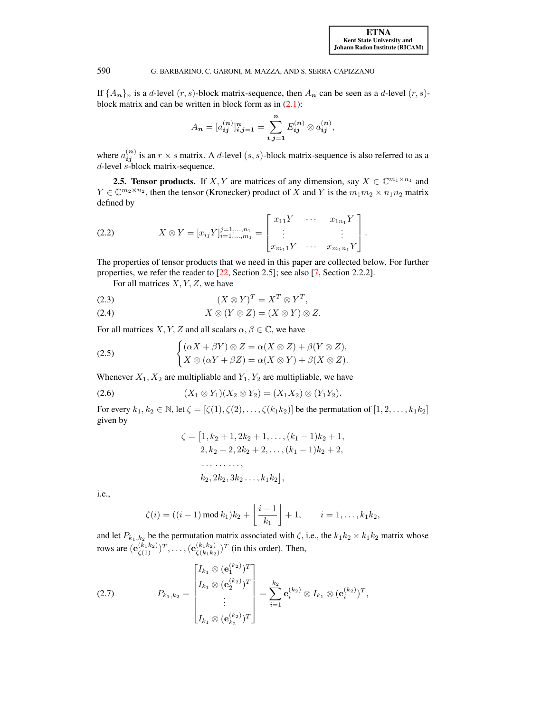If  $\{A_n\}_n$  is a d-level  $(r, s)$ -block matrix-sequence, then  $A_n$  can be seen as a d-level  $(r, s)$ block matrix and can be written in block form as in  $(2.1)$ :

$$
A_{n} = [a_{ij}^{(n)}]_{i,j=1}^{n} = \sum_{i,j=1}^{n} E_{ij}^{(n)} \otimes a_{ij}^{(n)},
$$

where  $a_{ij}^{(n)}$  is an  $r \times s$  matrix. A d-level  $(s, s)$ -block matrix-sequence is also referred to as a d-level s-block matrix-sequence.

<span id="page-5-0"></span>**2.5. Tensor products.** If X, Y are matrices of any dimension, say  $X \in \mathbb{C}^{m_1 \times n_1}$  and  $Y \in \mathbb{C}^{m_2 \times n_2}$ , then the tensor (Kronecker) product of X and Y is the  $m_1 m_2 \times n_1 n_2$  matrix defined by

<span id="page-5-1"></span>
$$
(2.2) \t\t X \otimes Y = [x_{ij}Y]_{i=1,\dots,n_1}^{j=1,\dots,n_1} = \begin{bmatrix} x_{11}Y & \cdots & x_{1n_1}Y \\ \vdots & & \vdots \\ x_{m_11}Y & \cdots & x_{m_1n_1}Y \end{bmatrix}.
$$

The properties of tensor products that we need in this paper are collected below. For further properties, we refer the reader to [\[22,](#page-31-4) Section 2.5]; see also [\[7,](#page-31-2) Section 2.2.2].

For all matrices  $X, Y, Z$ , we have

<span id="page-5-3"></span>
$$
(2.3) \t\t (X \otimes Y)^T = X^T \otimes Y^T,
$$

$$
(2.4) \t\t X \otimes (Y \otimes Z) = (X \otimes Y) \otimes Z.
$$

For all matrices X, Y, Z and all scalars  $\alpha, \beta \in \mathbb{C}$ , we have

(2.5) 
$$
\begin{cases} (\alpha X + \beta Y) \otimes Z = \alpha (X \otimes Z) + \beta (Y \otimes Z), \\ X \otimes (\alpha Y + \beta Z) = \alpha (X \otimes Y) + \beta (X \otimes Z). \end{cases}
$$

Whenever  $X_1, X_2$  are multipliable and  $Y_1, Y_2$  are multipliable, we have

(2.6) 
$$
(X_1 \otimes Y_1)(X_2 \otimes Y_2) = (X_1 X_2) \otimes (Y_1 Y_2).
$$

For every  $k_1, k_2 \in \mathbb{N}$ , let  $\zeta = [\zeta(1), \zeta(2), \ldots, \zeta(k_1 k_2)]$  be the permutation of  $[1, 2, \ldots, k_1 k_2]$ given by

<span id="page-5-4"></span><span id="page-5-2"></span>
$$
\zeta = [1, k_2 + 1, 2k_2 + 1, \dots, (k_1 - 1)k_2 + 1, 2, k_2 + 2, 2k_2 + 2, \dots, (k_1 - 1)k_2 + 2, \dots \dots \dots k_2, 2k_2, 3k_2 \dots, k_1k_2],
$$

i.e.,

$$
\zeta(i) = ((i-1) \mod k_1)k_2 + \left\lfloor \frac{i-1}{k_1} \right\rfloor + 1, \qquad i = 1, \ldots, k_1 k_2,
$$

and let  $P_{k_1,k_2}$  be the permutation matrix associated with  $\zeta$ , i.e., the  $k_1k_2 \times k_1k_2$  matrix whose rows are  $(\mathbf{e}_{\zeta(1)}^{(k_1k_2)})^T, \dots, (\mathbf{e}_{\zeta(k_1k_2)}^{(k_1k_2)}$  $\frac{(k_1 k_2)}{\zeta(k_1 k_2)}$ <sup>T</sup> (in this order). Then,

(2.7) 
$$
P_{k_1,k_2} = \begin{bmatrix} I_{k_1} \otimes (\mathbf{e}_1^{(k_2)})^T \\ I_{k_1} \otimes (\mathbf{e}_2^{(k_2)})^T \\ \vdots \\ I_{k_1} \otimes (\mathbf{e}_{k_2}^{(k_2)})^T \end{bmatrix} = \sum_{i=1}^{k_2} \mathbf{e}_i^{(k_2)} \otimes I_{k_1} \otimes (\mathbf{e}_i^{(k_2)})^T,
$$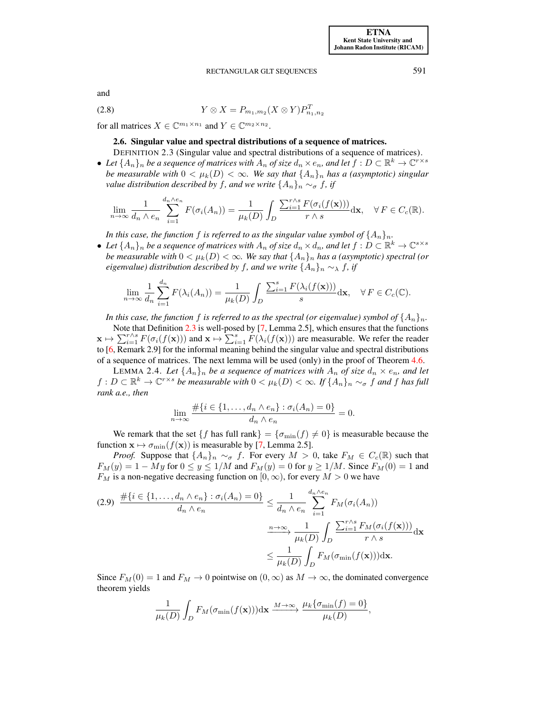<span id="page-6-3"></span>and

(2.8) 
$$
Y \otimes X = P_{m_1, m_2}(X \otimes Y) P_{n_1, n_2}^T
$$

<span id="page-6-0"></span>for all matrices  $X \in \mathbb{C}^{m_1 \times n_1}$  and  $Y \in \mathbb{C}^{m_2 \times n_2}$ .

## 2.6. Singular value and spectral distributions of a sequence of matrices.

<span id="page-6-1"></span>DEFINITION 2.3 (Singular value and spectral distributions of a sequence of matrices). • Let  $\{A_n\}_n$  be a sequence of matrices with  $A_n$  of size  $d_n \times e_n$ , and let  $f: D \subset \mathbb{R}^k \to \mathbb{C}^{r \times s}$ *be measurable with*  $0 < \mu_k(D) < \infty$ *. We say that*  $\{A_n\}_n$  *has a (asymptotic) singular* 

*value distribution described by f, and we write*  $\{A_n\}_n \sim_{\sigma} f$ , *if* 

$$
\lim_{n\to\infty}\frac{1}{d_n\wedge e_n}\sum_{i=1}^{d_n\wedge e_n}F(\sigma_i(A_n))=\frac{1}{\mu_k(D)}\int_D\frac{\sum_{i=1}^{r\wedge s}F(\sigma_i(f(\mathbf{x})))}{r\wedge s}\mathrm{d}\mathbf{x},\quad\forall\,F\in C_c(\mathbb{R}).
$$

*In this case, the function* f *is referred to as the singular value symbol of*  $\{A_n\}_n$ *.* 

• Let  $\{A_n\}_n$  be a sequence of matrices with  $A_n$  of size  $d_n \times d_n$ , and let  $f: D \subset \mathbb{R}^k \to \mathbb{C}^{s \times s}$ *be measurable with*  $0 < \mu_k(D) < \infty$ *. We say that*  $\{A_n\}_n$  *has a (asymptotic) spectral (or eigenvalue) distribution described by* f, and we write  $\{A_n\}_n \sim_\lambda$  f, if

$$
\lim_{n \to \infty} \frac{1}{d_n} \sum_{i=1}^{d_n} F(\lambda_i(A_n)) = \frac{1}{\mu_k(D)} \int_D \frac{\sum_{i=1}^s F(\lambda_i(f(\mathbf{x})))}{s} d\mathbf{x}, \quad \forall F \in C_c(\mathbb{C}).
$$

*In this case, the function* f *is referred to as the spectral (or eigenvalue) symbol of*  $\{A_n\}_n$ .

Note that Definition [2.3](#page-6-1) is well-posed by [\[7,](#page-31-2) Lemma 2.5], which ensures that the functions  $\mathbf{x} \mapsto \sum_{i=1}^{r \wedge s} F(\sigma_i(f(\mathbf{x})))$  and  $\mathbf{x} \mapsto \sum_{i=1}^{s} F(\lambda_i(f(\mathbf{x})))$  are measurable. We refer the reader to [\[6,](#page-31-1) Remark 2.9] for the informal meaning behind the singular value and spectral distributions of a sequence of matrices. The next lemma will be used (only) in the proof of Theorem [4.6.](#page-15-1)

<span id="page-6-4"></span>LEMMA 2.4. Let  $\{A_n\}_n$  be a sequence of matrices with  $A_n$  of size  $d_n \times e_n$ , and let  $f: D \subset \mathbb{R}^k \to \mathbb{C}^{r \times s}$  *be measurable with*  $0 < \mu_k(D) < \infty$ *. If*  $\{A_n\}_n \sim_\sigma f$  *and* f *has full rank a.e., then*

$$
\lim_{n \to \infty} \frac{\#\{i \in \{1, \ldots, d_n \wedge e_n\} : \sigma_i(A_n) = 0\}}{d_n \wedge e_n} = 0.
$$

We remark that the set  $\{f \text{ has full rank}\} = \{\sigma_{\min}(f) \neq 0\}$  is measurable because the function  $\mathbf{x} \mapsto \sigma_{\min}(f(\mathbf{x}))$  is measurable by [\[7,](#page-31-2) Lemma 2.5].

*Proof.* Suppose that  $\{A_n\}_n \sim_{\sigma} f$ . For every  $M > 0$ , take  $F_M \in C_c(\mathbb{R})$  such that  $F_M(y) = 1 - My$  for  $0 \le y \le 1/M$  and  $F_M(y) = 0$  for  $y \ge 1/M$ . Since  $F_M(0) = 1$  and  $F_M$  is a non-negative decreasing function on  $[0, \infty)$ , for every  $M > 0$  we have

<span id="page-6-2"></span>
$$
(2.9) \frac{\#\{i \in \{1, \ldots, d_n \wedge e_n\} : \sigma_i(A_n) = 0\}}{d_n \wedge e_n} \leq \frac{1}{d_n \wedge e_n} \sum_{i=1}^{d_n \wedge e_n} F_M(\sigma_i(A_n))
$$

$$
\xrightarrow{n \to \infty} \frac{1}{\mu_k(D)} \int_D \frac{\sum_{i=1}^{r \wedge s} F_M(\sigma_i(f(\mathbf{x})))}{r \wedge s} d\mathbf{x}
$$

$$
\leq \frac{1}{\mu_k(D)} \int_D F_M(\sigma_{\min}(f(\mathbf{x}))) d\mathbf{x}.
$$

Since  $F_M(0) = 1$  and  $F_M \to 0$  pointwise on  $(0, \infty)$  as  $M \to \infty$ , the dominated convergence theorem yields

$$
\frac{1}{\mu_k(D)} \int_D F_M(\sigma_{\min}(f(\mathbf{x}))) \mathrm{d}\mathbf{x} \xrightarrow{M \to \infty} \frac{\mu_k \{\sigma_{\min}(f) = 0\}}{\mu_k(D)},
$$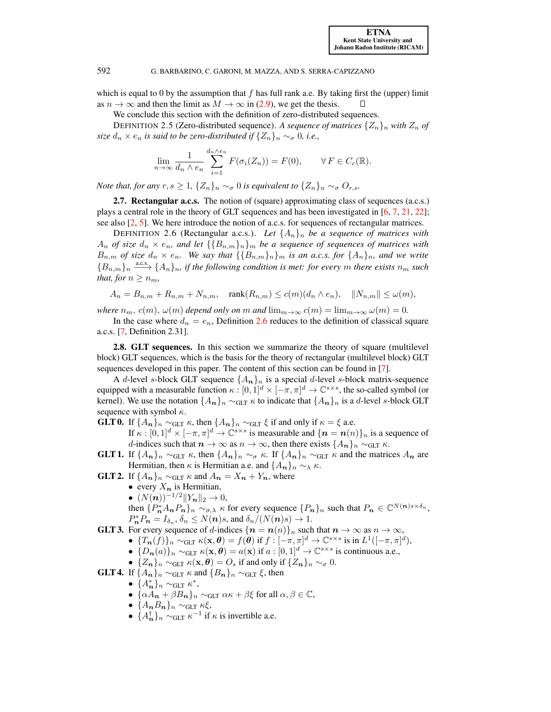which is equal to 0 by the assumption that f has full rank a.e. By taking first the (upper) limit as  $n \to \infty$  and then the limit as  $M \to \infty$  in [\(2.9\)](#page-6-2), we get the thesis.

We conclude this section with the definition of zero-distributed sequences.

<span id="page-7-3"></span>DEFINITION 2.5 (Zero-distributed sequence). A sequence of matrices  $\{Z_n\}_n$  with  $Z_n$  of *size*  $d_n \times e_n$  *is said to be zero-distributed if*  $\{Z_n\}_n \sim_{\sigma} 0$ *, i.e.,* 

$$
\lim_{n \to \infty} \frac{1}{d_n \wedge e_n} \sum_{i=1}^{d_n \wedge e_n} F(\sigma_i(Z_n)) = F(0), \qquad \forall F \in C_c(\mathbb{R}).
$$

*Note that, for any*  $r, s \geq 1$ ,  $\{Z_n\}_n \sim_{\sigma} 0$  *is equivalent to*  $\{Z_n\}_n \sim_{\sigma} 0$ <sub>*r,s*</sub>.

<span id="page-7-0"></span>2.7. Rectangular a.c.s. The notion of (square) approximating class of sequences (a.c.s.) plays a central role in the theory of GLT sequences and has been investigated in [\[6,](#page-31-1) [7,](#page-31-2) [21,](#page-31-3) [22\]](#page-31-4); see also [\[2,](#page-30-1) [5\]](#page-31-20). We here introduce the notion of a.c.s. for sequences of rectangular matrices.

<span id="page-7-2"></span>DEFINITION 2.6 (Rectangular a.c.s.). Let  $\{A_n\}_n$  be a sequence of matrices with  $A_n$  *of size*  $d_n \times e_n$ , and let  $\{\{B_{n,m}\}_n\}$  *be a sequence of sequences of matrices with*  $B_{n,m}$  *of size*  $d_n \times e_n$ *. We say that*  $\{\{B_{n,m}\}_n\}_m$  *is an a.c.s. for*  $\{A_n\}_n$ *, and we write*  ${B_{n,m}}_n \longrightarrow {A_n}_n$ , if the following condition is met: for every m there exists  $n_m$  such *that, for*  $n \geq n_m$ *,* 

$$
A_n=B_{n,m}+R_{n,m}+N_{n,m},\quad \operatorname{rank}(R_{n,m})\le c(m)(d_n\wedge e_n),\quad \|N_{n,m}\|\le \omega(m),
$$

*where*  $n_m$ ,  $c(m)$ ,  $\omega(m)$  *depend only on* m *and*  $\lim_{m\to\infty} c(m) = \lim_{m\to\infty} \omega(m) = 0$ .

In the case where  $d_n = e_n$ , Definition [2.6](#page-7-2) reduces to the definition of classical square a.c.s. [\[7,](#page-31-2) Definition 2.31].

<span id="page-7-1"></span>2.8. GLT sequences. In this section we summarize the theory of square (multilevel block) GLT sequences, which is the basis for the theory of rectangular (multilevel block) GLT sequences developed in this paper. The content of this section can be found in [\[7\]](#page-31-2).

A d-level s-block GLT sequence  $\{A_n\}_n$  is a special d-level s-block matrix-sequence equipped with a measurable function  $\kappa : [0, 1]^d \times [-\pi, \pi]^d \to \mathbb{C}^{s \times s}$ , the so-called symbol (or kernel). We use the notation  $\{A_n\}_n \sim_{\text{GLT}} \kappa$  to indicate that  $\{A_n\}_n$  is a d-level s-block GLT sequence with symbol  $\kappa$ .

- **GLT 0.** If  $\{A_n\}_n \sim_{\text{GLT}} \kappa$ , then  $\{A_n\}_n \sim_{\text{GLT}} \xi$  if and only if  $\kappa = \xi$  a.e. If  $\kappa : [0,1]^d \times [-\pi,\pi]^d \to \mathbb{C}^{s \times s}$  is measurable and  $\{n = n(n)\}\)n$  is a sequence of d-indices such that  $n \to \infty$  as  $n \to \infty$ , then there exists  $\{A_n\}_n \sim_{\text{GLT}} \kappa$ .
- **GLT 1.** If  $\{A_n\}_n \sim_{\text{GLT}} \kappa$ , then  $\{A_n\}_n \sim_{\sigma} \kappa$ . If  $\{A_n\}_n \sim_{\text{GLT}} \kappa$  and the matrices  $A_n$  are Hermitian, then  $\kappa$  is Hermitian a.e. and  $\{A_{n}\}_n \sim_{\lambda} \kappa$ .
- **GLT 2.** If  $\{A_n\}_n \sim_{\text{GLT}} \kappa$  and  $A_n = X_n + Y_n$ , where
	- every  $X_n$  is Hermitian,
	- $(N(n))^{-1/2}$ ||Y<sub>n</sub>||<sub>2</sub> → 0,

then  $\{P_n^* A_n P_n\}_n \sim_{\sigma,\lambda} \kappa$  for every sequence  $\{P_n\}_n$  such that  $P_n \in \mathbb{C}^{N(n)s \times \delta_n}$ ,  $P_{\boldsymbol{n}}^* P_{\boldsymbol{n}} = I_{\delta_n}, \delta_n \le N(\boldsymbol{n})s$ , and  $\delta_n/(N(\boldsymbol{n})s) \to 1$ .

**GLT 3.** For every sequence of d-indices  $\{n = n(n)\}\$ <sub>n</sub> such that  $n \to \infty$  as  $n \to \infty$ ,

- $\{T_{\boldsymbol{n}}(f)\}_n \sim_{\text{GLT}} \kappa(\mathbf{x}, \boldsymbol{\theta}) = f(\boldsymbol{\theta}) \text{ if } f : [-\pi, \pi]^d \to \mathbb{C}^{s \times s} \text{ is in } L^1([-\pi, \pi]^d),$
- $\{D_n(a)\}_n \sim_{\text{GLT}} \kappa(\mathbf{x}, \theta) = a(\mathbf{x}) \text{ if } a : [0,1]^d \to \mathbb{C}^{s \times s} \text{ is continuous a.e.,}$
- $\{Z_n\}_n \sim_{\text{GLT}} \kappa(\mathbf{x}, \theta) = O_s$  if and only if  $\{Z_n\}_n \sim_{\sigma} 0$ .

**GLT 4.** If  $\{A_n\}_n \sim_{\text{GLT}} \kappa$  and  $\{B_n\}_n \sim_{\text{GLT}} \xi$ , then

- $\bullet$  { $A_n^*$ }<sub>n</sub> ~<sub>GLT</sub>  $\kappa^*$ ,
- $\{\alpha A_n + \beta B_n\}_n \sim_{\text{GLT}} \alpha \kappa + \beta \xi$  for all  $\alpha, \beta \in \mathbb{C}$ ,
- $\bullet$  { $A_nB_n$ }<sub>n</sub> ∼<sub>GLT</sub>  $\kappa \xi$ ,
- $\{A_{\mathbf{n}}^{\dagger}\}_n \sim_{\text{GLT}} \kappa^{-1}$  if  $\kappa$  is invertible a.e.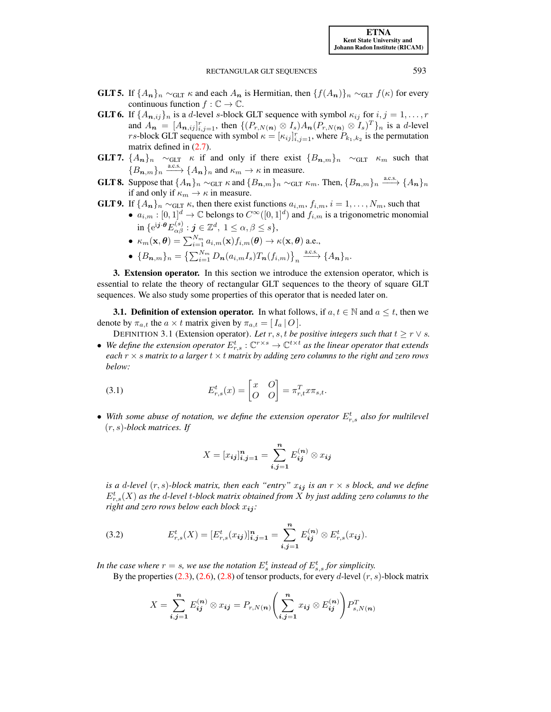- **GLT 5.** If  $\{A_n\}_n \sim_{\text{GLT}} \kappa$  and each  $A_n$  is Hermitian, then  $\{f(A_n)\}_n \sim_{\text{GLT}} f(\kappa)$  for every continuous function  $f : \mathbb{C} \to \mathbb{C}$ .
- **GLT 6.** If  $\{A_{n,ij}\}_n$  is a d-level s-block GLT sequence with symbol  $\kappa_{ij}$  for  $i, j = 1, ..., r$ and  $A_n = [A_{n,ij}]_{i,j=1}^r$ , then  $\{(P_{r,N(n)} \otimes I_s)A_n(P_{r,N(n)} \otimes I_s)^T\}_n$  is a d-level *rs*-block GLT sequence with symbol  $\kappa = [\kappa_{ij}]_{i,j=1}^r$ , where  $P_{k_1,k_2}$  is the permutation matrix defined in  $(2.7)$ .
- **GLT 7.**  $\{A_n\}_n \sim_{\text{GLT}} \kappa$  if and only if there exist  $\{B_{n,m}\}_n \sim_{\text{GLT}} \kappa_m$  such that  ${B_{n,m}}_n \xrightarrow{a.c.s.} {A_n}_n$  and  $\kappa_m \to \kappa$  in measure.
- **GLT 8.** Suppose that  $\{A_n\}_n \sim_{\text{GLT}} \kappa$  and  $\{B_{n,m}\}_n \sim_{\text{GLT}} \kappa_m$ . Then,  $\{B_{n,m}\}_n \stackrel{\text{a.c.s.}}{\longrightarrow} \{A_n\}_n$ if and only if  $\kappa_m \to \kappa$  in measure.
- **GLT 9.** If  $\{A_n\}_n \sim_{\text{GLT}} \kappa$ , then there exist functions  $a_{i,m}$ ,  $f_{i,m}$ ,  $i = 1, \ldots, N_m$ , such that •  $a_{i,m} : [0,1]^d \to \mathbb{C}$  belongs to  $C^{\infty}([0,1]^d)$  and  $f_{i,m}$  is a trigonometric monomial in  $\{e^{{\rm i} {\boldsymbol j} \cdot {\boldsymbol \theta}} E_{\alpha \beta}^{(s)}: {\boldsymbol j} \in {\mathbb Z}^d, \ 1 \le \alpha, \beta \le s\},$

\n- \n
$$
\kappa_m(\mathbf{x}, \boldsymbol{\theta}) = \sum_{i=1}^{N_m} a_{i,m}(\mathbf{x}) f_{i,m}(\boldsymbol{\theta}) \to \kappa(\mathbf{x}, \boldsymbol{\theta}) \text{ a.e.,}
$$
\n
\n- \n
$$
\{B_{n,m}\}_n = \left\{ \sum_{i=1}^{N_m} D_n(a_{i,m} I_s) T_n(f_{i,m}) \right\}_n \xrightarrow{\text{a.c.s.}} \{A_n\}_n.
$$
\n
\n

<span id="page-8-0"></span>3. Extension operator. In this section we introduce the extension operator, which is essential to relate the theory of rectangular GLT sequences to the theory of square GLT sequences. We also study some properties of this operator that is needed later on.

<span id="page-8-1"></span>**3.1. Definition of extension operator.** In what follows, if  $a, t \in \mathbb{N}$  and  $a \leq t$ , then we denote by  $\pi_{a,t}$  the  $a \times t$  matrix given by  $\pi_{a,t} = [I_a | O].$ 

DEFINITION 3.1 (Extension operator). Let  $r, s, t$  be positive integers such that  $t \geq r \vee s$ .

• We define the extension operator  $E_{r,s}^t : \mathbb{C}^{r \times s} \to \mathbb{C}^{t \times t}$  as the linear operator that extends *each* r × s *matrix to a larger* t × t *matrix by adding zero columns to the right and zero rows below:*

<span id="page-8-3"></span>(3.1) 
$$
E_{r,s}^t(x) = \begin{bmatrix} x & 0 \\ O & 0 \end{bmatrix} = \pi_{r,t}^T x \pi_{s,t}.
$$

• With some abuse of notation, we define the extension operator  $E_{r,s}^t$  also for multilevel (r, s)*-block matrices. If*

<span id="page-8-2"></span>
$$
X = [x_{ij}]_{i,j=1}^n = \sum_{i,j=1}^n E_{ij}^{(n)} \otimes x_{ij}
$$

*is a d-level*  $(r, s)$ -block matrix, then each "entry"  $x_{ij}$  *is an*  $r \times s$  block, and we define  $E^t_{r,s}(X)$  as the d-level  $t$ -block matrix obtained from  $\overline{X}$  by just adding zero columns to the *right and zero rows below each block*  $x_{ij}$ *:* 

(3.2) 
$$
E_{r,s}^t(X) = [E_{r,s}^t(x_{ij})]_{i,j=1}^n = \sum_{i,j=1}^n E_{ij}^{(n)} \otimes E_{r,s}^t(x_{ij}).
$$

In the case where  $r = s$ , we use the notation  $E_s^t$  instead of  $E_{s,s}^t$  for simplicity.

By the properties  $(2.3)$ ,  $(2.6)$ ,  $(2.8)$  of tensor products, for every d-level  $(r, s)$ -block matrix

$$
X = \sum_{i,j=1}^{n} E_{ij}^{(n)} \otimes x_{ij} = P_{r,N(n)} \left( \sum_{i,j=1}^{n} x_{ij} \otimes E_{ij}^{(n)} \right) P_{s,N(n)}^{T}
$$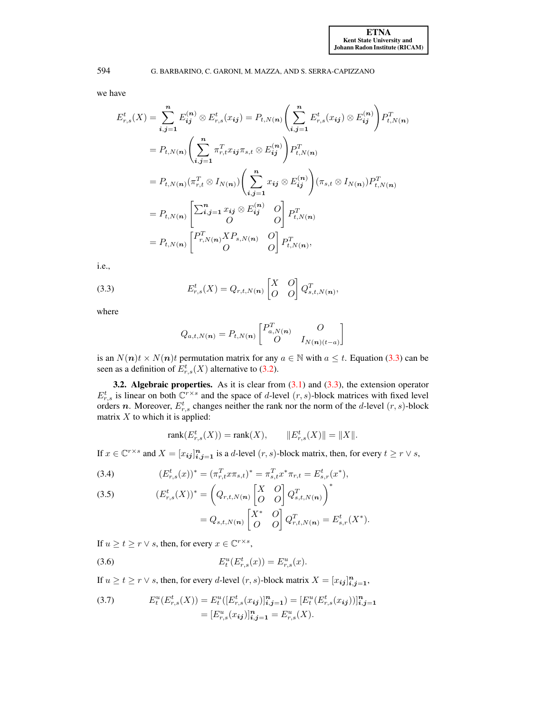we have

$$
E_{r,s}^{t}(X) = \sum_{i,j=1}^{n} E_{ij}^{(n)} \otimes E_{r,s}^{t}(x_{ij}) = P_{t,N(n)} \left( \sum_{i,j=1}^{n} E_{r,s}^{t}(x_{ij}) \otimes E_{ij}^{(n)} \right) P_{t,N(n)}^{T}
$$
  
\n
$$
= P_{t,N(n)} \left( \sum_{i,j=1}^{n} \pi_{r,t}^{T} x_{ij} \pi_{s,t} \otimes E_{ij}^{(n)} \right) P_{t,N(n)}^{T}
$$
  
\n
$$
= P_{t,N(n)} (\pi_{r,t}^{T} \otimes I_{N(n)}) \left( \sum_{i,j=1}^{n} x_{ij} \otimes E_{ij}^{(n)} \right) (\pi_{s,t} \otimes I_{N(n)}) P_{t,N(n)}^{T}
$$
  
\n
$$
= P_{t,N(n)} \left[ \sum_{i,j=1}^{n} x_{ij} \otimes E_{ij}^{(n)} \right] P_{t,N(n)}^{T}
$$
  
\n
$$
= P_{t,N(n)} \left[ \begin{matrix} P_{r,N(n)}^{T} X P_{s,N(n)} & O \ O \ O \end{matrix} \right] P_{t,N(n)}^{T}
$$
  
\n
$$
= P_{t,N(n)} \left[ \begin{matrix} P_{r,N(n)}^{T} X P_{s,N(n)} & O \ O \ O \ O \end{matrix} \right] P_{t,N(n)}^{T},
$$

i.e.,

<span id="page-9-1"></span>(3.3) 
$$
E_{r,s}^t(X) = Q_{r,t,N(n)} \begin{bmatrix} X & O \\ O & O \end{bmatrix} Q_{s,t,N(n)}^T,
$$

where

$$
Q_{a,t,N(n)} = P_{t,N(n)} \begin{bmatrix} P_{a,N(n)}^T & O \\ O & I_{N(n)(t-a)} \end{bmatrix}
$$

is an  $N(n)t \times N(n)t$  permutation matrix for any  $a \in \mathbb{N}$  with  $a \leq t$ . Equation [\(3.3\)](#page-9-1) can be seen as a definition of  $E^t_{r,s}(X)$  alternative to [\(3.2\)](#page-8-2).

<span id="page-9-0"></span>**3.2. Algebraic properties.** As it is clear from  $(3.1)$  and  $(3.3)$ , the extension operator  $E_{r,s}^t$  is linear on both  $\mathbb{C}^{r\times s}$  and the space of d-level  $(r, s)$ -block matrices with fixed level orders *n*. Moreover,  $E_{r,s}^t$  changes neither the rank nor the norm of the *d*-level  $(r, s)$ -block matrix  $X$  to which it is applied:

$$
rank(E_{r,s}^t(X)) = rank(X), \qquad ||E_{r,s}^t(X)|| = ||X||.
$$

If  $x \in \mathbb{C}^{r \times s}$  and  $X = [x_{ij}]_{i,j=1}^n$  is a d-level  $(r, s)$ -block matrix, then, for every  $t \ge r \vee s$ ,

<span id="page-9-4"></span>(3.4) 
$$
(E_{r,s}^t(x))^* = (\pi_{r,t}^T x \pi_{s,t})^* = \pi_{s,t}^T x^* \pi_{r,t} = E_{s,r}^t(x^*),
$$

<span id="page-9-5"></span>(3.5) 
$$
(E_{r,s}^{t}(X))^* = \left(Q_{r,t,N(n)} \begin{bmatrix} X & O \\ O & O \end{bmatrix} Q_{s,t,N(n)}^T\right)^*
$$

$$
= Q_{s,t,N(n)} \begin{bmatrix} X^* & O \\ O & O \end{bmatrix} Q_{r,t,N(n)}^T = E_{s,r}^{t}(X^*).
$$

If  $u \ge t \ge r \vee s$ , then, for every  $x \in \mathbb{C}^{r \times s}$ ,

<span id="page-9-2"></span>(3.6) 
$$
E_t^u(E_{r,s}^t(x)) = E_{r,s}^u(x).
$$

If  $u \ge t \ge r \vee s$ , then, for every d-level  $(r, s)$ -block matrix  $X = [x_{ij}]_{i,j=1}^n$ ,

<span id="page-9-3"></span>(3.7) 
$$
E_t^u(E_{r,s}^t(X)) = E_t^u([E_{r,s}^t(x_{ij})]_{i,j=1}^n) = [E_t^u(E_{r,s}^t(x_{ij}))]_{i,j=1}^n
$$

$$
= [E_{r,s}^u(x_{ij})]_{i,j=1}^n = E_{r,s}^u(X).
$$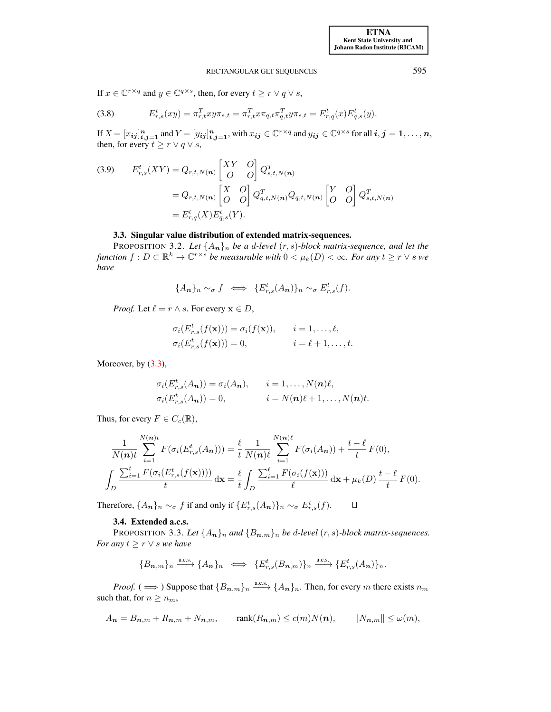If  $x \in \mathbb{C}^{r \times q}$  and  $y \in \mathbb{C}^{q \times s}$ , then, for every  $t \ge r \vee q \vee s$ ,

(3.8) 
$$
E_{r,s}^t(xy) = \pi_{r,t}^T xy \pi_{s,t} = \pi_{r,t}^T x \pi_{q,t} \pi_{q,t}^T y \pi_{s,t} = E_{r,q}^t(x) E_{q,s}^t(y).
$$

If  $X = [x_{ij}]_{i,j=1}^n$  and  $Y = [y_{ij}]_{i,j=1}^n$ , with  $x_{ij} \in \mathbb{C}^{r \times q}$  and  $y_{ij} \in \mathbb{C}^{q \times s}$  for all  $i, j = 1, \ldots, n$ , then, for every  $t \ge r \vee q \vee s$ ,

<span id="page-10-3"></span>(3.9) 
$$
E_{r,s}^{t}(XY) = Q_{r,t,N(n)} \begin{bmatrix} XY & O \\ O & O \end{bmatrix} Q_{s,t,N(n)}^{T}
$$

$$
= Q_{r,t,N(n)} \begin{bmatrix} X & O \\ O & O \end{bmatrix} Q_{q,t,N(n)}^{T} Q_{q,t,N(n)} \begin{bmatrix} Y & O \\ O & O \end{bmatrix} Q_{s,t,N(n)}^{T}
$$

$$
= E_{r,q}^{t}(X) E_{q,s}^{t}(Y).
$$

## 3.3. Singular value distribution of extended matrix-sequences.

<span id="page-10-0"></span>PROPOSITION 3.2. Let  $\{A_n\}_n$  *be a d-level*  $(r, s)$ -block matrix-sequence, and let the *function*  $f: D \subset \mathbb{R}^k \to \mathbb{C}^{r \times s}$  *be measurable with*  $0 < \mu_k(D) < \infty$ *. For any*  $t \geq r \vee s$  *we have*

$$
\{A_{n}\}_{n} \sim_{\sigma} f \iff \{E_{r,s}^{t}(A_{n})\}_{n} \sim_{\sigma} E_{r,s}^{t}(f).
$$

*Proof.* Let  $\ell = r \wedge s$ . For every  $\mathbf{x} \in D$ ,

$$
\sigma_i(E_{r,s}^t(f(\mathbf{x}))) = \sigma_i(f(\mathbf{x})), \quad i = 1, \dots, \ell,
$$
  

$$
\sigma_i(E_{r,s}^t(f(\mathbf{x}))) = 0, \quad i = \ell + 1, \dots, t.
$$

Moreover, by  $(3.3)$ ,

$$
\sigma_i(E_{r,s}^t(A_n)) = \sigma_i(A_n), \qquad i = 1,\ldots,N(n)\ell,
$$
  

$$
\sigma_i(E_{r,s}^t(A_n)) = 0, \qquad i = N(n)\ell + 1,\ldots,N(n)t.
$$

Thus, for every  $F \in C_c(\mathbb{R})$ ,

$$
\frac{1}{N(\boldsymbol{n})t} \sum_{i=1}^{N(\boldsymbol{n})t} F(\sigma_i(E_{r,s}^t(A_{\boldsymbol{n}}))) = \frac{\ell}{t} \frac{1}{N(\boldsymbol{n})t} \sum_{i=1}^{N(\boldsymbol{n})t} F(\sigma_i(A_{\boldsymbol{n}})) + \frac{t-\ell}{t} F(0),
$$
\n
$$
\int_D \frac{\sum_{i=1}^t F(\sigma_i(E_{r,s}^t(f(\mathbf{x}))))}{t} d\mathbf{x} = \frac{\ell}{t} \int_D \frac{\sum_{i=1}^t F(\sigma_i(f(\mathbf{x})))}{\ell} d\mathbf{x} + \mu_k(D) \frac{t-\ell}{t} F(0).
$$

Therefore,  $\{A_{n}\}_n \sim_{\sigma} f$  if and only if  $\{E_{r,s}^{t}(A_{n})\}_n \sim_{\sigma} E_{r,s}^{t}(f)$ .  $\Box$ 

## 3.4. Extended a.c.s.

<span id="page-10-4"></span><span id="page-10-1"></span>PROPOSITION 3.3. Let  $\{A_n\}_n$  and  $\{B_{n,m}\}_n$  be d-level  $(r, s)$ -block matrix-sequences. *For any*  $t \geq r \vee s$  *we have* 

$$
\{B_{n,m}\}_n \xrightarrow{\text{a.c.s.}} \{A_n\}_n \iff \{E_{r,s}^t(B_{n,m})\}_n \xrightarrow{\text{a.c.s.}} \{E_{r,s}^t(A_n)\}_n.
$$

*Proof.* ( $\implies$ ) Suppose that  ${B_{n,m}}_n \longrightarrow {A_n}_n$ . Then, for every m there exists  $n_m$ such that, for  $n \geq n_m$ ,

$$
A_{\mathbf{n}} = B_{\mathbf{n},m} + R_{\mathbf{n},m} + N_{\mathbf{n},m}, \qquad \text{rank}(R_{\mathbf{n},m}) \le c(m)N(\mathbf{n}), \qquad \|N_{\mathbf{n},m}\| \le \omega(m),
$$

<span id="page-10-5"></span><span id="page-10-2"></span>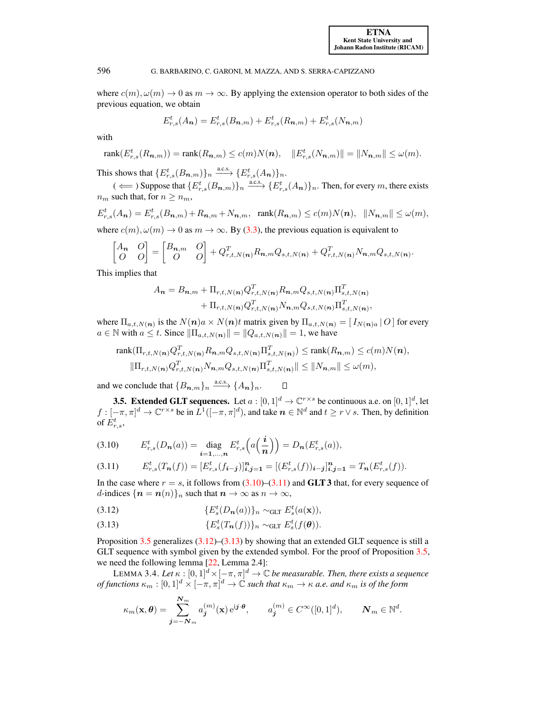,

596 G. BARBARINO, C. GARONI, M. MAZZA, AND S. SERRA-CAPIZZANO

where  $c(m)$ ,  $\omega(m) \rightarrow 0$  as  $m \rightarrow \infty$ . By applying the extension operator to both sides of the previous equation, we obtain

$$
E_{r,s}^t(A_n) = E_{r,s}^t(B_{n,m}) + E_{r,s}^t(R_{n,m}) + E_{r,s}^t(N_{n,m})
$$

with

$$
rank(E_{r,s}^t(R_{n,m})) = rank(R_{n,m}) \le c(m)N(n), \quad ||E_{r,s}^t(N_{n,m})|| = ||N_{n,m}|| \le \omega(m).
$$

This shows that  $\{E_{r,s}^t(B_{n,m})\}_n \xrightarrow{\text{a.c.s.}} \{E_{r,s}^t(A_n)\}_n$ .

 $(\iff)$  Suppose that  $\{E_{r,s}^t(B_{n,m})\}_n \stackrel{\text{a.c.s.}}{\longrightarrow} \{E_{r,s}^t(A_n)\}_n$ . Then, for every m, there exists  $n_m$  such that, for  $n \geq n_m$ ,

$$
E_{r,s}^t(A_{\mathbf{n}}) = E_{r,s}^t(B_{\mathbf{n},m}) + R_{\mathbf{n},m} + N_{\mathbf{n},m}, \quad \text{rank}(R_{\mathbf{n},m}) \le c(m)N(\mathbf{n}), \quad ||N_{\mathbf{n},m}|| \le \omega(m),
$$
  
where  $c(m), \omega(m) \to 0$  as  $m \to \infty$ . By (3.3), the previous equation is equivalent to

$$
\begin{bmatrix} A_{\boldsymbol{n}} & O \\ O & O \end{bmatrix} = \begin{bmatrix} B_{\boldsymbol{n},m} & O \\ O & O \end{bmatrix} + Q_{r,t,N(\boldsymbol{n})}^T R_{\boldsymbol{n},m} Q_{s,t,N(\boldsymbol{n})} + Q_{r,t,N(\boldsymbol{n})}^T N_{\boldsymbol{n},m} Q_{s,t,N(\boldsymbol{n})}.
$$

This implies that

$$
A_{n} = B_{n,m} + \Pi_{r,t,N(n)} Q_{r,t,N(n)}^T R_{n,m} Q_{s,t,N(n)} \Pi_{s,t,N(n)}^T
$$

$$
+ \Pi_{r,t,N(n)} Q_{r,t,N(n)}^T N_{n,m} Q_{s,t,N(n)} \Pi_{s,t,N(n)}^T
$$

where  $\Pi_{a,t,N(n)}$  is the  $N(n)a \times N(n)t$  matrix given by  $\Pi_{a,t,N(n)} = [I_{N(n)a} | O]$  for every  $a \in \mathbb{N}$  with  $a \leq t$ . Since  $\|\Pi_{a,t,N(n)}\| = \|Q_{a,t,N(n)}\| = 1$ , we have

$$
\text{rank}(\Pi_{r,t,N(n)}Q_{r,t,N(n)}^T R_{n,m}Q_{s,t,N(n)}\Pi_{s,t,N(n)}^T) \leq \text{rank}(R_{n,m}) \leq c(m)N(n),
$$
  

$$
\|\Pi_{r,t,N(n)}Q_{r,t,N(n)}^T N_{n,m}Q_{s,t,N(n)}\Pi_{s,t,N(n)}^T\| \leq \|N_{n,m}\| \leq \omega(m),
$$

 $\Box$ 

and we conclude that  ${B_{n,m}}_n \xrightarrow{a.c.s.} {A_n}_n$ .

<span id="page-11-0"></span>**3.5. Extended GLT sequences.** Let  $a : [0,1]^d \to \mathbb{C}^{r \times s}$  be continuous a.e. on  $[0,1]^d$ , let  $f: [-\pi, \pi]^d \to \mathbb{C}^{r \times s}$  be in  $L^1([-\pi, \pi]^d)$ , and take  $n \in \mathbb{N}^d$  and  $t \ge r \vee s$ . Then, by definition of  $E^{t}_{r,s}$ ,

<span id="page-11-1"></span>(3.10) 
$$
E_{r,s}^t(D_n(a)) = \underset{i=1,...,n}{\text{diag}} E_{r,s}^t\Big(a\Big(\frac{i}{n}\Big)\Big) = D_n(E_{r,s}^t(a)),
$$

<span id="page-11-2"></span>
$$
(3.11) \t E_{r,s}^t(T_n(f)) = [E_{r,s}^t(f_{i-j})]_{i,j=1}^n = [(E_{r,s}^t(f))_{i-j}]_{i,j=1}^n = T_n(E_{r,s}^t(f)).
$$

In the case where  $r = s$ , it follows from  $(3.10)$ – $(3.11)$  and **GLT 3** that, for every sequence of d-indices  $\{n = n(n)\}\$ n such that  $n \to \infty$  as  $n \to \infty$ ,

<span id="page-11-3"></span>(3.12) 
$$
\{E_s^t(D_n(a))\}_n \sim_{\text{GLT}} E_s^t(a(\mathbf{x})),
$$

<span id="page-11-4"></span>(3.13) 
$$
\{E_s^t(T_n(f))\}_n \sim_{\text{GLT}} E_s^t(f(\theta)).
$$

Proposition [3.5](#page-12-0) generalizes  $(3.12)$ – $(3.13)$  by showing that an extended GLT sequence is still a GLT sequence with symbol given by the extended symbol. For the proof of Proposition [3.5,](#page-12-0) we need the following lemma [\[22,](#page-31-4) Lemma 2.4]:

<span id="page-11-5"></span>LEMMA 3.4. Let  $\kappa : [0,1]^d \times [-\pi,\pi]^d \to \mathbb{C}$  *be measurable. Then, there exists a sequence*  $of$  functions  $\kappa_m:[0,1]^d\times [-\pi,\pi]^d\to \mathbb{C}$  such that  $\kappa_m\to\kappa$  a.e. and  $\kappa_m$  is of the form

$$
\kappa_m(\mathbf{x}, \boldsymbol{\theta}) = \sum_{\boldsymbol{j} = -\mathbf{N}_m}^{\mathbf{N}_m} a_{\boldsymbol{j}}^{(m)}(\mathbf{x}) e^{\mathrm{i}\boldsymbol{j}\cdot\boldsymbol{\theta}}, \qquad a_{\boldsymbol{j}}^{(m)} \in C^\infty([0,1]^d), \qquad \mathbf{N}_m \in \mathbb{N}^d.
$$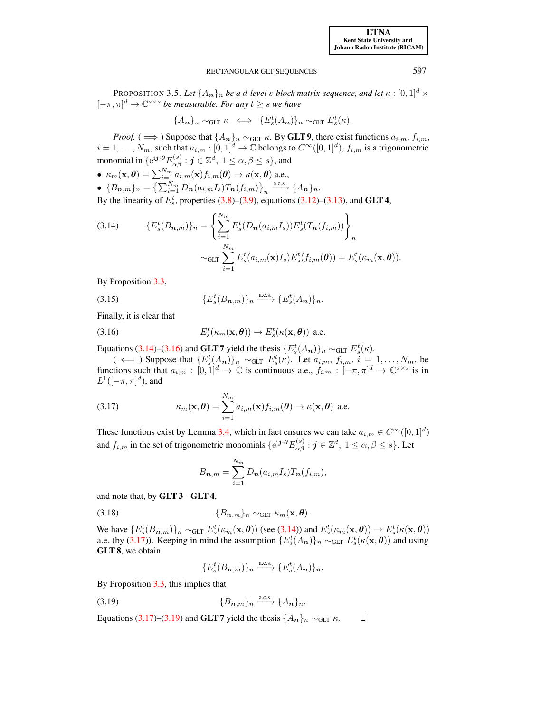[ETNA](http://etna.ricam.oeaw.ac.at) [Kent State University and](http://www.kent.edu) [Johann Radon Institute \(RICAM\)](http://www.ricam.oeaw.ac.at)

## RECTANGULAR GLT SEQUENCES 597

<span id="page-12-0"></span>**PROPOSITION 3.5.** Let  $\{A_n\}_n$  be a d-level s-block matrix-sequence, and let  $\kappa : [0, 1]^d \times$  $[-\pi, \pi]^d \to \mathbb{C}^{s \times s}$  *be measurable. For any*  $t \geq s$  *we have* 

$$
\{A_{\boldsymbol{n}}\}_n \sim_{\text{GLT}} \kappa \iff \{E_s^t(A_{\boldsymbol{n}})\}_n \sim_{\text{GLT}} E_s^t(\kappa).
$$

*Proof.* (  $\implies$  ) Suppose that  $\{A_n\}_n \sim_{\text{GLT}} \kappa$ . By **GLT 9**, there exist functions  $a_{i,m}$ ,  $f_{i,m}$ ,  $i = 1, \ldots, N_m$ , such that  $a_{i,m} : [0,1]^d \to \mathbb{C}$  belongs to  $C^{\infty}([0,1]^d)$ ,  $f_{i,m}$  is a trigonometric monomial in  $\{e^{{\rm i} \bm j \cdot \bm \theta} E_{\alpha \beta}^{(s)}: \bm j \in \mathbb{Z}^d, \ 1 \leq \alpha, \beta \leq s\},$  and

 $\bullet~~\kappa_m(\mathbf{x}, \boldsymbol{\theta}) = \sum_{i=1}^{N_m} a_{i,m}(\mathbf{x}) f_{i,m}(\boldsymbol{\theta}) \to \kappa(\mathbf{x}, \boldsymbol{\theta})$  a.e., •  ${B_{n,m}}_n = {\sum_{i=1}^{N_m} D_n(a_{i,m}I_s)T_n(f_{i,m})}_n \xrightarrow{a.c.s.} {A_n}_n.$ 

By the linearity of  $E_s^t$ , properties [\(3.8\)](#page-10-2)–[\(3.9\)](#page-10-3), equations [\(3.12\)](#page-11-3)–[\(3.13\)](#page-11-4), and **GLT 4**,

<span id="page-12-1"></span>(3.14) 
$$
\{E_s^t(B_{n,m})\}_n = \left\{\sum_{i=1}^{N_m} E_s^t(D_n(a_{i,m}I_s))E_s^t(T_n(f_{i,m}))\right\}_n
$$

$$
\sim_{\text{GLT}} \sum_{i=1}^{N_m} E_s^t(a_{i,m}(\mathbf{x})I_s)E_s^t(f_{i,m}(\boldsymbol{\theta})) = E_s^t(\kappa_m(\mathbf{x}, \boldsymbol{\theta})).
$$

By Proposition [3.3,](#page-10-4)

(3.15) 
$$
\{E_s^t(B_{n,m})\}_n \xrightarrow{\text{a.c.s.}} \{E_s^t(A_n)\}_n.
$$

<span id="page-12-2"></span>Finally, it is clear that

(3.16) 
$$
E_s^t(\kappa_m(\mathbf{x}, \boldsymbol{\theta})) \to E_s^t(\kappa(\mathbf{x}, \boldsymbol{\theta})) \text{ a.e.}
$$

Equations [\(3.14\)](#page-12-1)–[\(3.16\)](#page-12-2) and **GLT 7** yield the thesis  $\{E_s^t(A_n)\}_n \sim_{\text{GLT}} E_s^t(\kappa)$ .

<span id="page-12-3"></span>(  $\Leftarrow$  ) Suppose that  $\{E_s^t(A_n)\}_n \sim_{\text{GLT}} E_s^t(\kappa)$ . Let  $a_{i,m}, f_{i,m}, i = 1, \ldots, N_m$ , be functions such that  $a_{i,m} : [0,1]^d \to \mathbb{C}$  is continuous a.e.,  $f_{i,m} : [-\pi, \pi]^d \to \mathbb{C}^{s \times s}$  is in  $L^1([-\pi,\pi]^d)$ , and

(3.17) 
$$
\kappa_m(\mathbf{x}, \boldsymbol{\theta}) = \sum_{i=1}^{N_m} a_{i,m}(\mathbf{x}) f_{i,m}(\boldsymbol{\theta}) \to \kappa(\mathbf{x}, \boldsymbol{\theta}) \text{ a.e.}
$$

These functions exist by Lemma [3.4,](#page-11-5) which in fact ensures we can take  $a_{i,m} \in C^{\infty}([0,1]^d)$ and  $f_{i,m}$  in the set of trigonometric monomials  $\{e^{i\bm{j}\cdot\bm{\theta}}E^{(s)}_{\alpha\beta} : \bm{j} \in \mathbb{Z}^d, 1 \leq \alpha, \beta \leq s\}$ . Let

$$
B_{\boldsymbol{n},m} = \sum_{i=1}^{N_m} D_{\boldsymbol{n}}(a_{i,m}I_s)T_{\boldsymbol{n}}(f_{i,m}),
$$

and note that, by  $GLT$  3 –  $GLT$  4,

$$
(3.18) \t\t \{B_{n,m}\}_n \sim_{\text{GLT}} \kappa_m(\mathbf{x}, \boldsymbol{\theta}).
$$

We have  $\{E_s^t(B_{n,m})\}_n \sim_{\text{GLT}} E_s^t(\kappa_m(\mathbf{x}, \theta))$  (see [\(3.14\)](#page-12-1)) and  $E_s^t(\kappa_m(\mathbf{x}, \theta)) \to E_s^t(\kappa(\mathbf{x}, \theta))$ a.e. (by [\(3.17\)](#page-12-3)). Keeping in mind the assumption  $\{E_s^t(A_n)\}_n \sim_{\text{GLT}} E_s^t(\kappa(\mathbf{x}, \theta))$  and using GLT 8, we obtain

<span id="page-12-4"></span>
$$
\{E_s^t(B_{n,m})\}_n \xrightarrow{\text{a.c.s.}} \{E_s^t(A_n)\}_n.
$$

By Proposition [3.3,](#page-10-4) this implies that

$$
(3.19) \qquad \{B_{n,m}\}_n \xrightarrow{\text{a.c.s.}} \{A_n\}_n.
$$

Equations [\(3.17\)](#page-12-3)–[\(3.19\)](#page-12-4) and GLT 7 yield the thesis  $\{A_{n}\}_n \sim_{\text{GLT}} \kappa$ .  $\Box$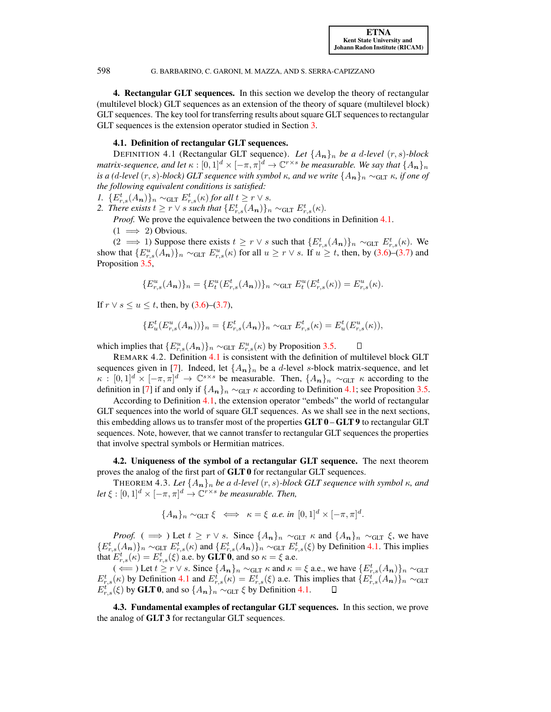<span id="page-13-0"></span>4. Rectangular GLT sequences. In this section we develop the theory of rectangular (multilevel block) GLT sequences as an extension of the theory of square (multilevel block) GLT sequences. The key tool for transferring results about square GLT sequences to rectangular GLT sequences is the extension operator studied in Section [3.](#page-8-0)

## 4.1. Definition of rectangular GLT sequences.

<span id="page-13-4"></span><span id="page-13-1"></span>DEFINITION 4.1 (Rectangular GLT sequence). Let  $\{A_n\}_n$  be a d-level  $(r, s)$ -block matrix-sequence, and let  $\kappa:[0,1]^d\times[-\pi,\pi]^d\to\mathbb C^{r\times s}$  be measurable. We say that  $\{A_{\bm n}\}_n$ *is a (d-level (r, s)-block) GLT sequence with symbol*  $\kappa$ *, and we write*  $\{A_{n}\}_n \sim_{\text{GLT}} \kappa$ *, if one of the following equivalent conditions is satisfied:*

- *1.*  $\{E_{r,s}^t(A_n)\}_n \sim_{\text{GLT}} E_{r,s}^t(\kappa)$  *for all*  $t \geq r \vee s$ *.*
- *2. There exists*  $t \geq r \vee s$  *such that*  $\{E_{r,s}^t(A_n)\}_n \sim_{\text{GLT}} E_{r,s}^t(\kappa)$ *.*

*Proof.* We prove the equivalence between the two conditions in Definition [4.1.](#page-13-4)

 $(1 \implies 2)$  Obvious.

(2 ⇒ 1) Suppose there exists  $t \geq r$   $\vee$  s such that  $\{E_{r,s}^{t}(A_{n})\}_n \sim_{\text{GLT}} E_{r,s}^{t}(\kappa)$ . We show that  $\{E_{r,s}^u(A_n)\}_n \sim_{\text{GLT}} E_{r,s}^u(\kappa)$  for all  $u \geq r \vee s$ . If  $u \geq t$ , then, by [\(3.6\)](#page-9-2)–[\(3.7\)](#page-9-3) and Proposition [3.5,](#page-12-0)

$$
\{E_{r,s}^u(A_n)\}_n = \{E_t^u(E_{r,s}^t(A_n))\}_n \sim_{\text{GLT}} E_t^u(E_{r,s}^t(\kappa)) = E_{r,s}^u(\kappa).
$$

If  $r \lor s \le u \le t$ , then, by [\(3.6\)](#page-9-2)–[\(3.7\)](#page-9-3),

$$
\{E_u^t(E_{r,s}^u(A_{\mathbf{n}}))\}_n = \{E_{r,s}^t(A_{\mathbf{n}})\}_n \sim_{\text{GLT}} E_{r,s}^t(\kappa) = E_u^t(E_{r,s}^u(\kappa)),
$$

which implies that  $\{E_{r,s}^u(A_n)\}_n \sim_{\text{GLT}} E_{r,s}^u(\kappa)$  by Proposition [3.5.](#page-12-0)

REMARK 4.2. Definition [4.1](#page-13-4) is consistent with the definition of multilevel block GLT sequences given in [\[7\]](#page-31-2). Indeed, let  $\{A_n\}_n$  be a d-level s-block matrix-sequence, and let  $\kappa : [0,1]^d \times [-\pi,\pi]^d \to \mathbb{C}^{s \times s}$  be measurable. Then,  $\{A_n\}_n \sim_{\text{GLT}} \kappa$  according to the definition in [\[7\]](#page-31-2) if and only if  $\{A_n\}_n \sim_{\text{GLT}} \kappa$  according to Definition [4.1;](#page-13-4) see Proposition [3.5.](#page-12-0)

According to Definition [4.1,](#page-13-4) the extension operator "embeds" the world of rectangular GLT sequences into the world of square GLT sequences. As we shall see in the next sections, this embedding allows us to transfer most of the properties  $GLT 0 - GLT 9$  to rectangular GLT sequences. Note, however, that we cannot transfer to rectangular GLT sequences the properties that involve spectral symbols or Hermitian matrices.

<span id="page-13-2"></span>4.2. Uniqueness of the symbol of a rectangular GLT sequence. The next theorem proves the analog of the first part of GLT 0 for rectangular GLT sequences.

THEOREM 4.3. Let  $\{A_n\}_n$  be a d-level  $(r, s)$ -block GLT sequence with symbol  $\kappa$ , and *let*  $\xi : [0,1]^d \times [-\pi,\pi]^d \rightarrow \mathbb{C}^{r \times s}$  *be measurable. Then,* 

$$
\{A_{\boldsymbol{n}}\}_n \sim_{\text{GLT}} \xi \iff \kappa = \xi \text{ a.e. in } [0,1]^d \times [-\pi,\pi]^d.
$$

*Proof.* (  $\implies$  ) Let  $t \geq r \vee s$ . Since  $\{A_n\}_n \sim_{\text{GLT}} \kappa$  and  $\{A_n\}_n \sim_{\text{GLT}} \xi$ , we have  $\{E_{r,s}^t(A_n)\}_n \sim_{\text{GLT}} E_{r,s}^t(\kappa)$  and  $\{E_{r,s}^t(A_n)\}_n \sim_{\text{GLT}} E_{r,s}^t(\xi)$  by Definition [4.1.](#page-13-4) This implies that  $E_{r,s}^t(\kappa) = E_{r,s}^t(\xi)$  a.e. by **GLT** 0, and so  $\kappa = \xi$  a.e.

(  $\Leftarrow$  ) Let  $t \ge r \vee s$ . Since  $\{A_n\}_n \sim_{\text{GLT}} \kappa$  and  $\kappa = \xi$  a.e., we have  $\{E_{r,s}^t(A_n)\}_n \sim_{\text{GLT}} \kappa$  $E_{r,s}^t(\kappa)$  by Definition [4.1](#page-13-4) and  $E_{r,s}^t(\kappa) = E_{r,s}^t(\xi)$  a.e. This implies that  $\{E_{r,s}^t(A_n)\}_n \sim_{\text{GLT}}$  $E_{r,s}^{t'}(\xi)$  by **GLT 0**, and so  $\{A_n\}_n \sim_{\text{GLT}} \xi$  by Definition [4.1.](#page-13-4)

<span id="page-13-3"></span>4.3. Fundamental examples of rectangular GLT sequences. In this section, we prove the analog of GLT 3 for rectangular GLT sequences.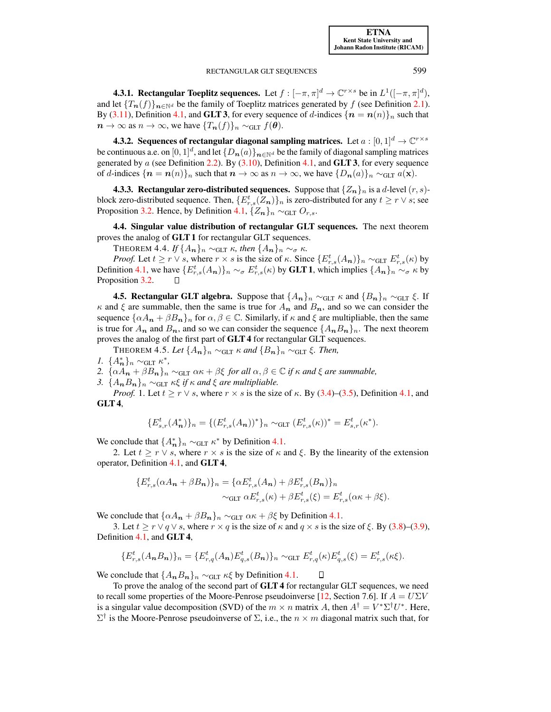<span id="page-14-0"></span>**4.3.1. Rectangular Toeplitz sequences.** Let  $f: [-\pi, \pi]^d \to \mathbb{C}^{r \times s}$  be in  $L^1([-\pi, \pi]^d)$ , and let  ${T_n(f)}_{n\in\mathbb{N}^d}$  be the family of Toeplitz matrices generated by f (see Definition [2.1\)](#page-4-3). By [\(3.11\)](#page-11-2), Definition [4.1,](#page-13-4) and **GLT 3**, for every sequence of d-indices  $\{n = n(n)\}\_n$  such that  $n \to \infty$  as  $n \to \infty$ , we have  $\{T_n(f)\}_n \sim_{\text{GLT}} f(\theta)$ .

<span id="page-14-1"></span>4.3.2. Sequences of rectangular diagonal sampling matrices. Let  $a:[0,1]^d\rightarrow \mathbb{C}^{r\times s}$ be continuous a.e. on  $[0,1]^d$ , and let  $\{D_{\bm{n}}(a)\}_{\bm{n}\in\mathbb{N}^d}$  be the family of diagonal sampling matrices generated by  $a$  (see Definition [2.2\)](#page-4-4). By [\(3.10\)](#page-11-1), Definition [4.1,](#page-13-4) and **GLT 3**, for every sequence of d-indices  $\{n = n(n)\}_n$  such that  $n \to \infty$  as  $n \to \infty$ , we have  $\{D_n(a)\}_n \sim_{\text{GLT}} a(\mathbf{x})$ .

<span id="page-14-2"></span>**4.3.3. Rectangular zero-distributed sequences.** Suppose that  $\{Z_n\}_n$  is a d-level  $(r, s)$ block zero-distributed sequence. Then,  $\{E_{r,s}^t(Z_n)\}_n$  is zero-distributed for any  $t \geq r \vee s$ ; see Proposition [3.2.](#page-10-5) Hence, by Definition [4.1,](#page-13-4)  $\{Z_n\}_n \sim_{\text{GLT}} O_{r,s}$ .

<span id="page-14-3"></span>4.4. Singular value distribution of rectangular GLT sequences. The next theorem proves the analog of GLT 1 for rectangular GLT sequences.

**THEOREM 4.4.** *If*  $\{A_{n}\}_n \sim_{GLT} \kappa$ *, then*  $\{A_{n}\}_n \sim_{\sigma} \kappa$ *.* 

<span id="page-14-5"></span>*Proof.* Let  $t \ge r \vee s$ , where  $r \times s$  is the size of  $\kappa$ . Since  $\{E_{r,s}^t(A_n)\}_n \sim_{\text{GLT}} E_{r,s}^t(\kappa)$  by Definition [4.1,](#page-13-4) we have  $\{E_{r,s}^t(A_n)\}_n \sim_\sigma E_{r,s}^t(\kappa)$  by **GLT 1**, which implies  $\{A_n\}_n \sim_\sigma \kappa$  by Proposition [3.2.](#page-10-5)

<span id="page-14-4"></span>**4.5. Rectangular GLT algebra.** Suppose that  $\{A_n\}_n \sim_{\text{GLT}} \kappa$  and  $\{B_n\}_n \sim_{\text{GLT}} \xi$ . If  $\kappa$  and  $\xi$  are summable, then the same is true for  $A_n$  and  $B_n$ , and so we can consider the sequence  $\{\alpha A_n + \beta B_n\}_n$  for  $\alpha, \beta \in \mathbb{C}$ . Similarly, if  $\kappa$  and  $\xi$  are multipliable, then the same is true for  $A_n$  and  $B_n$ , and so we can consider the sequence  $\{A_nB_n\}_n$ . The next theorem proves the analog of the first part of GLT 4 for rectangular GLT sequences.

<span id="page-14-6"></span>THEOREM 4.5. Let  $\{A_{n}\}_n \sim_{\text{GLT}} \kappa$  and  $\{B_{n}\}_n \sim_{\text{GLT}} \xi$ . Then,

*1.*  $\{A_n^*\}_n \sim_{\text{GLT}} \kappa^*,$ 

*2.*  $\{\alpha A_n + \beta B_n\}_n \sim_{\text{GLT}} \alpha \kappa + \beta \xi$  *for all*  $\alpha, \beta \in \mathbb{C}$  *if*  $\kappa$  *and*  $\xi$  *are summable,* 

*3.*  $\{A_n B_n\}_n \sim_{\text{GLT}} \kappa \xi$  *if*  $\kappa$  *and*  $\xi$  *are multipliable.* 

*Proof.* 1. Let  $t \ge r \vee s$ , where  $r \times s$  is the size of  $\kappa$ . By [\(3.4\)](#page-9-4)–[\(3.5\)](#page-9-5), Definition [4.1,](#page-13-4) and GLT 4,

$$
\{E_{s,r}^t(A_{\pmb{n}}^*)\}_n = \{ (E_{r,s}^t(A_{\pmb{n}}))^* \}_n \sim_{\text{GLT}} (E_{r,s}^t(\kappa))^* = E_{s,r}^t(\kappa^*).
$$

We conclude that  $\{A_n^*\}_n \sim_{\text{GLT}} \kappa^*$  by Definition [4.1.](#page-13-4)

2. Let  $t \geq r \vee s$ , where  $r \times s$  is the size of  $\kappa$  and  $\xi$ . By the linearity of the extension operator, Definition [4.1,](#page-13-4) and GLT 4,

$$
\{E_{r,s}^t(\alpha A_n + \beta B_n)\}_n = \{\alpha E_{r,s}^t(A_n) + \beta E_{r,s}^t(B_n)\}_n
$$
  
~\sim\_{GLT} \alpha E\_{r,s}^t(\kappa) + \beta E\_{r,s}^t(\xi) = E\_{r,s}^t(\alpha \kappa + \beta \xi).

We conclude that  $\{\alpha A_n + \beta B_n\}_n \sim_{\text{GLT}} \alpha \kappa + \beta \xi$  by Definition [4.1.](#page-13-4)

3. Let  $t \ge r \vee q \vee s$ , where  $r \times q$  is the size of  $\kappa$  and  $q \times s$  is the size of  $\xi$ . By [\(3.8\)](#page-10-2)–[\(3.9\)](#page-10-3), Definition [4.1,](#page-13-4) and GLT 4,

$$
\{E_{r,s}^t(A_nB_n)\}_n = \{E_{r,q}^t(A_n)E_{q,s}^t(B_n)\}_n \sim_{\text{GLT}} E_{r,q}^t(\kappa)E_{q,s}^t(\xi) = E_{r,s}^t(\kappa\xi).
$$

We conclude that  $\{A_nB_n\}_n \sim_{GLT} \kappa \xi$  by Definition [4.1.](#page-13-4)  $\Box$ 

To prove the analog of the second part of GLT 4 for rectangular GLT sequences, we need to recall some properties of the Moore-Penrose pseudoinverse [\[12,](#page-31-21) Section 7.6]. If  $A = U\Sigma V$ is a singular value decomposition (SVD) of the  $m \times n$  matrix A, then  $A^{\dagger} = V^* \Sigma^{\dagger} U^*$ . Here,  $\Sigma^{\dagger}$  is the Moore-Penrose pseudoinverse of  $\Sigma$ , i.e., the  $n \times m$  diagonal matrix such that, for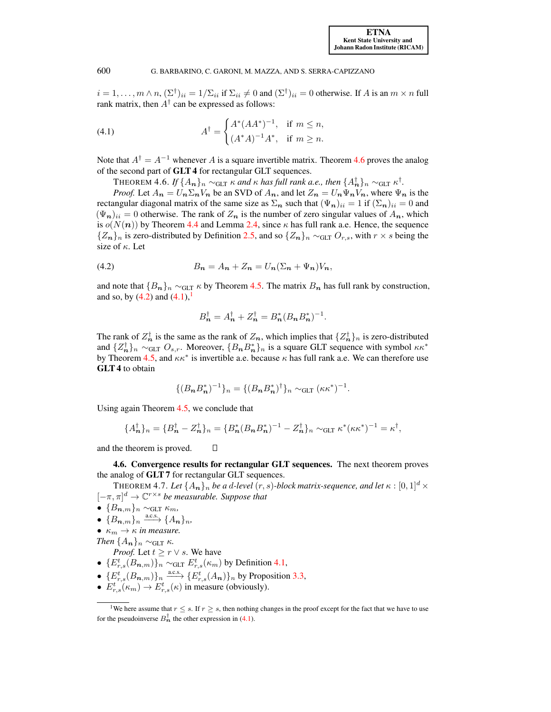<span id="page-15-3"></span> $i = 1, \dots, m \wedge n$ ,  $(\Sigma^{\dagger})_{ii} = 1/\Sigma_{ii}$  if  $\Sigma_{ii} \neq 0$  and  $(\Sigma^{\dagger})_{ii} = 0$  otherwise. If A is an  $m \times n$  full rank matrix, then  $A^{\dagger}$  can be expressed as follows:

(4.1) 
$$
A^{\dagger} = \begin{cases} A^*(AA^*)^{-1}, & \text{if } m \le n, \\ (A^*A)^{-1}A^*, & \text{if } m \ge n. \end{cases}
$$

Note that  $A^{\dagger} = A^{-1}$  whenever A is a square invertible matrix. Theorem [4.6](#page-15-1) proves the analog of the second part of GLT 4 for rectangular GLT sequences.

 $\Gamma$ HEOREM 4.6. *If*  $\{A_{n}\}_n$  ∼<sub>GLT</sub> κ and κ has full rank a.e., then  $\{A^{\dagger}_{n}\}_n$  ∼<sub>GLT</sub> κ<sup>†</sup>.

<span id="page-15-1"></span>*Proof.* Let  $A_n = U_n \Sigma_n V_n$  be an SVD of  $A_n$ , and let  $Z_n = U_n \Psi_n V_n$ , where  $\Psi_n$  is the rectangular diagonal matrix of the same size as  $\Sigma_n$  such that  $(\Psi_n)_{ii} = 1$  if  $(\Sigma_n)_{ii} = 0$  and  $(\Psi_n)_{ii} = 0$  otherwise. The rank of  $Z_n$  is the number of zero singular values of  $A_n$ , which is  $o(N(n))$  by Theorem [4.4](#page-14-5) and Lemma [2.4,](#page-6-4) since  $\kappa$  has full rank a.e. Hence, the sequence  ${Z_n}_n$  is zero-distributed by Definition [2.5,](#page-7-3) and so  ${Z_n}_n \sim_{GL} O_{r,s}$ , with  $r \times s$  being the size of  $\kappa$ . Let

<span id="page-15-2"></span>
$$
(4.2) \t\t B_n = A_n + Z_n = U_n(\Sigma_n + \Psi_n)V_n,
$$

Π

and note that  ${B_n}_n \sim_{GLT} \kappa$  by Theorem [4.5.](#page-14-6) The matrix  $B_n$  has full rank by construction, and so, by  $(4.2)$  and  $(4.1)$ ,

$$
B_n^{\dagger} = A_n^{\dagger} + Z_n^{\dagger} = B_n^* (B_n B_n^*)^{-1}.
$$

The rank of  $Z_n^{\dagger}$  is the same as the rank of  $Z_n$ , which implies that  $\{Z_n^{\dagger}\}_n$  is zero-distributed and  $\{Z_n^{\dagger}\}_n \sim_{GLT} O_{s,r}$ . Moreover,  $\{B_n B_n^*\}_n$  is a square GLT sequence with symbol  $\kappa \kappa^*$ by Theorem [4.5,](#page-14-6) and  $\kappa \kappa^*$  is invertible a.e. because  $\kappa$  has full rank a.e. We can therefore use GLT 4 to obtain

$$
\{(B_{n}B_{n}^{*})^{-1}\}_{n} = \{(B_{n}B_{n}^{*})^{\dagger}\}_{n} \sim_{GLT} (\kappa \kappa^{*})^{-1}.
$$

Using again Theorem [4.5,](#page-14-6) we conclude that

$$
\{A_{\mathbf{n}}^{\dagger}\}_n = \{B_{\mathbf{n}}^{\dagger} - Z_{\mathbf{n}}^{\dagger}\}_n = \{B_{\mathbf{n}}^*(B_{\mathbf{n}}B_{\mathbf{n}}^*)^{-1} - Z_{\mathbf{n}}^{\dagger}\}_n \sim_{\text{GLT}} \kappa^*(\kappa \kappa^*)^{-1} = \kappa^{\dagger},
$$

and the theorem is proved.

<span id="page-15-0"></span>4.6. Convergence results for rectangular GLT sequences. The next theorem proves the analog of GLT 7 for rectangular GLT sequences.

THEOREM 4.7. Let  $\{A_n\}_n$  *be a d-level*  $(r, s)$ -*block matrix-sequence, and let*  $\kappa : [0, 1]^d \times$  $[-\pi, \pi]^d \to \mathbb{C}^{r \times s}$  *be measurable. Suppose that* 

- $\bullet$  { $B_{n,m}$ }<sub>n</sub> ∼<sub>GLT</sub>  $\kappa_m$ *,*
- ${B_{n,m}}_n \longrightarrow {A_n}_{n}$ ,
- $\kappa_m \to \kappa$  *in measure.*

*Then*  $\{A_{n}\}_n \sim_{\text{GLT}} \kappa$ *.* 

*Proof.* Let  $t \geq r \vee s$ . We have

- $\{E_{r,s}^t(B_{n,m})\}_n \sim_{\text{GLT}} E_{r,s}^t(\kappa_m)$  by Definition [4.1,](#page-13-4)
- ${E_{r,s}^t(B_{n,m})}_n \xrightarrow{\text{a.c.s.}} {E_{r,s}^t(A_n)}_n$  by Proposition [3.3,](#page-10-4)
- $E_{r,s}^t(\kappa_m) \to E_{r,s}^t(\kappa)$  in measure (obviously).

<span id="page-15-4"></span><sup>&</sup>lt;sup>1</sup>We here assume that  $r \leq s$ . If  $r \geq s$ , then nothing changes in the proof except for the fact that we have to use for the pseudoinverse  $B_n^{\dagger}$  the other expression in [\(4.1\)](#page-15-3).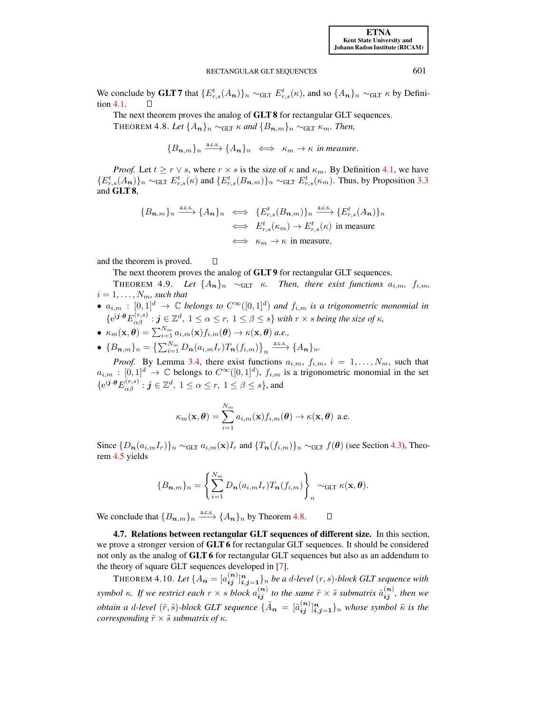We conclude by GLT 7 that  $\{E_{r,s}^t(A_n)\}_n \sim_{\text{GLT}} E_{r,s}^t(\kappa)$ , and so  $\{A_n\}_n \sim_{\text{GLT}} \kappa$  by Definition [4.1.](#page-13-4)

<span id="page-16-1"></span>The next theorem proves the analog of GLT 8 for rectangular GLT sequences.

THEOREM 4.8. *Let*  $\{A_n\}_n \sim_{\text{GLT}} \kappa$  and  $\{B_{n,m}\}_n \sim_{\text{GLT}} \kappa_m$ . Then,

$$
{B_{n,m}}_n \xrightarrow{a.c.s.} {A_n}_n \iff \kappa_m \to \kappa
$$
 in measure.

*Proof.* Let  $t \geq r \vee s$ , where  $r \times s$  is the size of  $\kappa$  and  $\kappa_m$ . By Definition [4.1,](#page-13-4) we have  $\{E_{r,s}^t(A_n)\}_n \sim_{\text{GLT}} E_{r,s}^t(\kappa)$  and  $\{E_{r,s}^t(B_{n,m})\}_n \sim_{\text{GLT}} E_{r,s}^t(\kappa_m)$ . Thus, by Proposition [3.3](#page-10-4) and GLT 8,

$$
\{B_{n,m}\}_n \xrightarrow{\text{a.c.s.}} \{A_n\}_n \iff \{E_{r,s}^t(B_{n,m})\}_n \xrightarrow{\text{a.c.s.}} \{E_{r,s}^t(A_n)\}_n
$$
  

$$
\iff E_{r,s}^t(\kappa_m) \to E_{r,s}^t(\kappa) \text{ in measure}
$$
  

$$
\iff \kappa_m \to \kappa \text{ in measure},
$$

and the theorem is proved.  $\Box$ 

The next theorem proves the analog of **GLT9** for rectangular GLT sequences.

- THEOREM 4.9. *Let*  $\{A_n\}_n \sim_{\text{GLT}} \kappa$ . *Then, there exist functions*  $a_{i,m}$ ,  $f_{i,m}$ ,  $i = 1, \ldots, N_m$ , such that
- $a_{i,m} : [0,1]^d \to \mathbb{C}$  *belongs to*  $C^{\infty}([0,1]^d)$  *and*  $f_{i,m}$  *is a trigonometric monomial in*  ${e^{i\boldsymbol{j}\cdot\boldsymbol{\theta}}E_{\alpha\beta}^{(r,s)}: \boldsymbol{j}\in\mathbb{Z}^d, \ 1\leq \alpha\leq r, \ 1\leq \beta\leq s\}}$  with  $r\times s$  being the size of  $\kappa$ ,
- $\kappa_m(\mathbf{x}, \boldsymbol{\theta}) = \sum_{i=1}^{N_m} a_{i,m}(\mathbf{x}) f_{i,m}(\boldsymbol{\theta}) \to \kappa(\mathbf{x}, \boldsymbol{\theta})$  a.e.,
- ${B_{n,m}}_n = {\sum_{i=1}^{N_m} D_n(a_{i,m}I_r)T_n(f_{i,m})}_n \xrightarrow{a.c.s.} {A_n}_n$

*Proof.* By Lemma [3.4,](#page-11-5) there exist functions  $a_{i,m}$ ,  $f_{i,m}$ ,  $i = 1, \ldots, N_m$ , such that  $a_{i,m} : [0,1]^d \to \mathbb{C}$  belongs to  $C^{\infty}([0,1]^d)$ ,  $f_{i,m}$  is a trigonometric monomial in the set  $\{{\rm e}^{{\rm i} \boldsymbol{j} \cdot \boldsymbol{\theta}}E_{\alpha\beta}^{(r,s)}: \boldsymbol{j} \in \mathbb{Z}^d, \ 1 \leq \alpha \leq r, \ 1 \leq \beta \leq s\},$  and

$$
\kappa_m(\mathbf{x}, \boldsymbol{\theta}) = \sum_{i=1}^{N_m} a_{i,m}(\mathbf{x}) f_{i,m}(\boldsymbol{\theta}) \to \kappa(\mathbf{x}, \boldsymbol{\theta}) \text{ a.e.}
$$

Since  ${D_n(a_{i,m}I_r)}_n \sim_{GLT} a_{i,m}(\mathbf{x})I_r$  and  ${T_n(f_{i,m})}_n \sim_{GLT} f(\theta)$  (see Section [4.3\)](#page-13-3), Theorem [4.5](#page-14-6) yields

$$
\{B_{n,m}\}_n = \left\{\sum_{i=1}^{N_m} D_n(a_{i,m}I_r)T_n(f_{i,m})\right\}_n \sim_{\text{GLT}} \kappa(\mathbf{x}, \boldsymbol{\theta}).
$$

We conclude that  ${B_{n,m}}_n \stackrel{\text{a.c.s.}}{\longrightarrow} {A_n}_n$  by Theorem [4.8.](#page-16-1) О

<span id="page-16-0"></span>4.7. Relations between rectangular GLT sequences of different size. In this section, we prove a stronger version of GLT 6 for rectangular GLT sequences. It should be considered not only as the analog of GLT 6 for rectangular GLT sequences but also as an addendum to the theory of square GLT sequences developed in [\[7\]](#page-31-2).

<span id="page-16-2"></span>THEOREM 4.10. Let  $\{A_{\bm{n}}=[a_{\bm{ij}}^{(\bm{n})}]_{\bm{i},\bm{j}=\bm{1}}^{\bm{n}}\}_n$  be a d-level  $(r,s)$ -block GLT sequence with *symbol*  $\kappa$ *. If we restrict each*  $r \times s$  *block*  $a_{ij}^{(n)}$  *to the same*  $\tilde{r} \times \tilde{s}$  *submatrix*  $\tilde{a}_{ij}^{(n)}$ *, then we obtain a d-level*  $(\tilde{r}, \tilde{s})$ -block GLT sequence  $\{\tilde{A}_{n} = [\tilde{a}_{ij}^{(n)}]_{i,j=1}^{n}\}_n$  whose symbol  $\tilde{\kappa}$  is the *corresponding*  $\tilde{r} \times \tilde{s}$  *submatrix of*  $\kappa$ *.*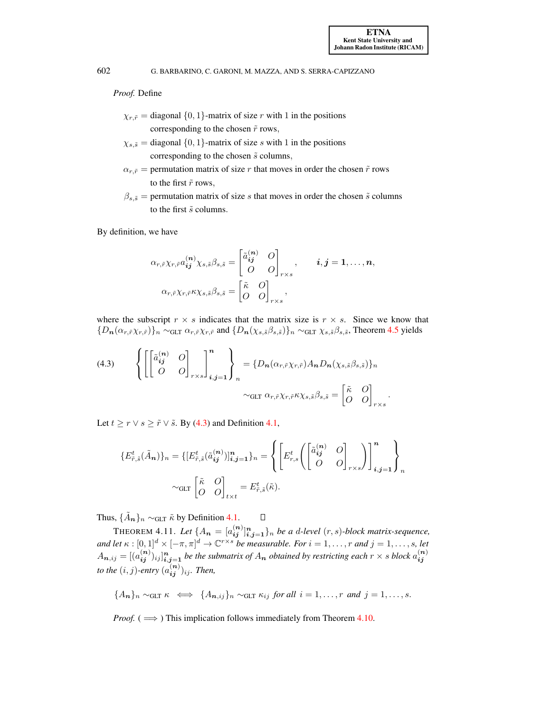.

602 G. BARBARINO, C. GARONI, M. MAZZA, AND S. SERRA-CAPIZZANO

### *Proof.* Define

- $\chi_{r,\tilde{r}} =$  diagonal  $\{0, 1\}$ -matrix of size r with 1 in the positions corresponding to the chosen  $\tilde{r}$  rows,
- $\chi_{s,\tilde{s}} =$  diagonal  $\{0, 1\}$ -matrix of size s with 1 in the positions corresponding to the chosen  $\tilde{s}$  columns,
- $\alpha_{r,\tilde{r}}$  = permutation matrix of size r that moves in order the chosen  $\tilde{r}$  rows to the first  $\tilde{r}$  rows,
- $\beta_{s,\tilde{s}}$  = permutation matrix of size s that moves in order the chosen  $\tilde{s}$  columns to the first  $\tilde{s}$  columns.

By definition, we have

$$
\alpha_{r,\tilde{r}} \chi_{r,\tilde{r}} a_{ij}^{(n)} \chi_{s,\tilde{s}} \beta_{s,\tilde{s}} = \begin{bmatrix} \tilde{a}_{ij}^{(n)} & O \\ O & O \end{bmatrix}_{r \times s}, \qquad i,j = 1,\ldots,n,
$$

$$
\alpha_{r,\tilde{r}} \chi_{r,\tilde{r}} \kappa \chi_{s,\tilde{s}} \beta_{s,\tilde{s}} = \begin{bmatrix} \tilde{\kappa} & O \\ O & O \end{bmatrix}_{r \times s},
$$

where the subscript  $r \times s$  indicates that the matrix size is  $r \times s$ . Since we know that  ${D_n(\alpha_{r,\tilde{r}}\chi_{r,\tilde{r}})}_n \sim_{\text{GLT}} \alpha_{r,\tilde{r}}\chi_{r,\tilde{r}}$  and  ${D_n(\chi_{s,\tilde{s}}\beta_{s,\tilde{s}})}_n \sim_{\text{GLT}} \chi_{s,\tilde{s}}\beta_{s,\tilde{s}}$ , Theorem [4.5](#page-14-6) yields

<span id="page-17-0"></span>(4.3) 
$$
\left\{ \begin{bmatrix} \begin{bmatrix} \tilde{a}_{ij}^{(n)} & O \\ O & O \end{bmatrix}_{r \times s} \end{bmatrix}_{i,j=1}^{n} \right\}_{n} = \left\{ D_n(\alpha_{r,\tilde{r}} \chi_{r,\tilde{r}}) A_n D_n(\chi_{s,\tilde{s}} \beta_{s,\tilde{s}}) \right\}_{n}
$$

$$
\sim_{\text{GLT}} \alpha_{r,\tilde{r}} \chi_{r,\tilde{r}} \kappa \chi_{s,\tilde{s}} \beta_{s,\tilde{s}} = \begin{bmatrix} \tilde{\kappa} & O \\ O & O \end{bmatrix}_{r \times s}
$$

Let  $t \ge r \vee s \ge \tilde{r} \vee \tilde{s}$ . By [\(4.3\)](#page-17-0) and Definition [4.1,](#page-13-4)

$$
\{E_{\tilde{r},\tilde{s}}^t(\tilde{A}_n)\}_n = \{[E_{\tilde{r},\tilde{s}}^t(\tilde{a}_{ij}^{(n)})]_{i,j=1}^n\}_n = \left\{ \begin{bmatrix} E_{r,s}^t \begin{bmatrix} \tilde{a}_{ij}^{(n)} & O \\ O & O \end{bmatrix}_{r \times s} \end{bmatrix} \right\}_{i,j=1}^n \right\}_n
$$
  
~\sim\_{GLT} \begin{bmatrix} \tilde{\kappa} & O \\ O & O \end{bmatrix}\_{t \times t} = E\_{\tilde{r},\tilde{s}}^t(\tilde{\kappa}).

Thus,  $\{\tilde{A}_n\}_n \sim_{GLT} \tilde{\kappa}$  by Definition [4.1.](#page-13-4)  $\Box$ 

<span id="page-17-1"></span>THEOREM 4.11. Let  $\{A_{n}=[a_{ij}^{(n)}]_{i,j=1}^{n}\}$  *be a d-level*  $(r, s)$ *-block matrix-sequence, and let*  $\kappa : [0,1]^d \times [-\pi,\pi]^d \to \mathbb{C}^{r \times s}$  *be measurable. For*  $i = 1, \ldots, r$  *and*  $j = 1, \ldots, s$ *, let*  $A_{n,ij}=[(a_{ij}^{(n)})_{ij}]_{i,j=1}^n$  be the submatrix of  $A_n$  obtained by restricting each  $r\times s$  block  $a_{ij}^{(n)}$ ij *to the*  $(i, j)$ -entry  $(a_{ij}^{(n)})_{ij}$ *. Then,* 

$$
\{A_{\boldsymbol{n}}\}_n \sim_{\text{GLT}} \kappa \iff \{A_{\boldsymbol{n},ij}\}_n \sim_{\text{GLT}} \kappa_{ij} \text{ for all } i=1,\ldots,r \text{ and } j=1,\ldots,s.
$$

*Proof.* ( $\implies$ ) This implication follows immediately from Theorem [4.10.](#page-16-2)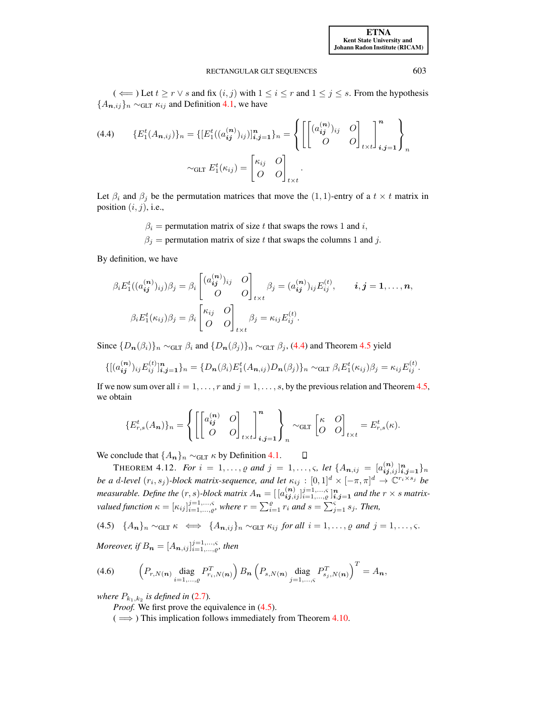(  $\Leftarrow$  ) Let  $t \ge r \vee s$  and fix  $(i, j)$  with  $1 \le i \le r$  and  $1 \le j \le s$ . From the hypothesis  ${A_{n,ij}}_n \sim_{\text{GLT}} \kappa_{ij}$  and Definition [4.1,](#page-13-4) we have

<span id="page-18-0"></span>
$$
(4.4) \qquad \{E_1^t(A_{\boldsymbol{n},ij})\}_n = \{[E_1^t((a_{ij}^{(\boldsymbol{n})})_{ij})]_{i,j=1}^n\}_n = \left\{ \begin{bmatrix} (a_{ij}^{(\boldsymbol{n})})_{ij} & O \ O & O \end{bmatrix}_{t \times t} \end{bmatrix}_{i,j=1}^n \right\}_n
$$

$$
\sim_{\text{GLT}} E_1^t(\kappa_{ij}) = \begin{bmatrix} \kappa_{ij} & O \ O & O \end{bmatrix}_{t \times t}.
$$

Let  $\beta_i$  and  $\beta_j$  be the permutation matrices that move the  $(1, 1)$ -entry of a  $t \times t$  matrix in position  $(i, j)$ , i.e.,

 $\beta_i$  = permutation matrix of size t that swaps the rows 1 and i,

 $\beta_j$  = permutation matrix of size t that swaps the columns 1 and j.

By definition, we have

$$
\beta_i E_1^t((a_{ij}^{(n)})_{ij}) \beta_j = \beta_i \begin{bmatrix} (a_{ij}^{(n)})_{ij} & O \ O \ O \end{bmatrix}_{t \times t} \beta_j = (a_{ij}^{(n)})_{ij} E_{ij}^{(t)}, \qquad i, j = 1, \dots, n,
$$

$$
\beta_i E_1^t(\kappa_{ij}) \beta_j = \beta_i \begin{bmatrix} \kappa_{ij} & O \ O \ O \ O \end{bmatrix}_{t \times t} \beta_j = \kappa_{ij} E_{ij}^{(t)}.
$$

Since  $\{D_n(\beta_i)\}_n \sim_{\text{GLT}} \beta_i$  and  $\{D_n(\beta_i)\}_n \sim_{\text{GLT}} \beta_i$ , [\(4.4\)](#page-18-0) and Theorem [4.5](#page-14-6) yield

$$
\{[(a_{ij}^{(n)})_{ij}E_{ij}^{(t)}]_{i,j=1}^n\}_n = \{D_n(\beta_i)E_1^t(A_{n,ij})D_n(\beta_j)\}_n \sim_{\text{GLT}} \beta_i E_1^t(\kappa_{ij})\beta_j = \kappa_{ij}E_{ij}^{(t)}.
$$

If we now sum over all  $i = 1, \ldots, r$  and  $j = 1, \ldots, s$ , by the previous relation and Theorem [4.5,](#page-14-6) we obtain

<span id="page-18-1"></span>
$$
\{E_{r,s}^t(A_n)\}_n = \left\{ \left[ \begin{bmatrix} a_{ij}^{(n)} & O \\ O & O \end{bmatrix}_{t \times t} \right]_{i,j=1}^n \right\}_n \sim_{\text{GLT}} \begin{bmatrix} \kappa & O \\ O & O \end{bmatrix}_{t \times t} = E_{r,s}^t(\kappa).
$$

We conclude that  $\{A_n\}_n \sim_{\text{GLT}} \kappa$  by Definition [4.1.](#page-13-4)  $\Box$ 

<span id="page-18-3"></span>THEOREM 4.12. *For*  $i = 1, ..., \varrho$  and  $j = 1, ..., \varsigma$ , let  $\{A_{\bm{n},ij} = [a_{\bm{i}\bm{j},ij}^{(\bm{n})}]_{\bm{i},\bm{j}=\bm{1}}^{\bm{n}}\}$ *be a d-level*  $(r_i, s_j)$ -block matrix-sequence, and let  $\kappa_{ij} : [0,1]^d \times [-\pi, \pi]^d \to \mathbb{C}^{r_i \times s_j}$  be *measurable. Define the*  $(r, s)$ -block matrix  $A_n = [\{a_{ij,ij}^{(n)}\}_{i=1,\ldots,g}^{j=1,\ldots,s}]_{i,j=1}^n$  and the  $r \times s$  matrix*valued function*  $\kappa = [\kappa_{ij}]_{i=1,\dots,e}^{j=1,\dots,s}$ , where  $r = \sum_{i=1}^{e} r_i$  and  $s = \sum_{j=1}^{s} s_j$ . Then,

(4.5)  $\{A_n\}_n \sim_{\text{GLT}} \kappa \iff \{A_{n,ij}\}_n \sim_{\text{GLT}} \kappa_{ij} \text{ for all } i = 1,\ldots,\varrho \text{ and } j = 1,\ldots,\varsigma.$ 

<span id="page-18-2"></span>*Moreover, if*  $B_{\boldsymbol{n}} = [A_{\boldsymbol{n},ij}]_{i=1,\ldots,c}^{j=1,\ldots, \varsigma}$ *, then* 

(4.6) 
$$
\left(P_{r,N(n)}\underset{i=1,...,e}{\text{diag}}P_{r_i,N(n)}^T\right)B_{n}\left(P_{s,N(n)}\underset{j=1,...,e}{\text{diag}}P_{s_j,N(n)}^T\right)^T=A_{n},
$$

*where*  $P_{k_1,k_2}$  *is defined in* [\(2.7\)](#page-5-2).

*Proof.* We first prove the equivalence in  $(4.5)$ .

 $(\implies)$  This implication follows immediately from Theorem [4.10.](#page-16-2)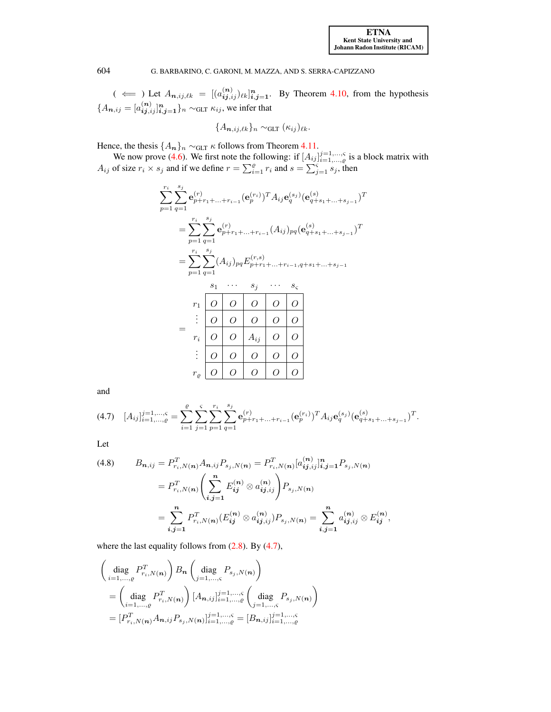$($   $\Leftarrow$   $)$  Let  $A_{n,ij,\ell k} = [(a_{ij,ij}^{(n)})_{\ell k}]_{i,j=1}^n$ . By Theorem [4.10,](#page-16-2) from the hypothesis  ${A_{n,ij} = [a_{ij,ij}^{(n)}]_{i,j=1}^n}$   $\sim$  GLT  $\kappa_{ij}$ , we infer that

$$
\{A_{\boldsymbol{n},ij,\ell k}\}_n \sim_{\text{GLT}} (\kappa_{ij})_{\ell k}.
$$

Hence, the thesis  $\{A_{n}\}_n \sim_{\text{GLT}} \kappa$  follows from Theorem [4.11.](#page-17-1)

We now prove [\(4.6\)](#page-18-2). We first note the following: if  $[A_{ij}]_{i=1,\dots,g}^{j=1,\dots,s}$  is a block matrix with  $A_{ij}$  of size  $r_i \times s_j$  and if we define  $r = \sum_{i=1}^{e} r_i$  and  $s = \sum_{j=1}^{s} s_j$ , then

$$
\sum_{p=1}^{r_i} \sum_{q=1}^{s_j} \mathbf{e}_{p+r_1+\dots+r_{i-1}}^{(r)} (\mathbf{e}_{p}^{(r_i)})^T A_{ij} \mathbf{e}_{q}^{(s_j)} (\mathbf{e}_{q+s_1+\dots+s_{j-1}}^{(s)})^T
$$
\n
$$
= \sum_{p=1}^{r_i} \sum_{q=1}^{s_j} \mathbf{e}_{p+r_1+\dots+r_{i-1}}^{(r)} (A_{ij})_{pq} (\mathbf{e}_{q+s_1+\dots+s_{j-1}}^{(s)})^T
$$
\n
$$
= \sum_{p=1}^{r_i} \sum_{q=1}^{s_j} (A_{ij})_{pq} E_{p+r_1+\dots+r_{i-1}, q+s_1+\dots+s_{j-1}}^{(r_i)} \quad \text{as } s_i \quad \dots \quad s_{\zeta}
$$
\n
$$
r_1 \quad \boxed{0 \quad 0 \quad 0 \quad 0 \quad 0}
$$
\n
$$
= \begin{array}{c} \vdots \\ \vdots \\ \hline \\ \hline \\ \hline \\ \end{array}
$$
\n
$$
= \begin{array}{c} \vdots \\ \hline \\ \end{array}
$$
\n
$$
= \begin{array}{c} \vdots \\ \hline \\ \end{array}
$$
\n
$$
= \begin{array}{c} \vdots \\ \hline \\ \end{array}
$$
\n
$$
= \begin{array}{c} \vdots \\ \hline \\ \end{array}
$$
\n
$$
= \begin{array}{c} \hline \\ \end{array}
$$
\n
$$
= \begin{array}{c} \hline \\ \end{array}
$$
\n
$$
= \begin{array}{c} \hline \\ \end{array}
$$
\n
$$
= \begin{array}{c} \hline \\ \end{array}
$$
\n
$$
= \begin{array}{c} \hline \\ \end{array}
$$
\n
$$
= \begin{array}{c} \hline \\ \end{array}
$$
\n
$$
= \begin{array}{c} \hline \\ \end{array}
$$
\n
$$
= \begin{array}{c} \hline \\ \end{array}
$$
\n
$$
= \begin{array}{c} \hline \\ \end{array}
$$
\n
$$
= \begin{array}{c} \hline \\ \end{array}
$$
\n
$$
= \begin{array}{c} \hline \\ \end
$$

<span id="page-19-0"></span>and

$$
(4.7) \quad [A_{ij}]_{i=1,\dots,q}^{j=1,\dots,\varsigma} = \sum_{i=1}^{\varrho} \sum_{j=1}^{\varsigma} \sum_{p=1}^{r_i} \sum_{q=1}^{s_j} \mathbf{e}_{p+r_1+\dots+r_{i-1}}^{(r)} (\mathbf{e}_{p}^{(r_i)})^T A_{ij} \mathbf{e}_q^{(s_j)} (\mathbf{e}_{q+s_1+\dots+s_{j-1}}^{(s)})^T.
$$

Let

<span id="page-19-1"></span>(4.8) 
$$
B_{\mathbf{n},ij} = P_{r_i,N(\mathbf{n})}^T A_{\mathbf{n},ij} P_{s_j,N(\mathbf{n})} = P_{r_i,N(\mathbf{n})}^T [a_{ij,ij}^{(\mathbf{n})}]_{i,j=1}^n P_{s_j,N(\mathbf{n})}
$$

$$
= P_{r_i,N(\mathbf{n})}^T \left( \sum_{i,j=1}^n E_{ij}^{(\mathbf{n})} \otimes a_{ij,ij}^{(\mathbf{n})} \right) P_{s_j,N(\mathbf{n})}
$$

$$
= \sum_{i,j=1}^n P_{r_i,N(\mathbf{n})}^T (E_{ij}^{(\mathbf{n})} \otimes a_{ij,ij}^{(\mathbf{n})}) P_{s_j,N(\mathbf{n})} = \sum_{i,j=1}^n a_{ij,ij}^{(\mathbf{n})} \otimes E_{ij}^{(\mathbf{n})},
$$

where the last equality follows from  $(2.8)$ . By  $(4.7)$ ,

$$
\begin{aligned}\n&\left(\begin{array}{c}\text{diag } P_{r_i,N(n)}^T\end{array}\right) B_n \left(\begin{array}{c}\text{diag } P_{s_j,N(n)}\end{array}\right) \\
&= \left(\begin{array}{c}\text{diag } P_{r_i,N(n)}\end{array}\right) [A_{n,ij}]_{i=1,\ldots,c}^{j=1,\ldots,c} \left(\begin{array}{c}\text{diag } P_{s_j,N(n)}\end{array}\right) \\
&= [P_{r_i,N(n)}^T A_{n,ij} P_{s_j,N(n)}]_{i=1,\ldots,c}^{j=1,\ldots,c} = [B_{n,ij}]_{i=1,\ldots,c}^{j=1,\ldots,c}\n\end{aligned}
$$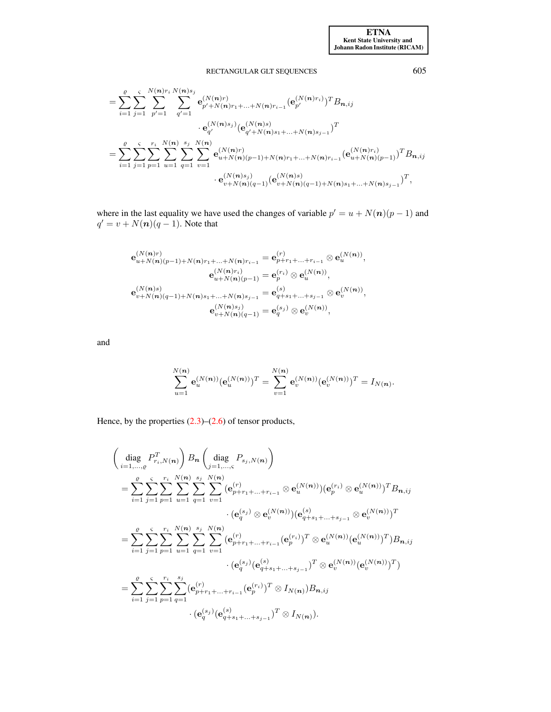$$
= \sum_{i=1}^{g} \sum_{j=1}^{s} \sum_{p'=1}^{N(n)r_i} \sum_{q'=1}^{N(n)s_j} \mathbf{e}_{p'+N(n)r_1+\ldots+N(n)r_{i-1}}^{(N(n)r_i)} (\mathbf{e}_{p'}^{(N(n)r_i)})^T B_{\boldsymbol{n},ij}
$$
  

$$
= \sum_{i=1}^{g} \sum_{j=1}^{s} \sum_{p=1}^{r_i} \sum_{u=1}^{N(n)} \sum_{q=1}^{s_j} \sum_{v=1}^{N(n)} \mathbf{e}_{u+N(n)(p-1)+N(n)r_1+\ldots+N(n)r_{i-1}}^{(N(n)s_i)} (\mathbf{e}_{u+N(n)(p-1)}^{(N(n)s_i)})^T B_{\boldsymbol{n},ij}
$$
  

$$
\cdot \mathbf{e}_{v+N(n)(q-1)}^{(N(n)s_j)} (\mathbf{e}_{v+N(n)(q-1)+N(n)s_1+\ldots+N(n)s_{j-1}}^{(N(n)s_j)})^T,
$$

where in the last equality we have used the changes of variable  $p' = u + N(n)(p - 1)$  and  $q' = v + N(n)(q - 1)$ . Note that

$$
\begin{split} \mathbf{e}_{u+N(n)(p-1)+N(n)r_1+\ldots+N(n)r_{i-1}}^{(N(n)r)}&=\mathbf{e}_{p+r_1+\ldots+r_{i-1}}^{(r)}\otimes\mathbf{e}_u^{(N(n))},\\ \mathbf{e}_{u+N(n)(p-1)}^{(N(n)r_i)}&=\mathbf{e}_p^{(r_i)}\otimes\mathbf{e}_u^{(N(n))},\\ \mathbf{e}_{v+N(n)(q-1)+N(n)s_1+\ldots+N(n)s_{j-1}}^{(N(n)r_i)}&=\mathbf{e}_{q+s_1+\ldots+s_{j-1}}^{(s)}\otimes\mathbf{e}_v^{(N(n))},\\ \mathbf{e}_{v+N(n)(q-1)}^{(N(n)s_j)}&=\mathbf{e}_q^{(s_j)}\otimes\mathbf{e}_v^{(N(n))}, \end{split}
$$

and

$$
\sum_{u=1}^{N(\boldsymbol{n})} {\bf e}_u^{(N(\boldsymbol{n}))}({\bf e}_u^{(N(\boldsymbol{n}))})^T = \sum_{v=1}^{N(\boldsymbol{n})} {\bf e}_v^{(N(\boldsymbol{n}))}({\bf e}_v^{(N(\boldsymbol{n}))})^T = I_{N(\boldsymbol{n})}.
$$

Hence, by the properties  $(2.3)$ – $(2.6)$  of tensor products,

 diag i=1,...,% P T ri,N(n) B<sup>n</sup> diag j=1,...,ς Ps<sup>j</sup> ,N(n) = X% i=1 Xς j=1 Xri p=1 N X (n) u=1 Xsj q=1 N X (n) v=1 (e (r) <sup>p</sup>+r1+...+ri−<sup>1</sup> ⊗ e (N(n)) u )(e (ri) <sup>p</sup> ⊗ e (N(n)) u ) <sup>T</sup> Bn,ij · (e (s<sup>j</sup> ) <sup>q</sup> ⊗ e (N(n)) v )(e (s) <sup>q</sup>+s1+...+sj−<sup>1</sup> ⊗ e (N(n)) v ) T = X% i=1 Xς j=1 Xri p=1 N X (n) u=1 Xsj q=1 N X (n) v=1 (e (r) p+r1+...+ri−<sup>1</sup> (e (ri) p ) <sup>T</sup> ⊗ e (N(n)) u (e (N(n)) u ) T )Bn,ij · (e (s<sup>j</sup> ) q (e (s) q+s1+...+sj−<sup>1</sup> ) <sup>T</sup> ⊗ e (N(n)) v (e (N(n)) v ) T ) = X% i=1 Xς j=1 Xri p=1 Xsj q=1 (e (r) p+r1+...+ri−<sup>1</sup> (e (ri) p ) <sup>T</sup> ⊗ IN(n))Bn,ij · (e (s<sup>j</sup> ) q (e (s) q+s1+...+sj−<sup>1</sup> ) <sup>T</sup> ⊗ IN(n)).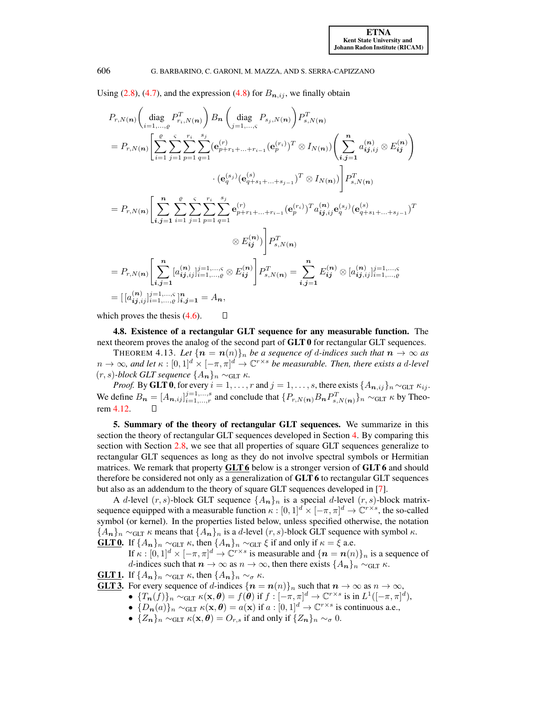Using [\(2.8\)](#page-6-3), [\(4.7\)](#page-19-0), and the expression [\(4.8\)](#page-19-1) for  $B_{n,ij}$ , we finally obtain

$$
P_{r,N(n)}\left(\text{diag } P_{r,N(n)}^T\right) B_n\left(\text{diag } P_{s,N(n)}\right) P_{s,N(n)}^T
$$
  
\n
$$
= P_{r,N(n)}\left[\sum_{i=1}^e \sum_{j=1}^c \sum_{p=1}^{r_i} \sum_{q=1}^{s_j} (\mathbf{e}_{p+r_1+\ldots+r_{i-1}}^{(r)}(\mathbf{e}_{p}^{(r)})^T \otimes I_{N(n)}) \left(\sum_{i,j=1}^n a_{ij,ij}^{(n)} \otimes E_{ij}^{(n)}\right) \right]
$$
  
\n
$$
\cdot (\mathbf{e}_{q}^{(s)}(\mathbf{e}_{q+s_1+\ldots+s_{j-1}}^{(s)})^T \otimes I_{N(n)}) \left[\sum_{i,j=1}^n a_{ij,ij}^{(n)} \otimes E_{ij}^{(n)}\right]
$$
  
\n
$$
= P_{r,N(n)}\left[\sum_{i,j=1}^n \sum_{i=1}^e \sum_{j=1}^c \sum_{p=1}^{r_i} \sum_{q=1}^{s_j} \mathbf{e}_{p+r_1+\ldots+r_{i-1}}^{(r)}(\mathbf{e}_{p}^{(r_i)})^T a_{ij,ij}^{(n)} \mathbf{e}_{q}^{(s_j)}(\mathbf{e}_{q+s_1+\ldots+s_{j-1}}^{(s)})^T \right]
$$
  
\n
$$
\otimes E_{ij}^{(n)}\right] P_{s,N(n)}^T
$$
  
\n
$$
= P_{r,N(n)}\left[\sum_{i,j=1}^n [a_{ij,ij}^{(n)}]_{i=1,\ldots,q}^{j=1,\ldots,s} \otimes E_{ij}^{(n)}\right] P_{s,N(n)}^T = \sum_{i,j=1}^n E_{ij}^{(n)} \otimes [a_{ij,ij}^{(n)}]_{i=1,\ldots,s}^{j=1,\ldots,s}
$$
  
\n
$$
= [[a_{ij,ij}^{(n)}]_{i=1,\ldots,s}^{j=1,\ldots,s}]_{i,j=1}^{n} = A_n,
$$

which proves the thesis  $(4.6)$ .

<span id="page-21-0"></span>4.8. Existence of a rectangular GLT sequence for any measurable function. The next theorem proves the analog of the second part of GLT 0 for rectangular GLT sequences.

 $\Box$ 

THEOREM 4.13. Let  $\{n = n(n)\}\$ <sub>n</sub> be a sequence of d-indices such that  $n \to \infty$  as  $n \to \infty$ , and let  $\kappa : [0,1]^d \times [-\pi,\pi]^d \to \mathbb{C}^{r \times s}$  *be measurable. Then, there exists a d-level*  $(r, s)$ *-block GLT sequence*  ${A_n}_n$  ∼<sub>GLT</sub>  $\kappa$ *.* 

*Proof.* By **GLT 0**, for every  $i = 1, ..., r$  and  $j = 1, ..., s$ , there exists  $\{A_{n,ij}\}_n \sim_{\text{GLT}} \kappa_{ij}$ . We define  $B_n = [A_{n,ij}]_{i=1,...,r}^{j=1,...,s}$  and conclude that  $\{P_{r,N(n)}B_nP_{s,N(n)}^T\}_n \sim_{\text{GLT}} \kappa$  by Theorem [4.12.](#page-18-3)

<span id="page-21-1"></span>5. Summary of the theory of rectangular GLT sequences. We summarize in this section the theory of rectangular GLT sequences developed in Section [4.](#page-13-0) By comparing this section with Section [2.8,](#page-7-1) we see that all properties of square GLT sequences generalize to rectangular GLT sequences as long as they do not involve spectral symbols or Hermitian matrices. We remark that property **GLT 6** below is a stronger version of **GLT 6** and should therefore be considered not only as a generalization of GLT 6 to rectangular GLT sequences but also as an addendum to the theory of square GLT sequences developed in [\[7\]](#page-31-2).

A d-level  $(r, s)$ -block GLT sequence  $\{A_n\}_n$  is a special d-level  $(r, s)$ -block matrixsequence equipped with a measurable function  $\kappa : [0,1]^d \times [-\pi,\pi]^d \to \mathbb{C}^{r \times s}$ , the so-called symbol (or kernel). In the properties listed below, unless specified otherwise, the notation  ${A_n}_n \sim_{\text{GLT}} \kappa$  means that  ${A_n}_n$  is a d-level  $(r, s)$ -block GLT sequence with symbol  $\kappa$ .

**GLT 0.** If  $\{A_n\}_n \sim_{\text{GLT}} \kappa$ , then  $\{A_n\}_n \sim_{\text{GLT}} \xi$  if and only if  $\kappa = \xi$  a.e.

If  $\kappa : [0,1]^d \times [-\pi,\pi]^d \to \mathbb{C}^{r \times s}$  is measurable and  $\{n = n(n)\}\$ <sub>n</sub> is a sequence of d-indices such that  $n \to \infty$  as  $n \to \infty$ , then there exists  $\{A_n\}_n \sim_{\text{GLT}} \kappa$ .

**GLT 1.** If  $\{A_n\}_n \sim_{\text{GLT}} \kappa$ , then  $\{A_n\}_n \sim_{\sigma} \kappa$ .

- **GLT 3.** For every sequence of d-indices  $\{n = n(n)\}\$ <sub>n</sub> such that  $n \to \infty$  as  $n \to \infty$ ,
	- $\bullet \ \{T_{\boldsymbol{n}}(f)\}_n \sim_{\text{GLT}} \kappa(\mathbf{x}, \boldsymbol{\theta}) = f(\hat{\boldsymbol{\theta}}) \text{ if } f: [-\pi, \pi]^d \to \mathbb{C}^{r \times s} \text{ is in } L^1([-\pi, \pi]^d),$
	- $\{D_n(a)\}_n \sim_{\text{GLT}} \kappa(\mathbf{x}, \theta) = a(\mathbf{x}) \text{ if } a : [0,1]^d \to \mathbb{C}^{r \times s} \text{ is continuous a.e.,}$
	- $\{Z_n\}_n \sim_{\text{GLT}} \kappa(\mathbf{x}, \theta) = O_{r,s}$  if and only if  $\{Z_n\}_n \sim_{\sigma} 0$ .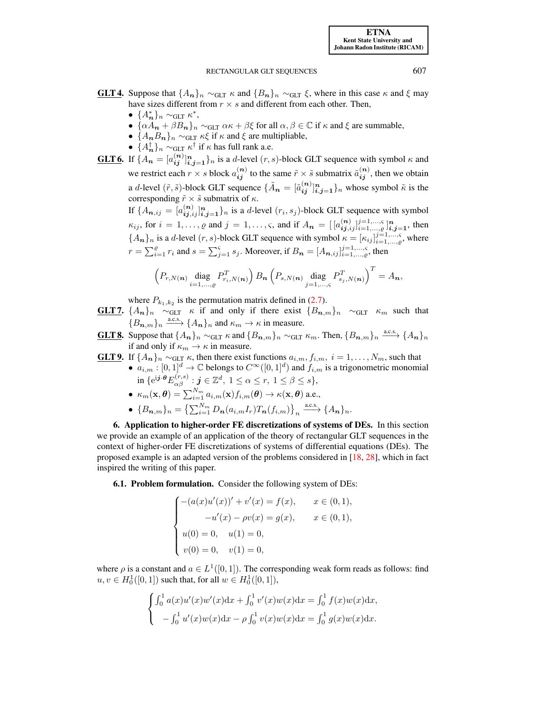[ETNA](http://etna.ricam.oeaw.ac.at) [Kent State University and](http://www.kent.edu) [Johann Radon Institute \(RICAM\)](http://www.ricam.oeaw.ac.at)

## RECTANGULAR GLT SEQUENCES 607

- **GLT 4.** Suppose that  $\{A_n\}_n \sim_{\text{GLT}} \kappa$  and  $\{B_n\}_n \sim_{\text{GLT}} \xi$ , where in this case  $\kappa$  and  $\xi$  may have sizes different from  $r \times s$  and different from each other. Then,
	- $\bullet$  { $A_n^*$ }<sub>n</sub> ~<sub>GLT</sub>  $\kappa^*$ ,
	- $\{\alpha A_n + \beta B_n\}_n \sim_{\text{GLT}} \alpha \kappa + \beta \xi$  for all  $\alpha, \beta \in \mathbb{C}$  if  $\kappa$  and  $\xi$  are summable,
	- $\{A_nB_n\}_n \sim_{\text{GLT}} \kappa \xi$  if  $\kappa$  and  $\xi$  are multipliable,
	- $\{A_n^{\dagger}\}_n \sim_{\text{GLT}} \kappa^{\dagger}$  if  $\kappa$  has full rank a.e.
- **GLT 6.** If  $\{A_n = [a_{ij}^{(n)}]_{i,j=1}^n\}$  is a d-level  $(r, s)$ -block GLT sequence with symbol  $\kappa$  and we restrict each  $r \times s$  block  $a_{ij}^{(n)}$  to the same  $\tilde{r} \times \tilde{s}$  submatrix  $\tilde{a}_{ij}^{(n)}$ , then we obtain a *d*-level  $(\tilde{r}, \tilde{s})$ -block GLT sequence  $\{\tilde{A}_n = [\tilde{a}_{ij}^{(n)}]_{i,j=1}^n\}$ <sub>n</sub> whose symbol  $\tilde{\kappa}$  is the corresponding  $\tilde{r} \times \tilde{s}$  submatrix of  $\kappa$ .

If  $\{A_{n,ij} = [a_{ij,ij}^{(n)}]_{i,j=1}^n\}_n$  is a d-level  $(r_i, s_j)$ -block GLT sequence with symbol  $\kappa_{ij}$ , for  $i = 1, \ldots, \varrho$  and  $j = 1, \ldots, \varsigma$ , and if  $A_n = [[a_{ij,ij}^{(n)}]_{i=1,\ldots,\varsigma}^{j=1,\ldots,\varsigma}]_{i,j=1}^n$ , then  ${A_n}_n$  is a d-level  $(r, s)$ -block GLT sequence with symbol  $\kappa = [\kappa_{ij}]_{i=1,\dots,s}^{j=1,\dots,s}$ , where  $r = \sum_{i=1}^{g} r_i$  and  $s = \sum_{j=1}^{s} s_j$ . Moreover, if  $B_n = [A_{n,ij}]_{i=1,...,g}^{j=1,...,s}$ , then

$$
\left(P_{r,N(n)}\underset{i=1,\ldots,\varrho}{\text{diag}}P_{r_i,N(n)}^T\right)B_{\boldsymbol{n}}\left(P_{s,N(\boldsymbol{n})}\underset{j=1,\ldots,\varsigma}{\text{diag}}P_{s_j,N(\boldsymbol{n})}^T\right)^T=A_{\boldsymbol{n}},
$$

where  $P_{k_1,k_2}$  is the permutation matrix defined in [\(2.7\)](#page-5-2).

- **GLT7.**  $\{A_n\}_n \sim_{\text{GLT}} \kappa$  if and only if there exist  $\{B_{n,m}\}_n \sim_{\text{GLT}} \kappa_m$  such that  ${B_{n,m}}_n \xrightarrow{a.c.s.} {A_n}_n$  and  $\kappa_m \to \kappa$  in measure.
- **GLT 8.** Suppose that  $\{A_n\}_n \sim_{\text{GLT}} \kappa$  and  $\{B_{n,m}\}_n \sim_{\text{GLT}} \kappa_m$ . Then,  $\{B_{n,m}\}_n \stackrel{\text{a.c.s.}}{\longrightarrow} \{A_n\}_n$ if and only if  $\kappa_m \to \kappa$  in measure.

**GLT 9.** If  $\{A_n\}_n \sim_{\text{GLT}} \kappa$ , then there exist functions  $a_{i,m}, f_{i,m}, i = 1, \ldots, N_m$ , such that •  $a_{i,m} : [0,1]^d \to \mathbb{C}$  belongs to  $C^{\infty}([0,1]^d)$  and  $f_{i,m}$  is a trigonometric monomial in  $\{e^{i\boldsymbol{j}\cdot\boldsymbol{\theta}}E^{(r,s)}_{\alpha\beta}: \boldsymbol{j}\in\mathbb{Z}^{d},\ 1\leq\alpha\leq r,\ 1\leq\beta\leq s\},$ 

- $\bullet~~\kappa_m(\mathbf{x}, \boldsymbol{\theta}) = \sum_{i=1}^{N_m} a_{i,m}(\mathbf{x}) f_{i,m}(\boldsymbol{\theta}) \to \kappa(\mathbf{x}, \boldsymbol{\theta})$  a.e.,
- ${B_{n,m}}_n = {\sum_{i=1}^{N_m} D_n(a_{i,m}I_r)T_n(f_{i,m})}_n \xrightarrow{a.c.s.} {A_n}_n.$

<span id="page-22-0"></span>6. Application to higher-order FE discretizations of systems of DEs. In this section we provide an example of an application of the theory of rectangular GLT sequences in the context of higher-order FE discretizations of systems of differential equations (DEs). The proposed example is an adapted version of the problems considered in [\[18,](#page-31-18) [28\]](#page-31-17), which in fact inspired the writing of this paper.

<span id="page-22-1"></span>6.1. Problem formulation. Consider the following system of DEs:

$$
\begin{cases}\n-(a(x)u'(x))' + v'(x) = f(x), & x \in (0,1), \\
-u'(x) - \rho v(x) = g(x), & x \in (0,1), \\
u(0) = 0, & u(1) = 0, \\
v(0) = 0, & v(1) = 0,\n\end{cases}
$$

where  $\rho$  is a constant and  $a \in L^1([0,1])$ . The corresponding weak form reads as follows: find  $u, v \in H_0^1([0, 1])$  such that, for all  $w \in H_0^1([0, 1]),$ 

$$
\begin{cases} \int_0^1 a(x)u'(x)w'(x)dx + \int_0^1 v'(x)w(x)dx = \int_0^1 f(x)w(x)dx, \\ -\int_0^1 u'(x)w(x)dx - \rho \int_0^1 v(x)w(x)dx = \int_0^1 g(x)w(x)dx. \end{cases}
$$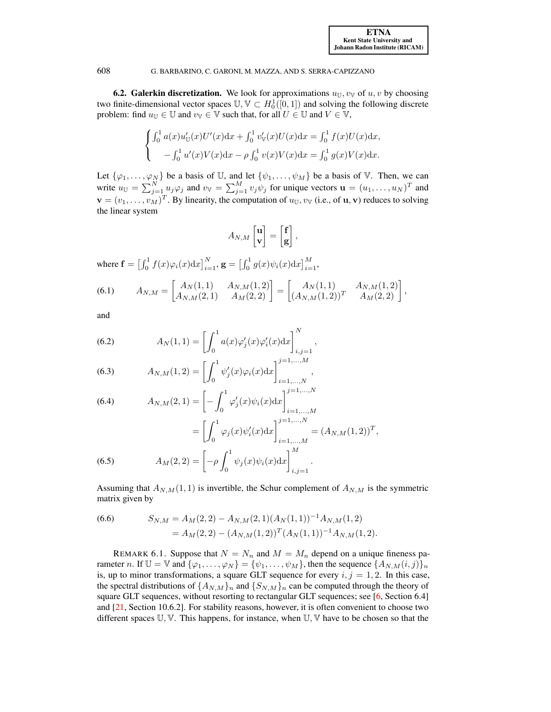<span id="page-23-0"></span>**6.2. Galerkin discretization.** We look for approximations  $u_U, v_V$  of  $u, v$  by choosing two finite-dimensional vector spaces  $\mathbb{U}, \mathbb{V} \subset H_0^1([0,1])$  and solving the following discrete problem: find  $u_{\mathbb{U}} \in \mathbb{U}$  and  $v_{\mathbb{V}} \in \mathbb{V}$  such that, for all  $U \in \mathbb{U}$  and  $V \in \mathbb{V}$ ,

$$
\begin{cases}\n\int_0^1 a(x)u'_\mathbb{U}(x)U'(x)dx + \int_0^1 v'_\mathbb{V}(x)U(x)dx = \int_0^1 f(x)U(x)dx, \\
-\int_0^1 u'(x)V(x)dx - \rho \int_0^1 v(x)V(x)dx = \int_0^1 g(x)V(x)dx.\n\end{cases}
$$

Let  $\{\varphi_1,\ldots,\varphi_N\}$  be a basis of U, and let  $\{\psi_1,\ldots,\psi_M\}$  be a basis of V. Then, we can write  $u_{\mathbb{U}} = \sum_{j=1}^{N} u_j \varphi_j$  and  $v_{\mathbb{V}} = \sum_{j=1}^{M} v_j \psi_j$  for unique vectors  $\mathbf{u} = (u_1, \dots, u_N)^T$  and  $\mathbf{v} = (v_1, \dots, v_M)^T$ . By linearity, the computation of  $u_{\mathbb{U}}, v_{\mathbb{V}}$  (i.e., of  $\mathbf{u}, \mathbf{v}$ ) reduces to solving the linear system

<span id="page-23-1"></span>
$$
A_{N,M}\begin{bmatrix} \mathbf{u} \\ \mathbf{v} \end{bmatrix} = \begin{bmatrix} \mathbf{f} \\ \mathbf{g} \end{bmatrix},
$$

where  $\mathbf{f} = \left[ \int_0^1 f(x) \varphi_i(x) dx \right]_{i=1}^N$ ,  $\mathbf{g} = \left[ \int_0^1 g(x) \psi_i(x) dx \right]_{i=1}^M$ ,

(6.1) 
$$
A_{N,M} = \begin{bmatrix} A_N(1,1) & A_{N,M}(1,2) \\ A_{N,M}(2,1) & A_M(2,2) \end{bmatrix} = \begin{bmatrix} A_N(1,1) & A_{N,M}(1,2) \\ (A_{N,M}(1,2))^T & A_M(2,2) \end{bmatrix},
$$

and

(6.2) 
$$
A_N(1,1) = \left[ \int_0^1 a(x) \varphi_j'(x) \varphi_i'(x) dx \right]_{i,j=1}^N,
$$

(6.3) 
$$
A_{N,M}(1,2) = \left[\int_0^1 \psi'_j(x)\varphi_i(x)dx\right]_{i=1,\ldots,N}^{j=1,\ldots,M},
$$

(6.4) 
$$
A_{N,M}(2,1) = \left[ - \int_0^1 \varphi_j'(x) \psi_i(x) dx \right]_{i=1,...,M}^{j=1,...,N}
$$

$$
= \left[ \int_0^1 \varphi_j(x) \psi_i'(x) dx \right]_{i=1,...,M}^{j=1,...,N} = (A_{N,M}(1,2))^T,
$$

(6.5) 
$$
A_M(2,2) = \left[ -\rho \int_0^1 \psi_j(x) \psi_i(x) dx \right]_{i,j=1}^M.
$$

Assuming that  $A_{N,M}(1,1)$  is invertible, the Schur complement of  $A_{N,M}$  is the symmetric matrix given by

<span id="page-23-2"></span>(6.6) 
$$
S_{N,M} = A_M(2,2) - A_{N,M}(2,1)(A_N(1,1))^{-1}A_{N,M}(1,2)
$$

$$
= A_M(2,2) - (A_{N,M}(1,2))^T(A_N(1,1))^{-1}A_{N,M}(1,2).
$$

REMARK 6.1. Suppose that  $N = N_n$  and  $M = M_n$  depend on a unique fineness parameter n. If  $\mathbb{U} = \mathbb{V}$  and  $\{\varphi_1, \ldots, \varphi_N\} = \{\psi_1, \ldots, \psi_M\}$ , then the sequence  $\{A_{N,M}(i,j)\}_n$ is, up to minor transformations, a square GLT sequence for every  $i, j = 1, 2$ . In this case, the spectral distributions of  $\{A_{N,M}\}_n$  and  $\{S_{N,M}\}_n$  can be computed through the theory of square GLT sequences, without resorting to rectangular GLT sequences; see [\[6,](#page-31-1) Section 6.4] and  $[21, Section 10.6.2]$  $[21, Section 10.6.2]$ . For stability reasons, however, it is often convenient to choose two different spaces U, V. This happens, for instance, when U, V have to be chosen so that the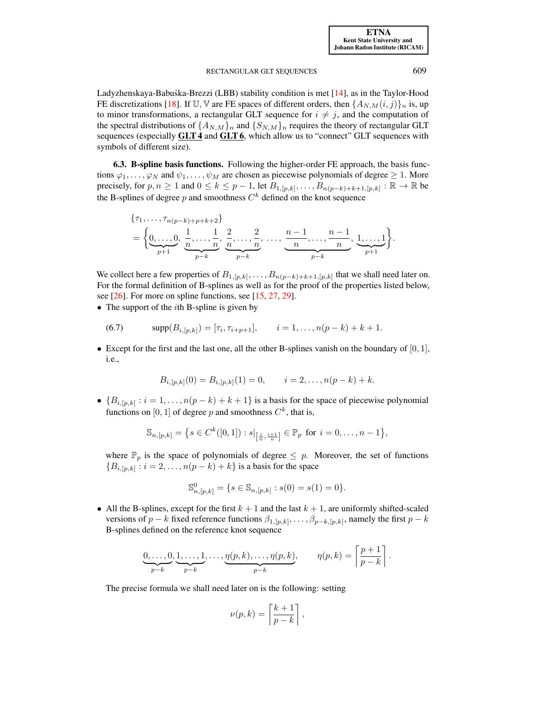Ladyzhenskaya-Babuška-Brezzi (LBB) stability condition is met [\[14\]](#page-31-22), as in the Taylor-Hood FE discretizations [\[18\]](#page-31-18). If U, V are FE spaces of different orders, then  $\{A_{N,M}(i,j)\}_n$  is, up to minor transformations, a rectangular GLT sequence for  $i \neq j$ , and the computation of the spectral distributions of  $\{A_{N,M}\}_n$  and  $\{S_{N,M}\}_n$  requires the theory of rectangular GLT sequences (especially **GLT4** and **GLT6**, which allow us to "connect" GLT sequences with symbols of different size).

<span id="page-24-0"></span>6.3. B-spline basis functions. Following the higher-order FE approach, the basis functions  $\varphi_1, \ldots, \varphi_N$  and  $\psi_1, \ldots, \psi_M$  are chosen as piecewise polynomials of degree  $\geq 1$ . More precisely, for  $p, n \ge 1$  and  $0 \le k \le p-1$ , let  $B_{1,[p,k]}, \ldots, B_{n(p-k)+k+1,[p,k]} : \mathbb{R} \to \mathbb{R}$  be the B-splines of degree p and smoothness  $C<sup>k</sup>$  defined on the knot sequence

$$
\{\tau_1, \ldots, \tau_{n(p-k)+p+k+2}\}\n= \left\{\underbrace{0, \ldots, 0}_{p+1}, \frac{1}{n}, \ldots, \frac{1}{n}, \frac{2}{n}, \ldots, \frac{2}{n}, \ldots, \frac{n-1}{n}, \ldots, \frac{n-1}{n}, \frac{1, \ldots, 1}{p+1}\right\}.
$$

We collect here a few properties of  $B_{1,[p,k]},\ldots,B_{n(p-k)+k+1,[p,k]}$  that we shall need later on. For the formal definition of B-splines as well as for the proof of the properties listed below, see [\[26\]](#page-31-23). For more on spline functions, see [\[15,](#page-31-24) [27,](#page-31-25) [29\]](#page-31-26).

• The support of the  $i$ th B-spline is given by

(6.7) 
$$
\text{supp}(B_{i,[p,k]}) = [\tau_i, \tau_{i+p+1}], \qquad i = 1, \dots, n(p-k) + k + 1.
$$

• Except for the first and the last one, all the other B-splines vanish on the boundary of  $[0, 1]$ , i.e.,

<span id="page-24-1"></span>
$$
B_{i,[p,k]}(0) = B_{i,[p,k]}(1) = 0, \qquad i = 2,\ldots,n(p-k)+k.
$$

•  ${B_{i,[p,k]} : i = 1, \ldots, n(p-k) + k + 1}$  is a basis for the space of piecewise polynomial functions on [0, 1] of degree p and smoothness  $C^k$ , that is,

$$
\mathbb{S}_{n,[p,k]} = \left\{ s \in C^k([0,1]) : s|_{\left[\frac{i}{n}, \frac{i+1}{n}\right]} \in \mathbb{P}_p \text{ for } i = 0, \dots, n-1 \right\},\
$$

where  $\mathbb{P}_p$  is the space of polynomials of degree  $\leq p$ . Moreover, the set of functions  ${B_{i,[p,k]} : i = 2, \ldots, n(p-k) + k}$  is a basis for the space

$$
\mathbb{S}^0_{n,[p,k]} = \{ s \in \mathbb{S}_{n,[p,k]} : s(0) = s(1) = 0 \}.
$$

• All the B-splines, except for the first  $k + 1$  and the last  $k + 1$ , are uniformly shifted-scaled versions of  $p - k$  fixed reference functions  $\beta_{1,[p,k]}, \ldots, \beta_{p-k,[p,k]},$  namely the first  $p - k$ B-splines defined on the reference knot sequence

$$
\underbrace{0,\ldots,0}_{p-k},\underbrace{1,\ldots,1}_{p-k},\ldots,\underbrace{\eta(p,k),\ldots,\eta(p,k)}_{p-k},\qquad \eta(p,k)=\left\lceil\frac{p+1}{p-k}\right\rceil.
$$

The precise formula we shall need later on is the following: setting

$$
\nu(p,k) = \left\lceil \frac{k+1}{p-k} \right\rceil,
$$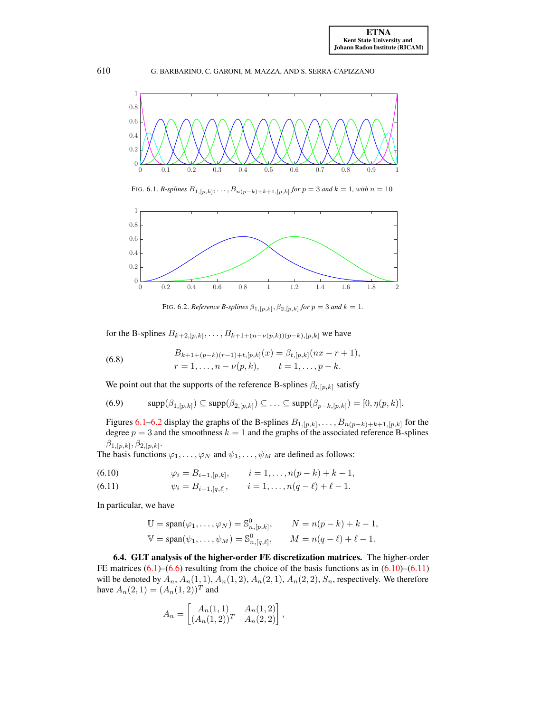

<span id="page-25-1"></span>FIG. 6.1. *B*-splines  $B_{1,[p,k]}, \ldots, B_{n(p-k)+k+1,[p,k]}$  for  $p = 3$  and  $k = 1$ , with  $n = 10$ .



<span id="page-25-6"></span><span id="page-25-5"></span><span id="page-25-2"></span>FIG. 6.2. *Reference B-splines*  $\beta_{1,[p,k]}, \beta_{2,[p,k]}$  for  $p = 3$  and  $k = 1$ .

for the B-splines  $B_{k+2,[p,k]}, \ldots, B_{k+1+(n-\nu(p,k))(p-k),[p,k]}$  we have

(6.8) 
$$
B_{k+1+(p-k)(r-1)+t,[p,k]}(x) = \beta_{t,[p,k]}(nx - r + 1),
$$

$$
r = 1, \ldots, n - \nu(p,k), \qquad t = 1, \ldots, p - k.
$$

We point out that the supports of the reference B-splines  $\beta_{t,[p,k]}$  satisfy

(6.9) 
$$
\text{supp}(\beta_{1,[p,k]}) \subseteq \text{supp}(\beta_{2,[p,k]}) \subseteq \ldots \subseteq \text{supp}(\beta_{p-k,[p,k]}) = [0, \eta(p,k)].
$$

Figures [6.1–](#page-25-1)[6.2](#page-25-2) display the graphs of the B-splines  $B_{1,[p,k]},\ldots,B_{n(p-k)+k+1,[p,k]}$  for the degree  $p = 3$  and the smoothness  $k = 1$  and the graphs of the associated reference B-splines  $\beta_{1,[p,k]}, \beta_{2,[p,k]}.$ 

The basis functions  $\varphi_1, \ldots, \varphi_N$  and  $\psi_1, \ldots, \psi_M$  are defined as follows:

<span id="page-25-4"></span><span id="page-25-3"></span>(6.10) 
$$
\varphi_i = B_{i+1,[p,k]}, \qquad i = 1,\ldots,n(p-k)+k-1,
$$

(6.11) 
$$
\psi_i = B_{i+1,[q,\ell]}, \qquad i = 1,\ldots,n(q-\ell)+\ell-1.
$$

In particular, we have

$$
\mathbb{U} = \text{span}(\varphi_1, \dots, \varphi_N) = \mathbb{S}^0_{n, [p,k]}, \qquad N = n(p-k) + k - 1,
$$
  

$$
\mathbb{V} = \text{span}(\psi_1, \dots, \psi_M) = \mathbb{S}^0_{n, [q,\ell]}, \qquad M = n(q-\ell) + \ell - 1.
$$

<span id="page-25-0"></span>6.4. GLT analysis of the higher-order FE discretization matrices. The higher-order FE matrices  $(6.1)$ – $(6.6)$  resulting from the choice of the basis functions as in  $(6.10)$ – $(6.11)$ will be denoted by  $A_n$ ,  $A_n(1,1)$ ,  $A_n(1,2)$ ,  $A_n(2,1)$ ,  $A_n(2,2)$ ,  $S_n$ , respectively. We therefore have  $A_n(2,1) = (A_n(1,2))^T$  and

$$
A_n = \begin{bmatrix} A_n(1,1) & A_n(1,2) \\ (A_n(1,2))^T & A_n(2,2) \end{bmatrix},
$$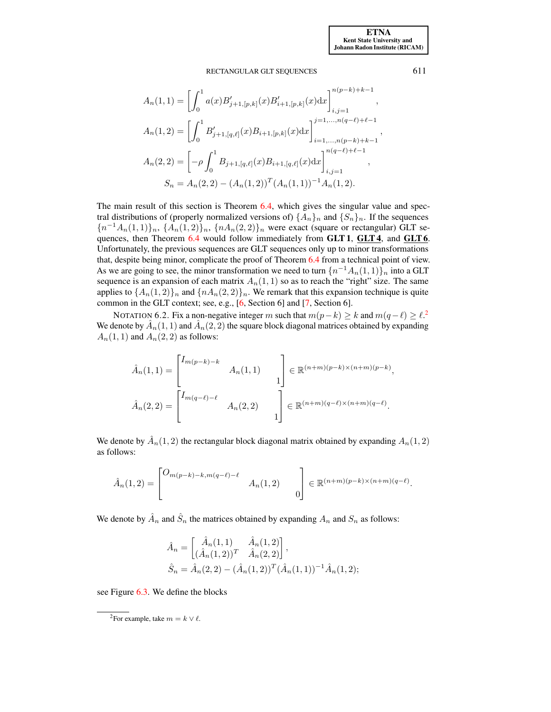$$
A_n(1,1) = \left[\int_0^1 a(x)B'_{j+1,[p,k]}(x)B'_{i+1,[p,k]}(x)dx\right]_{i,j=1}^{n(p-k)+k-1},
$$
  
\n
$$
A_n(1,2) = \left[\int_0^1 B'_{j+1,[q,\ell]}(x)B_{i+1,[p,k]}(x)dx\right]_{i=1,...,n(p-k)+k-1}^{j=1,...,n(q-\ell)+\ell-1},
$$
  
\n
$$
A_n(2,2) = \left[-\rho \int_0^1 B_{j+1,[q,\ell]}(x)B_{i+1,[q,\ell]}(x)dx\right]_{i,j=1}^{n(q-\ell)+\ell-1},
$$
  
\n
$$
S_n = A_n(2,2) - (A_n(1,2))^T (A_n(1,1))^{-1} A_n(1,2).
$$

The main result of this section is Theorem [6.4,](#page-28-0) which gives the singular value and spectral distributions of (properly normalized versions of)  $\{A_n\}_n$  and  $\{S_n\}_n$ . If the sequences  ${n^{-1}A_n(1,1)}_n$ ,  ${A_n(1,2)}_n$ ,  ${nA_n(2,2)}_n$  were exact (square or rectangular) GLT se-quences, then Theorem [6.4](#page-28-0) would follow immediately from GLT 1, GLT 4, and GLT 6. Unfortunately, the previous sequences are GLT sequences only up to minor transformations that, despite being minor, complicate the proof of Theorem [6.4](#page-28-0) from a technical point of view. As we are going to see, the minor transformation we need to turn  $\{n^{-1}A_n(1,1)\}_n$  into a GLT sequence is an expansion of each matrix  $A_n(1,1)$  so as to reach the "right" size. The same applies to  $\{A_n(1,2)\}_n$  and  $\{nA_n(2,2)\}_n$ . We remark that this expansion technique is quite common in the GLT context; see, e.g., [\[6,](#page-31-1) Section 6] and [\[7,](#page-31-2) Section 6].

NOTATION 6.[2](#page-26-0). Fix a non-negative integer m such that  $m(p-k) \ge k$  and  $m(q-\ell) \ge \ell$ .<sup>2</sup> We denote by  $\hat{A}_n(1,1)$  and  $\hat{A}_n(2,2)$  the square block diagonal matrices obtained by expanding  $A_n(1,1)$  and  $A_n(2,2)$  as follows:

$$
\hat{A}_n(1,1) = \begin{bmatrix} I_{m(p-k)-k} & & \\ & A_n(1,1) & \\ & & \end{bmatrix} \in \mathbb{R}^{(n+m)(p-k)\times(n+m)(p-k)},
$$
\n
$$
\hat{A}_n(2,2) = \begin{bmatrix} I_{m(q-\ell)-\ell} & & \\ & A_n(2,2) & \\ & & 1 \end{bmatrix} \in \mathbb{R}^{(n+m)(q-\ell)\times(n+m)(q-\ell)}.
$$

We denote by  $\hat{A}_n(1,2)$  the rectangular block diagonal matrix obtained by expanding  $A_n(1,2)$ as follows:

$$
\hat{A}_n(1,2) = \begin{bmatrix} O_{m(p-k)-k, m(q-\ell)-\ell} & 0 \\ 0 & O \end{bmatrix} \in \mathbb{R}^{(n+m)(p-k)\times(n+m)(q-\ell)}.
$$

We denote by  $\hat{A}_n$  and  $\hat{S}_n$  the matrices obtained by expanding  $A_n$  and  $S_n$  as follows:

$$
\hat{A}_n = \begin{bmatrix} \hat{A}_n(1,1) & \hat{A}_n(1,2) \\ (\hat{A}_n(1,2))^T & \hat{A}_n(2,2) \end{bmatrix},
$$
  

$$
\hat{S}_n = \hat{A}_n(2,2) - (\hat{A}_n(1,2))^T (\hat{A}_n(1,1))^{-1} \hat{A}_n(1,2);
$$

see Figure [6.3.](#page-27-0) We define the blocks

<span id="page-26-0"></span><sup>&</sup>lt;sup>2</sup>For example, take  $m = k \vee \ell$ .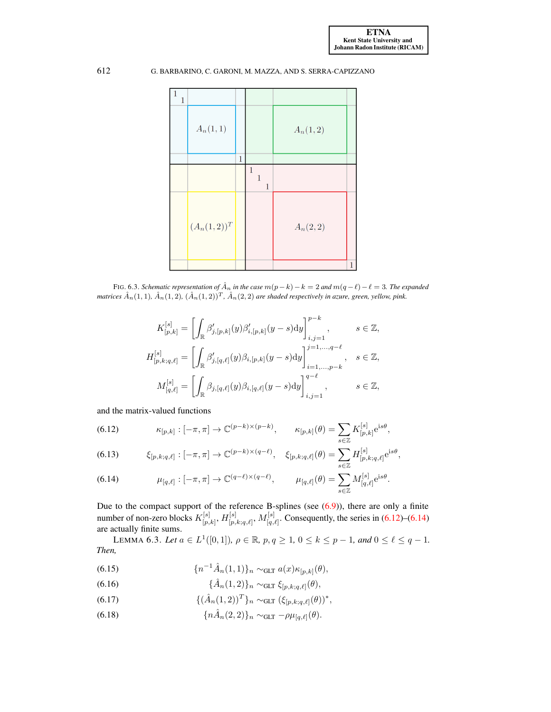

FIG. 6.3. *Schematic representation of*  $\hat{A}_n$  *in the case*  $m(p-k) - k = 2$  *and*  $m(q - \ell) - \ell = 3$ *. The expanded matrices*  $\hat{A}_n(1,1)$ ,  $\hat{A}_n(1,2)$ ,  $(\hat{A}_n(1,2))^T$ ,  $\hat{A}_n(2,2)$  *are shaded respectively in azure, green, yellow, pink.* 

<span id="page-27-0"></span>
$$
K_{[p,k]}^{[s]} = \left[ \int_{\mathbb{R}} \beta'_{j,[p,k]}(y) \beta'_{i,[p,k]}(y-s) dy \right]_{i,j=1}^{p-k}, \qquad s \in \mathbb{Z},
$$
  

$$
H_{[p,k;q,\ell]}^{[s]} = \left[ \int_{\mathbb{R}} \beta'_{j,[q,\ell]}(y) \beta_{i,[p,k]}(y-s) dy \right]_{i=1,...,p-k}^{j=1,...,q-\ell}, \qquad s \in \mathbb{Z},
$$
  

$$
M_{[q,\ell]}^{[s]} = \left[ \int_{\mathbb{R}} \beta_{j,[q,\ell]}(y) \beta_{i,[q,\ell]}(y-s) dy \right]_{i,j=1}^{q-\ell}, \qquad s \in \mathbb{Z},
$$

and the matrix-valued functions

<span id="page-27-1"></span>(6.12) 
$$
\kappa_{[p,k]}: [-\pi,\pi] \to \mathbb{C}^{(p-k)\times (p-k)}, \qquad \kappa_{[p,k]}(\theta) = \sum_{s\in \mathbb{Z}} K_{[p,k]}^{[s]} e^{is\theta},
$$

(6.13) 
$$
\xi_{[p,k;q,\ell]}: [-\pi,\pi] \to \mathbb{C}^{(p-k)\times(q-\ell)}, \quad \xi_{[p,k;q,\ell]}(\theta) = \sum_{s \in \mathbb{Z}} H_{[p,k;q,\ell]}^{[s]} e^{is\theta},
$$

<span id="page-27-2"></span>(6.14) 
$$
\mu_{[q,\ell]}: [-\pi,\pi] \to \mathbb{C}^{(q-\ell)\times(q-\ell)}, \qquad \mu_{[q,\ell]}(\theta) = \sum_{s\in\mathbb{Z}} M_{[q,\ell]}^{[s]} e^{is\theta}.
$$

Due to the compact support of the reference B-splines (see [\(6.9\)](#page-25-5)), there are only a finite number of non-zero blocks  $K_{\lceil n \rceil}^{[s]}$  $[\begin{matrix} [s]\ [p,k]\end{matrix},H[\begin{matrix} [s]\ [p,k]\end{matrix}]$  $\mu_{[p,k;q,\ell]}, M_{[q,k]}^{[s]}$  $[q, e]$ . Consequently, the series in  $(6.12)$ – $(6.14)$ are actually finite sums.

<span id="page-27-7"></span>LEMMA 6.3. Let  $a \in L^1([0,1])$ ,  $\rho \in \mathbb{R}$ ,  $p, q \ge 1$ ,  $0 \le k \le p - 1$ , and  $0 \le \ell \le q - 1$ . *Then,*

<span id="page-27-4"></span>(6.15) 
$$
\{n^{-1}\hat{A}_n(1,1)\}_n \sim_{\text{GLT}} a(x) \kappa_{[p,k]}(\theta),
$$

<span id="page-27-3"></span>(6.16) 
$$
\{\hat{A}_n(1,2)\}_n \sim_{\text{GLT}} \xi_{[p,k;q,\ell]}(\theta),
$$

- <span id="page-27-6"></span>(6.17)  $\{(\hat{A}_n(1,2))^T\}_n \sim_{\text{GLT}} (\xi_{[p,k;q,\ell]}(\theta))^*,$
- <span id="page-27-5"></span>(6.18)  ${n\hat{A}_n(2, 2)}_n \sim_{\text{GLT}} -\rho \mu_{[q,\ell]}(\theta).$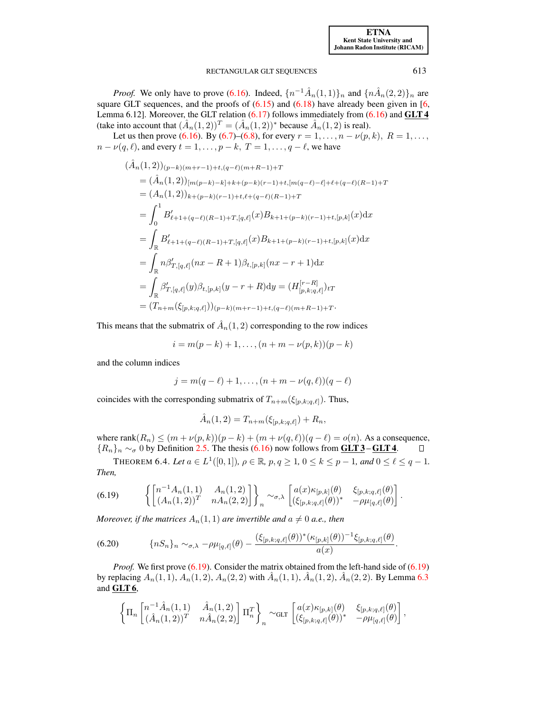[ETNA](http://etna.ricam.oeaw.ac.at) [Kent State University and](http://www.kent.edu) [Johann Radon Institute \(RICAM\)](http://www.ricam.oeaw.ac.at)

#### RECTANGULAR GLT SEQUENCES 613

*Proof.* We only have to prove [\(6.16\)](#page-27-3). Indeed,  $\{n^{-1}\hat{A}_n(1,1)\}_n$  and  $\{n\hat{A}_n(2,2)\}_n$  are square GLT sequences, and the proofs of  $(6.15)$  and  $(6.18)$  have already been given in [\[6,](#page-31-1) Lemma 6.12]. Moreover, the GLT relation  $(6.17)$  follows immediately from  $(6.16)$  and GLT 4 (take into account that  $(\hat{A}_n(1,2))^T = (\hat{A}_n(1,2))^*$  because  $\hat{A}_n(1,2)$  is real).

Let us then prove [\(6.16\)](#page-27-3). By [\(6.7\)](#page-24-1)–[\(6.8\)](#page-25-6), for every  $r = 1, \ldots, n - \nu(p, k)$ ,  $R = 1, \ldots$ ,  $n - \nu(q, \ell)$ , and every  $t = 1, \ldots, p - k, T = 1, \ldots, q - \ell$ , we have

$$
(\hat{A}_n(1,2))_{(p-k)(m+r-1)+t,(q-\ell)(m+R-1)+T}
$$
  
\n
$$
= (\hat{A}_n(1,2))_{[m(p-k)-k]+k+(p-k)(r-1)+t,[m(q-\ell)-\ell]+\ell+(q-\ell)(R-1)+T}
$$
  
\n
$$
= (A_n(1,2))_{k+(p-k)(r-1)+t,\ell+(q-\ell)(R-1)+T}
$$
  
\n
$$
= \int_0^1 B'_{\ell+1+(q-\ell)(R-1)+T,[q,\ell]}(x)B_{k+1+(p-k)(r-1)+t,[p,k]}(x)dx
$$
  
\n
$$
= \int_{\mathbb{R}} B'_{\ell+1+(q-\ell)(R-1)+T,[q,\ell]}(x)B_{k+1+(p-k)(r-1)+t,[p,k]}(x)dx
$$
  
\n
$$
= \int_{\mathbb{R}} n\beta'_{T,[q,\ell]}(nx - R + 1)\beta_{t,[p,k]}(nx - r + 1)dx
$$
  
\n
$$
= \int_{\mathbb{R}} \beta'_{T,[q,\ell]}(y)\beta_{t,[p,k]}(y - r + R)dy = (H_{[p,k;q,\ell]}^{[r-R]})_{tT}
$$
  
\n
$$
= (T_{n+m}(\xi_{[p,k;q,\ell]}))_{(p-k)(m+r-1)+t,(q-\ell)(m+R-1)+T}.
$$

This means that the submatrix of  $\hat{A}_n(1,2)$  corresponding to the row indices

$$
i = m(p - k) + 1, \dots, (n + m - \nu(p, k))(p - k)
$$

and the column indices

$$
j = m(q - \ell) + 1, \dots, (n + m - \nu(q, \ell))(q - \ell)
$$

coincides with the corresponding submatrix of  $T_{n+m}(\xi_{[p,k;q,\ell]})$ . Thus,

<span id="page-28-2"></span>
$$
\hat{A}_n(1,2) = T_{n+m}(\xi_{[p,k;q,\ell]}) + R_n,
$$

where rank $(R_n) \leq (m + \nu(p, k))(p - k) + (m + \nu(q, \ell))(q - \ell) = o(n)$ . As a consequence,  ${R_n}_n \sim_{\sigma} 0$  by Definition [2.5.](#page-7-3) The thesis [\(6.16\)](#page-27-3) now follows from GLT 3 – GLT 4.  $\Box$ 

<span id="page-28-1"></span><span id="page-28-0"></span>THEOREM 6.4. Let  $a \in L^1([0,1])$ ,  $\rho \in \mathbb{R}$ ,  $p, q \ge 1$ ,  $0 \le k \le p - 1$ , and  $0 \le \ell \le q - 1$ . *Then,*

$$
(6.19) \qquad \left\{ \begin{bmatrix} n^{-1}A_n(1,1) & A_n(1,2) \\ (A_n(1,2))^T & nA_n(2,2) \end{bmatrix} \right\}_n \sim_{\sigma,\lambda} \begin{bmatrix} a(x)\kappa_{[p,k]}(\theta) & \xi_{[p,k;q,\ell]}(\theta) \\ (\xi_{[p,k;q,\ell]}(\theta))^* & -\rho \mu_{[q,\ell]}(\theta) \end{bmatrix}.
$$

*Moreover, if the matrices*  $A_n(1,1)$  *are invertible and*  $a \neq 0$  *a.e., then* 

$$
(6.20) \qquad \{nS_n\}_n \sim_{\sigma,\lambda} -\rho \mu_{[q,\ell]}(\theta) - \frac{(\xi_{[p,k;q,\ell]}(\theta))^*(\kappa_{[p,k]}(\theta))^{-1}\xi_{[p,k;q,\ell]}(\theta)}{a(x)}.
$$

*Proof.* We first prove [\(6.19\)](#page-28-1). Consider the matrix obtained from the left-hand side of (6.19) by replacing  $A_n(1,1)$ ,  $A_n(1,2)$ ,  $A_n(2,2)$  with  $\hat{A}_n(1,1)$ ,  $\hat{A}_n(1,2)$ ,  $\hat{A}_n(2,2)$ . By Lemma [6.3](#page-27-7) and GLT 6,

$$
\left\{\Pi_n\begin{bmatrix}n^{-1}\hat{A}_n(1,1) & \hat{A}_n(1,2)\\(\hat{A}_n(1,2))^T & n\hat{A}_n(2,2)\end{bmatrix}\Pi_n^T\right\}_n \sim_{\text{GLT}} \begin{bmatrix} a(x)\kappa_{[p,k]}(\theta) & \xi_{[p,k;q,\ell]}(\theta)\\(\xi_{[p,k;q,\ell]}(\theta))^* & -\rho\mu_{[q,\ell]}(\theta)\end{bmatrix},
$$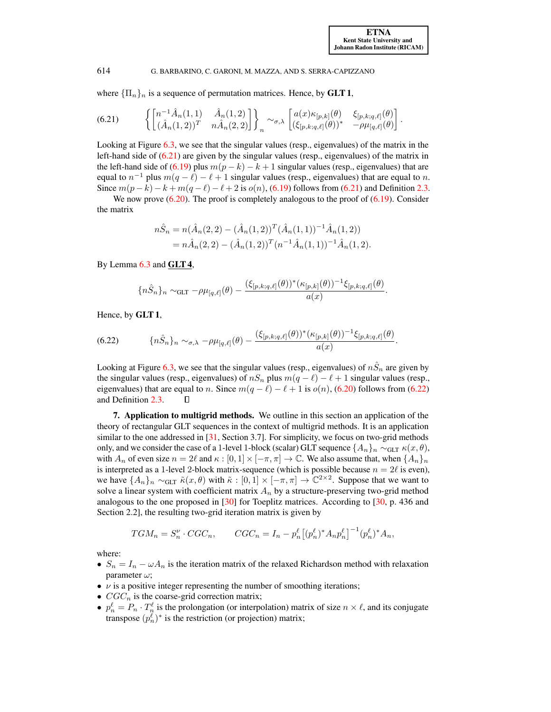where  ${\{\Pi_n\}_n}$  is a sequence of permutation matrices. Hence, by **GLT 1**,

<span id="page-29-1"></span>
$$
(6.21) \qquad \left\{ \begin{bmatrix} n^{-1}\hat{A}_n(1,1) & \hat{A}_n(1,2) \\ (\hat{A}_n(1,2))^T & n\hat{A}_n(2,2) \end{bmatrix} \right\}_n \sim_{\sigma,\lambda} \begin{bmatrix} a(x)\kappa_{[p,k]}(\theta) & \xi_{[p,k;q,\ell]}(\theta) \\ (\xi_{[p,k;q,\ell]}(\theta))^* & -\rho\mu_{[q,\ell]}(\theta) \end{bmatrix}.
$$

Looking at Figure [6.3,](#page-27-0) we see that the singular values (resp., eigenvalues) of the matrix in the left-hand side of [\(6.21\)](#page-29-1) are given by the singular values (resp., eigenvalues) of the matrix in the left-hand side of [\(6.19\)](#page-28-1) plus  $m(p - k) - k + 1$  singular values (resp., eigenvalues) that are equal to  $n^{-1}$  plus  $m(q - \ell) - \ell + 1$  singular values (resp., eigenvalues) that are equal to n. Since  $m(p-k) - k + m(q - \ell) - \ell + 2$  is  $o(n)$ , [\(6.19\)](#page-28-1) follows from [\(6.21\)](#page-29-1) and Definition [2.3.](#page-6-1)

We now prove  $(6.20)$ . The proof is completely analogous to the proof of  $(6.19)$ . Consider the matrix

$$
n\hat{S}_n = n(\hat{A}_n(2,2) - (\hat{A}_n(1,2))^T (\hat{A}_n(1,1))^{-1} \hat{A}_n(1,2))
$$
  
=  $n\hat{A}_n(2,2) - (\hat{A}_n(1,2))^T (n^{-1} \hat{A}_n(1,1))^{-1} \hat{A}_n(1,2).$ 

By Lemma  $6.3$  and  $GLT4$ ,

<span id="page-29-2"></span>
$$
\{n\hat{S}_n\}_n \sim_{\text{GLT}} -\rho \mu_{[q,\ell]}(\theta) - \frac{(\xi_{[p,k;q,\ell]}(\theta))^*(\kappa_{[p,k]}(\theta))^{-1}\xi_{[p,k;q,\ell]}(\theta)}{a(x)}.
$$

Hence, by GLT 1,

$$
(6.22) \qquad \{n\hat{S}_n\}_n \sim_{\sigma,\lambda} -\rho \mu_{[q,\ell]}(\theta) - \frac{(\xi_{[p,k;q,\ell]}(\theta))^*(\kappa_{[p,k]}(\theta))^{-1}\xi_{[p,k;q,\ell]}(\theta)}{a(x)}.
$$

Looking at Figure [6.3,](#page-27-0) we see that the singular values (resp., eigenvalues) of  $n\hat{S}_n$  are given by the singular values (resp., eigenvalues) of  $nS_n$  plus  $m(q - \ell) - \ell + 1$  singular values (resp., eigenvalues) that are equal to n. Since  $m(q - \ell) - \ell + 1$  is  $o(n)$ , [\(6.20\)](#page-28-2) follows from [\(6.22\)](#page-29-2) and Definition [2.3.](#page-6-1) П

<span id="page-29-0"></span>7. Application to multigrid methods. We outline in this section an application of the theory of rectangular GLT sequences in the context of multigrid methods. It is an application similar to the one addressed in [\[31,](#page-32-1) Section 3.7]. For simplicity, we focus on two-grid methods only, and we consider the case of a 1-level 1-block (scalar) GLT sequence  $\{A_n\}_n \sim_{\text{GLT}} \kappa(x, \theta)$ , with  $A_n$  of even size  $n = 2\ell$  and  $\kappa : [0, 1] \times [-\pi, \pi] \to \mathbb{C}$ . We also assume that, when  $\{A_n\}_n$ is interpreted as a 1-level 2-block matrix-sequence (which is possible because  $n = 2\ell$  is even), we have  $\{A_n\}_n \sim_{\text{GLT}} \tilde{\kappa}(x,\theta)$  with  $\tilde{\kappa} : [0,1] \times [-\pi,\pi] \to \mathbb{C}^{2 \times 2}$ . Suppose that we want to solve a linear system with coefficient matrix  $A_n$  by a structure-preserving two-grid method analogous to the one proposed in [\[30\]](#page-32-2) for Toeplitz matrices. According to [\[30,](#page-32-2) p. 436 and Section 2.2], the resulting two-grid iteration matrix is given by

$$
TGM_n = S_n^{\nu} \cdot CGC_n, \qquad CGC_n = I_n - p_n^{\ell} \left[ (p_n^{\ell})^* A_n p_n^{\ell} \right]^{-1} (p_n^{\ell})^* A_n,
$$

where:

- $S_n = I_n \omega A_n$  is the iteration matrix of the relaxed Richardson method with relaxation parameter  $\omega$ ;
- $\nu$  is a positive integer representing the number of smoothing iterations;
- $CGC_n$  is the coarse-grid correction matrix;
- $p_n^{\ell} = P_n \cdot T_n^{\ell}$  is the prolongation (or interpolation) matrix of size  $n \times \ell$ , and its conjugate transpose  $(p_n^{\ell})^*$  is the restriction (or projection) matrix;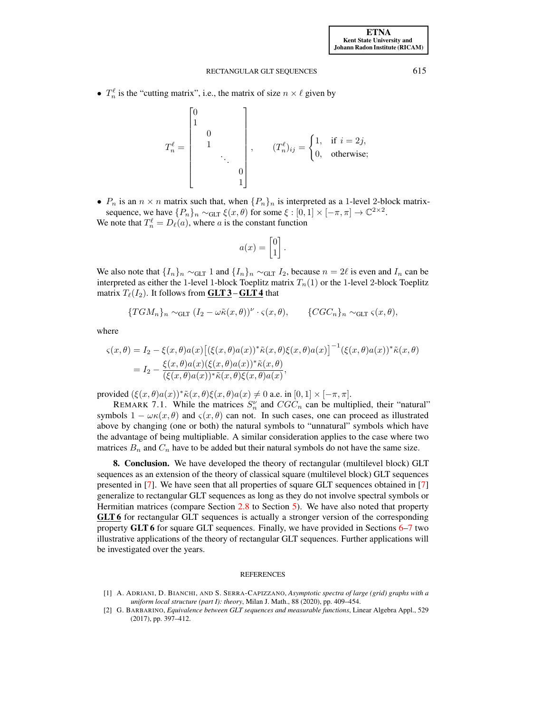•  $T_n^{\ell}$  is the "cutting matrix", i.e., the matrix of size  $n \times \ell$  given by

$$
T_{n}^{\ell} = \begin{bmatrix} 0 \\ 1 \\ 0 \\ 1 \\ \vdots \\ 0 \\ 1 \end{bmatrix}, \quad (T_{n}^{\ell})_{ij} = \begin{cases} 1, & \text{if } i = 2j, \\ 0, & \text{otherwise}; \end{cases}
$$

•  $P_n$  is an  $n \times n$  matrix such that, when  $\{P_n\}_n$  is interpreted as a 1-level 2-block matrixsequence, we have  $\{P_n\}_n \sim_{\text{GLT}} \xi(x,\theta)$  for some  $\xi : [0,1] \times [-\pi,\pi] \to \mathbb{C}^{2 \times 2}$ .

We note that  $T_n^{\ell} = D_{\ell}(a)$ , where a is the constant function

$$
a(x) = \begin{bmatrix} 0 \\ 1 \end{bmatrix}.
$$

We also note that  $\{I_n\}_n \sim_{GLT} 1$  and  $\{I_n\}_n \sim_{GLT} I_2$ , because  $n = 2\ell$  is even and  $I_n$  can be interpreted as either the 1-level 1-block Toeplitz matrix  $T_n(1)$  or the 1-level 2-block Toeplitz matrix  $T_{\ell}(I_2)$ . It follows from **GLT 3 – GLT 4** that

$$
\{TGM_n\}_n \sim_{\text{GLT}} (I_2 - \omega \tilde{\kappa}(x,\theta))^{\nu} \cdot \varsigma(x,\theta), \qquad \{CGC_n\}_n \sim_{\text{GLT}} \varsigma(x,\theta),
$$

where

$$
\begin{aligned} \varsigma(x,\theta) &= I_2 - \xi(x,\theta)a(x) \big[ (\xi(x,\theta)a(x))^* \tilde{\kappa}(x,\theta) \xi(x,\theta)a(x) \big]^{-1} (\xi(x,\theta)a(x))^* \tilde{\kappa}(x,\theta) \\ &= I_2 - \frac{\xi(x,\theta)a(x) (\xi(x,\theta)a(x))^* \tilde{\kappa}(x,\theta)}{(\xi(x,\theta)a(x))^* \tilde{\kappa}(x,\theta) \xi(x,\theta)a(x)}, \end{aligned}
$$

provided  $(\xi(x, \theta)a(x))^* \tilde{\kappa}(x, \theta) \xi(x, \theta)a(x) \neq 0$  a.e. in  $[0, 1] \times [-\pi, \pi]$ .

REMARK 7.1. While the matrices  $S_n^{\nu}$  and  $CGC_n$  can be multiplied, their "natural" symbols  $1 - \omega \kappa(x, \theta)$  and  $\varsigma(x, \theta)$  can not. In such cases, one can proceed as illustrated above by changing (one or both) the natural symbols to "unnatural" symbols which have the advantage of being multipliable. A similar consideration applies to the case where two matrices  $B_n$  and  $C_n$  have to be added but their natural symbols do not have the same size.

<span id="page-30-0"></span>8. Conclusion. We have developed the theory of rectangular (multilevel block) GLT sequences as an extension of the theory of classical square (multilevel block) GLT sequences presented in [\[7\]](#page-31-2). We have seen that all properties of square GLT sequences obtained in [\[7\]](#page-31-2) generalize to rectangular GLT sequences as long as they do not involve spectral symbols or Hermitian matrices (compare Section [2.8](#page-7-1) to Section [5\)](#page-21-1). We have also noted that property GLT 6 for rectangular GLT sequences is actually a stronger version of the corresponding property GLT 6 for square GLT sequences. Finally, we have provided in Sections [6](#page-22-0)[–7](#page-29-0) two illustrative applications of the theory of rectangular GLT sequences. Further applications will be investigated over the years.

#### REFERENCES

- <span id="page-30-2"></span>[1] A. ADRIANI, D. BIANCHI, AND S. SERRA-CAPIZZANO, *Asymptotic spectra of large (grid) graphs with a uniform local structure (part I): theory*, Milan J. Math., 88 (2020), pp. 409–454.
- <span id="page-30-1"></span>[2] G. BARBARINO, *Equivalence between GLT sequences and measurable functions*, Linear Algebra Appl., 529 (2017), pp. 397–412.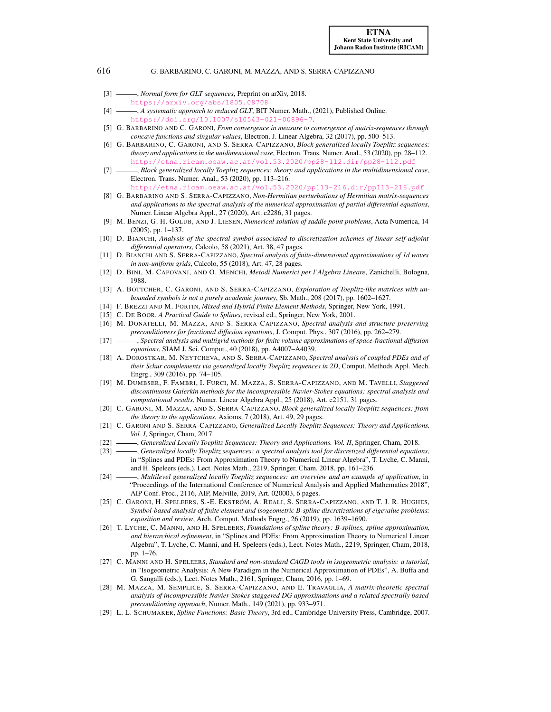- <span id="page-31-9"></span>[3] *- Normal form for GLT sequences*, Preprint on arXiv, 2018. <https://arxiv.org/abs/1805.08708>
- <span id="page-31-0"></span>[4]  $\_\_\_\_\$ A systematic approach to reduced GLT, BIT Numer. Math., (2021), Published Online. <https://doi.org/10.1007/s10543-021-00896-7>.
- <span id="page-31-20"></span>[5] G. BARBARINO AND C. GARONI, *From convergence in measure to convergence of matrix-sequences through concave functions and singular values*, Electron. J. Linear Algebra, 32 (2017), pp. 500–513.
- <span id="page-31-1"></span>[6] G. BARBARINO, C. GARONI, AND S. SERRA-CAPIZZANO, *Block generalized locally Toeplitz sequences: theory and applications in the unidimensional case*, Electron. Trans. Numer. Anal., 53 (2020), pp. 28–112. <http://etna.ricam.oeaw.ac.at/vol.53.2020/pp28-112.dir/pp28-112.pdf>
- <span id="page-31-2"></span>[7] , *Block generalized locally Toeplitz sequences: theory and applications in the multidimensional case*, Electron. Trans. Numer. Anal., 53 (2020), pp. 113–216. <http://etna.ricam.oeaw.ac.at/vol.53.2020/pp113-216.dir/pp113-216.pdf>
- <span id="page-31-10"></span>[8] G. BARBARINO AND S. SERRA-CAPIZZANO, *Non-Hermitian perturbations of Hermitian matrix-sequences and applications to the spectral analysis of the numerical approximation of partial differential equations*, Numer. Linear Algebra Appl., 27 (2020), Art. e2286, 31 pages.
- <span id="page-31-19"></span>[9] M. BENZI, G. H. GOLUB, AND J. LIESEN, *Numerical solution of saddle point problems*, Acta Numerica, 14 (2005), pp. 1–137.
- <span id="page-31-11"></span>[10] D. BIANCHI, *Analysis of the spectral symbol associated to discretization schemes of linear self-adjoint differential operators*, Calcolo, 58 (2021), Art. 38, 47 pages.
- <span id="page-31-12"></span>[11] D. BIANCHI AND S. SERRA-CAPIZZANO, *Spectral analysis of finite-dimensional approximations of 1d waves in non-uniform grids*, Calcolo, 55 (2018), Art. 47, 28 pages.
- <span id="page-31-21"></span>[12] D. BINI, M. CAPOVANI, AND O. MENCHI, *Metodi Numerici per l'Algebra Lineare*, Zanichelli, Bologna, 1988.
- <span id="page-31-5"></span>[13] A. BÖTTCHER, C. GARONI, AND S. SERRA-CAPIZZANO, *Exploration of Toeplitz-like matrices with unbounded symbols is not a purely academic journey*, Sb. Math., 208 (2017), pp. 1602–1627.
- <span id="page-31-22"></span>[14] F. BREZZI AND M. FORTIN, *Mixed and Hybrid Finite Element Methods*, Springer, New York, 1991.
- <span id="page-31-24"></span>[15] C. DE BOOR, *A Practical Guide to Splines*, revised ed., Springer, New York, 2001.
- <span id="page-31-14"></span>[16] M. DONATELLI, M. MAZZA, AND S. SERRA-CAPIZZANO, *Spectral analysis and structure preserving preconditioners for fractional diffusion equations*, J. Comput. Phys., 307 (2016), pp. 262–279.
- <span id="page-31-15"></span>[17] , *Spectral analysis and multigrid methods for finite volume approximations of space-fractional diffusion equations*, SIAM J. Sci. Comput., 40 (2018), pp. A4007–A4039.
- <span id="page-31-18"></span>[18] A. DOROSTKAR, M. NEYTCHEVA, AND S. SERRA-CAPIZZANO, *Spectral analysis of coupled PDEs and of their Schur complements via generalized locally Toeplitz sequences in 2D*, Comput. Methods Appl. Mech. Engrg., 309 (2016), pp. 74–105.
- <span id="page-31-16"></span>[19] M. DUMBSER, F. FAMBRI, I. FURCI, M. MAZZA, S. SERRA-CAPIZZANO, AND M. TAVELLI, *Staggered discontinuous Galerkin methods for the incompressible Navier-Stokes equations: spectral analysis and computational results*, Numer. Linear Algebra Appl., 25 (2018), Art. e2151, 31 pages.
- <span id="page-31-6"></span>[20] C. GARONI, M. MAZZA, AND S. SERRA-CAPIZZANO, *Block generalized locally Toeplitz sequences: from the theory to the applications*, Axioms, 7 (2018), Art. 49, 29 pages.
- <span id="page-31-3"></span>[21] C. GARONI AND S. SERRA-CAPIZZANO, *Generalized Locally Toeplitz Sequences: Theory and Applications. Vol. I*, Springer, Cham, 2017.
- <span id="page-31-4"></span>[22] - *Generalized Locally Toeplitz Sequences: Theory and Applications. Vol. II*, Springer, Cham, 2018.
- <span id="page-31-7"></span>[23] , *Generalized locally Toeplitz sequences: a spectral analysis tool for discretized differential equations*, in "Splines and PDEs: From Approximation Theory to Numerical Linear Algebra", T. Lyche, C. Manni, and H. Speleers (eds.), Lect. Notes Math., 2219, Springer, Cham, 2018, pp. 161–236.
- <span id="page-31-8"></span>[24] , *Multilevel generalized locally Toeplitz sequences: an overview and an example of application*, in "Proceedings of the International Conference of Numerical Analysis and Applied Mathematics 2018", AIP Conf. Proc., 2116, AIP, Melville, 2019, Art. 020003, 6 pages.
- <span id="page-31-13"></span>[25] C. GARONI, H. SPELEERS, S.-E. EKSTRÖM, A. REALI, S. SERRA-CAPIZZANO, AND T. J. R. HUGHES, *Symbol-based analysis of finite element and isogeometric B-spline discretizations of eigevalue problems: exposition and review*, Arch. Comput. Methods Engrg., 26 (2019), pp. 1639–1690.
- <span id="page-31-23"></span>[26] T. LYCHE, C. MANNI, AND H. SPELEERS, *Foundations of spline theory: B-splines, spline approximation, and hierarchical refinement*, in "Splines and PDEs: From Approximation Theory to Numerical Linear Algebra", T. Lyche, C. Manni, and H. Speleers (eds.), Lect. Notes Math., 2219, Springer, Cham, 2018, pp. 1–76.
- <span id="page-31-25"></span>[27] C. MANNI AND H. SPELEERS, *Standard and non-standard CAGD tools in isogeometric analysis: a tutorial*, in "Isogeometric Analysis: A New Paradigm in the Numerical Approximation of PDEs", A. Buffa and G. Sangalli (eds.), Lect. Notes Math., 2161, Springer, Cham, 2016, pp. 1–69.
- <span id="page-31-17"></span>[28] M. MAZZA, M. SEMPLICE, S. SERRA-CAPIZZANO, AND E. TRAVAGLIA, *A matrix-theoretic spectral analysis of incompressible Navier-Stokes staggered DG approximations and a related spectrally based preconditioning approach*, Numer. Math., 149 (2021), pp. 933–971.
- <span id="page-31-26"></span>[29] L. L. SCHUMAKER, *Spline Functions: Basic Theory*, 3rd ed., Cambridge University Press, Cambridge, 2007.